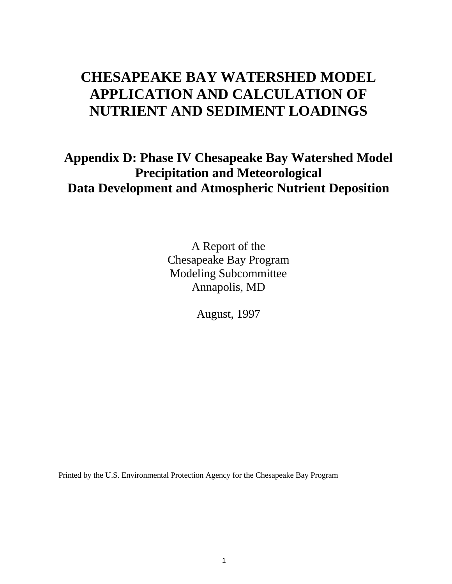# **CHESAPEAKE BAY WATERSHED MODEL APPLICATION AND CALCULATION OF NUTRIENT AND SEDIMENT LOADINGS**

**Appendix D: Phase IV Chesapeake Bay Watershed Model Precipitation and Meteorological Data Development and Atmospheric Nutrient Deposition**

> A Report of the Chesapeake Bay Program Modeling Subcommittee Annapolis, MD

> > August, 1997

Printed by the U.S. Environmental Protection Agency for the Chesapeake Bay Program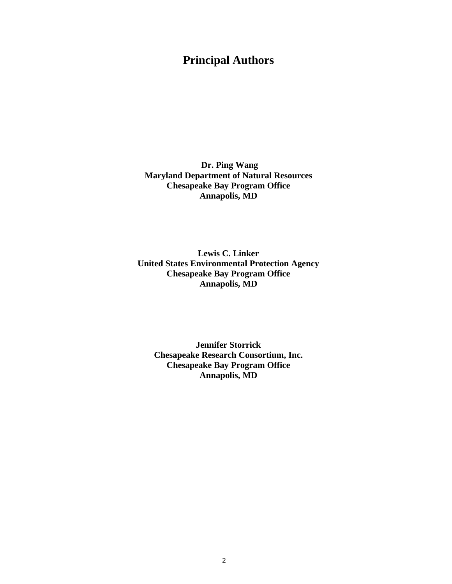# **Principal Authors**

 **Dr. Ping Wang Maryland Department of Natural Resources Chesapeake Bay Program Office Annapolis, MD**

**Lewis C. Linker United States Environmental Protection Agency Chesapeake Bay Program Office Annapolis, MD**

**Jennifer Storrick Chesapeake Research Consortium, Inc. Chesapeake Bay Program Office Annapolis, MD**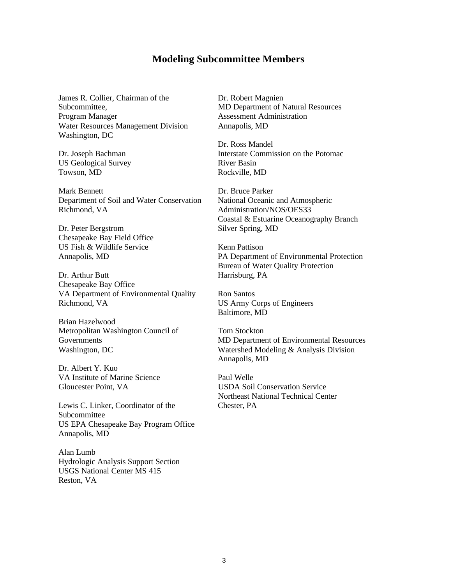## **Modeling Subcommittee Members**

James R. Collier, Chairman of the Dr. Robert Magnien Subcommittee, MD Department of Natural Resources Program Manager Assessment Administration Water Resources Management Division Annapolis, MD Washington, DC

US Geological Survey **River Basin** Towson, MD Rockville, MD

Mark Bennett Dr. Bruce Parker Department of Soil and Water Conservation National Oceanic and Atmospheric Richmond, VA Administration/NOS/OES33

Dr. Peter Bergstrom Silver Spring, MD Chesapeake Bay Field Office US Fish & Wildlife Service Kenn Pattison

Dr. Arthur Butt Harrisburg, PA Chesapeake Bay Office VA Department of Environmental Quality Ron Santos Richmond, VA US Army Corps of Engineers

Brian Hazelwood Metropolitan Washington Council of Tom Stockton

Dr. Albert Y. Kuo VA Institute of Marine Science Paul Welle

Lewis C. Linker, Coordinator of the Chester, PA Subcommittee US EPA Chesapeake Bay Program Office Annapolis, MD

Alan Lumb Hydrologic Analysis Support Section USGS National Center MS 415 Reston, VA

Dr. Ross Mandel Dr. Joseph Bachman Interstate Commission on the Potomac

Coastal & Estuarine Oceanography Branch

Annapolis, MD PA Department of Environmental Protection Bureau of Water Quality Protection

Baltimore, MD

Governments MD Department of Environmental Resources Washington, DC Watershed Modeling & Analysis Division Annapolis, MD

Gloucester Point, VA USDA Soil Conservation Service Northeast National Technical Center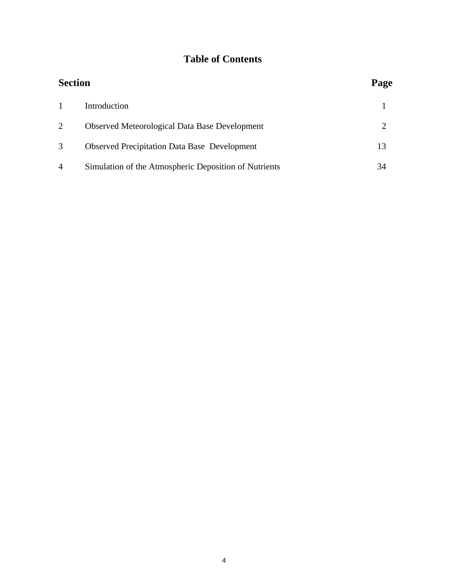## **Table of Contents**

|                | <b>Section</b>                                        |    |  |  |  |  |
|----------------|-------------------------------------------------------|----|--|--|--|--|
|                | Introduction                                          |    |  |  |  |  |
| 2              | <b>Observed Meteorological Data Base Development</b>  |    |  |  |  |  |
| 3              | <b>Observed Precipitation Data Base Development</b>   | 13 |  |  |  |  |
| $\overline{A}$ | Simulation of the Atmospheric Deposition of Nutrients | 34 |  |  |  |  |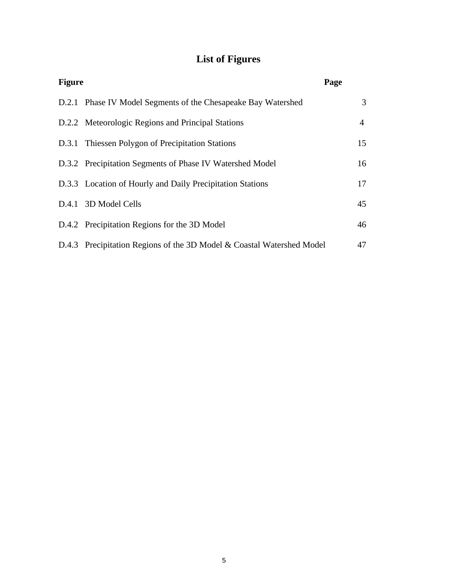# **List of Figures**

| <b>Figure</b>                                                         | Page           |
|-----------------------------------------------------------------------|----------------|
| D.2.1 Phase IV Model Segments of the Chesapeake Bay Watershed         | 3              |
| D.2.2 Meteorologic Regions and Principal Stations                     | $\overline{4}$ |
| D.3.1 Thiessen Polygon of Precipitation Stations                      | 15             |
| D.3.2 Precipitation Segments of Phase IV Watershed Model              | 16             |
| D.3.3 Location of Hourly and Daily Precipitation Stations             | 17             |
| D.4.1 3D Model Cells                                                  | 45             |
| D.4.2 Precipitation Regions for the 3D Model                          | 46             |
| D.4.3 Precipitation Regions of the 3D Model & Coastal Watershed Model | 47             |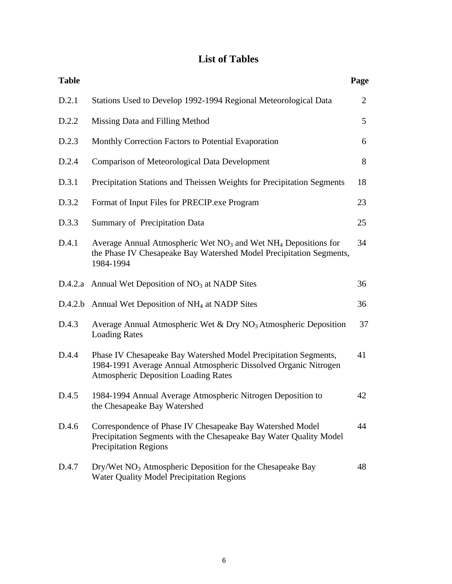## **List of Tables**

| <b>Table</b> |                                                                                                                                                                                   | Page |
|--------------|-----------------------------------------------------------------------------------------------------------------------------------------------------------------------------------|------|
| D.2.1        | Stations Used to Develop 1992-1994 Regional Meteorological Data                                                                                                                   | 2    |
| D.2.2        | Missing Data and Filling Method                                                                                                                                                   | 5    |
| D.2.3        | Monthly Correction Factors to Potential Evaporation                                                                                                                               | 6    |
| D.2.4        | Comparison of Meteorological Data Development                                                                                                                                     | 8    |
| D.3.1        | Precipitation Stations and Theissen Weights for Precipitation Segments                                                                                                            | 18   |
| D.3.2        | Format of Input Files for PRECIP.exe Program                                                                                                                                      | 23   |
| D.3.3        | Summary of Precipitation Data                                                                                                                                                     | 25   |
| D.4.1        | Average Annual Atmospheric Wet NO <sub>3</sub> and Wet NH <sub>4</sub> Depositions for<br>the Phase IV Chesapeake Bay Watershed Model Precipitation Segments,<br>1984-1994        | 34   |
|              | D.4.2.a Annual Wet Deposition of $NO3$ at NADP Sites                                                                                                                              | 36   |
| D.4.2.b      | Annual Wet Deposition of NH <sub>4</sub> at NADP Sites                                                                                                                            | 36   |
| D.4.3        | Average Annual Atmospheric Wet & Dry $NO3$ Atmospheric Deposition<br><b>Loading Rates</b>                                                                                         | 37   |
| D.4.4        | Phase IV Chesapeake Bay Watershed Model Precipitation Segments,<br>1984-1991 Average Annual Atmospheric Dissolved Organic Nitrogen<br><b>Atmospheric Deposition Loading Rates</b> | 41   |
| D.4.5        | 1984-1994 Annual Average Atmospheric Nitrogen Deposition to<br>the Chesapeake Bay Watershed                                                                                       | 42   |
| D.4.6        | Correspondence of Phase IV Chesapeake Bay Watershed Model<br>Precipitation Segments with the Chesapeake Bay Water Quality Model<br><b>Precipitation Regions</b>                   | 44   |
| D.4.7        | Dry/Wet NO <sub>3</sub> Atmospheric Deposition for the Chesapeake Bay<br><b>Water Quality Model Precipitation Regions</b>                                                         | 48   |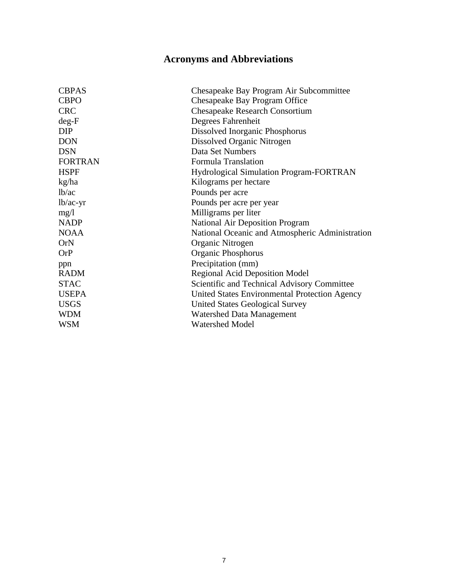# **Acronyms and Abbreviations**

| <b>CBPAS</b>   | Chesapeake Bay Program Air Subcommittee         |
|----------------|-------------------------------------------------|
| <b>CBPO</b>    | Chesapeake Bay Program Office                   |
| <b>CRC</b>     | <b>Chesapeake Research Consortium</b>           |
| $deg-F$        | Degrees Fahrenheit                              |
| <b>DIP</b>     | Dissolved Inorganic Phosphorus                  |
| <b>DON</b>     | Dissolved Organic Nitrogen                      |
| <b>DSN</b>     | Data Set Numbers                                |
| <b>FORTRAN</b> | Formula Translation                             |
| <b>HSPF</b>    | <b>Hydrological Simulation Program-FORTRAN</b>  |
| kg/ha          | Kilograms per hectare                           |
| lb/ac          | Pounds per acre                                 |
| $lb/ac-yr$     | Pounds per acre per year                        |
| mg/1           | Milligrams per liter                            |
| <b>NADP</b>    | <b>National Air Deposition Program</b>          |
| <b>NOAA</b>    | National Oceanic and Atmospheric Administration |
| OrN            | Organic Nitrogen                                |
| <b>OrP</b>     | Organic Phosphorus                              |
| ppn            | Precipitation (mm)                              |
| <b>RADM</b>    | <b>Regional Acid Deposition Model</b>           |
| <b>STAC</b>    | Scientific and Technical Advisory Committee     |
| <b>USEPA</b>   | United States Environmental Protection Agency   |
| <b>USGS</b>    | United States Geological Survey                 |
| <b>WDM</b>     | <b>Watershed Data Management</b>                |
| <b>WSM</b>     | <b>Watershed Model</b>                          |
|                |                                                 |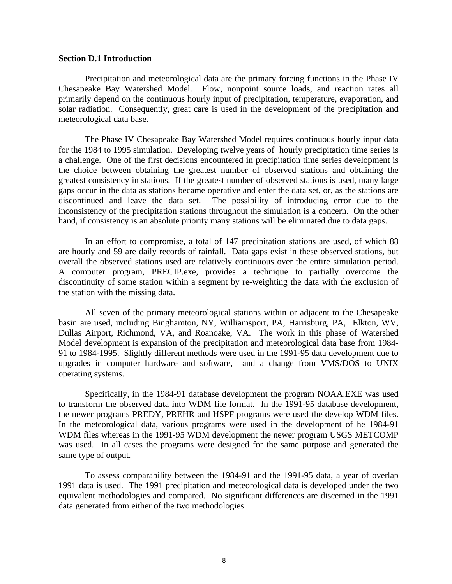#### **Section D.1 Introduction**

Precipitation and meteorological data are the primary forcing functions in the Phase IV Chesapeake Bay Watershed Model. Flow, nonpoint source loads, and reaction rates all primarily depend on the continuous hourly input of precipitation, temperature, evaporation, and solar radiation. Consequently, great care is used in the development of the precipitation and meteorological data base.

The Phase IV Chesapeake Bay Watershed Model requires continuous hourly input data for the 1984 to 1995 simulation. Developing twelve years of hourly precipitation time series is a challenge. One of the first decisions encountered in precipitation time series development is the choice between obtaining the greatest number of observed stations and obtaining the greatest consistency in stations. If the greatest number of observed stations is used, many large gaps occur in the data as stations became operative and enter the data set, or, as the stations are discontinued and leave the data set. The possibility of introducing error due to the inconsistency of the precipitation stations throughout the simulation is a concern. On the other hand, if consistency is an absolute priority many stations will be eliminated due to data gaps.

In an effort to compromise, a total of 147 precipitation stations are used, of which 88 are hourly and 59 are daily records of rainfall. Data gaps exist in these observed stations, but overall the observed stations used are relatively continuous over the entire simulation period. A computer program, PRECIP.exe, provides a technique to partially overcome the discontinuity of some station within a segment by re-weighting the data with the exclusion of the station with the missing data.

All seven of the primary meteorological stations within or adjacent to the Chesapeake basin are used, including Binghamton, NY, Williamsport, PA, Harrisburg, PA, Elkton, WV, Dullas Airport, Richmond, VA, and Roanoake, VA. The work in this phase of Watershed Model development is expansion of the precipitation and meteorological data base from 1984- 91 to 1984-1995. Slightly different methods were used in the 1991-95 data development due to upgrades in computer hardware and software, and a change from VMS/DOS to UNIX operating systems.

Specifically, in the 1984-91 database development the program NOAA.EXE was used to transform the observed data into WDM file format. In the 1991-95 database development, the newer programs PREDY, PREHR and HSPF programs were used the develop WDM files. In the meteorological data, various programs were used in the development of he 1984-91 WDM files whereas in the 1991-95 WDM development the newer program USGS METCOMP was used. In all cases the programs were designed for the same purpose and generated the same type of output.

To assess comparability between the 1984-91 and the 1991-95 data, a year of overlap 1991 data is used. The 1991 precipitation and meteorological data is developed under the two equivalent methodologies and compared. No significant differences are discerned in the 1991 data generated from either of the two methodologies.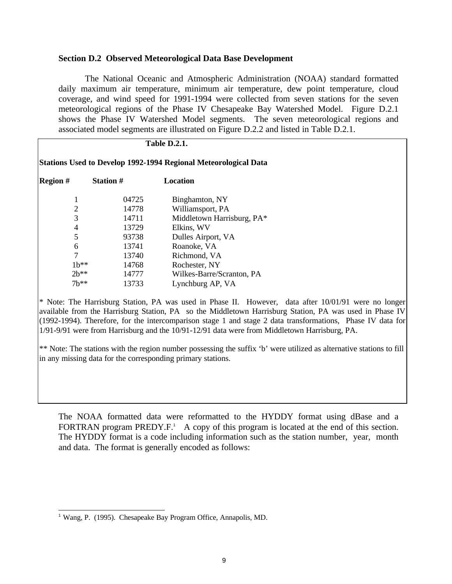#### **Section D.2 Observed Meteorological Data Base Development**

The National Oceanic and Atmospheric Administration (NOAA) standard formatted daily maximum air temperature, minimum air temperature, dew point temperature, cloud coverage, and wind speed for 1991-1994 were collected from seven stations for the seven meteorological regions of the Phase IV Chesapeake Bay Watershed Model. Figure D.2.1 shows the Phase IV Watershed Model segments. The seven meteorological regions and associated model segments are illustrated on Figure D.2.2 and listed in Table D.2.1.

#### **Table D.2.1.**

**Stations Used to Develop 1992-1994 Regional Meteorological Data**

| <b>Region</b> # | <b>Station #</b>   | Location                   |  |  |  |  |
|-----------------|--------------------|----------------------------|--|--|--|--|
|                 | 04725              | Binghamton, NY             |  |  |  |  |
| 2               | 14778              | Williamsport, PA           |  |  |  |  |
| 3               | 14711              | Middletown Harrisburg, PA* |  |  |  |  |
| 4               | 13729              | Elkins, WV                 |  |  |  |  |
| 5               | 93738              | Dulles Airport, VA         |  |  |  |  |
| 6               | 13741              | Roanoke, VA                |  |  |  |  |
| 7               | 13740              | Richmond, VA               |  |  |  |  |
|                 | $1h^{**}$<br>14768 | Rochester, NY              |  |  |  |  |
|                 | $2b**$<br>14777    | Wilkes-Barre/Scranton, PA  |  |  |  |  |
|                 | $7b***$<br>13733   | Lynchburg AP, VA           |  |  |  |  |

\* Note: The Harrisburg Station, PA was used in Phase II. However, data after 10/01/91 were no longer available from the Harrisburg Station, PA so the Middletown Harrisburg Station, PA was used in Phase IV (1992-1994). Therefore, for the intercomparison stage 1 and stage 2 data transformations, Phase IV data for 1/91-9/91 were from Harrisburg and the 10/91-12/91 data were from Middletown Harrisburg, PA.

\*\* Note: The stations with the region number possessing the suffix 'b' were utilized as alternative stations to fill in any missing data for the corresponding primary stations.

The NOAA formatted data were reformatted to the HYDDY format using dBase and a FORTRAN program PREDY.F.<sup>1</sup> A copy of this program is located at the end of this section. The HYDDY format is a code including information such as the station number, year, month and data. The format is generally encoded as follows:

 $\overline{a}$ 

<sup>&</sup>lt;sup>1</sup> Wang, P. (1995). Chesapeake Bay Program Office, Annapolis, MD.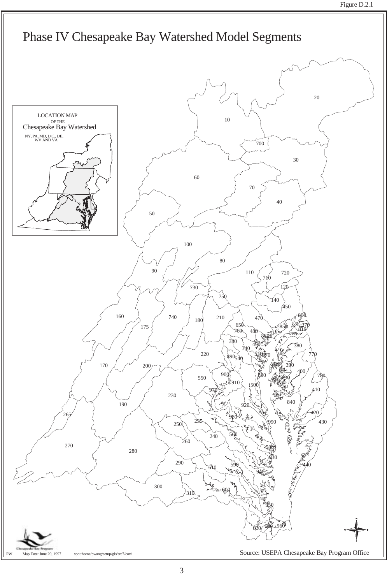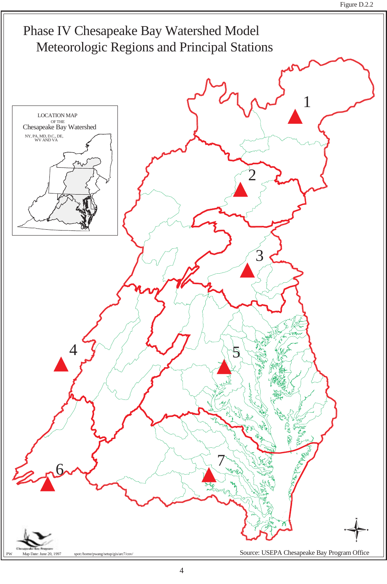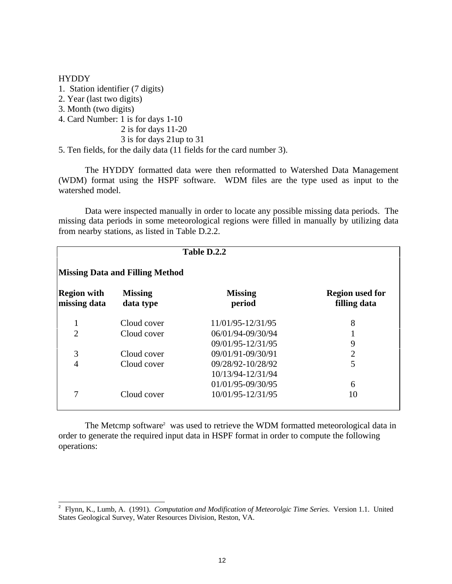#### HYDDY

- 1. Station identifier (7 digits)
- 2. Year (last two digits)
- 3. Month (two digits)
- 4. Card Number: 1 is for days 1-10
	- 2 is for days 11-20

3 is for days 21up to 31

5. Ten fields, for the daily data (11 fields for the card number 3).

The HYDDY formatted data were then reformatted to Watershed Data Management (WDM) format using the HSPF software. WDM files are the type used as input to the watershed model.

Data were inspected manually in order to locate any possible missing data periods. The missing data periods in some meteorological regions were filled in manually by utilizing data from nearby stations, as listed in Table D.2.2.

|                                        | Table D.2.2                 |                          |                                        |  |  |  |  |  |  |
|----------------------------------------|-----------------------------|--------------------------|----------------------------------------|--|--|--|--|--|--|
| <b>Missing Data and Filling Method</b> |                             |                          |                                        |  |  |  |  |  |  |
| <b>Region with</b><br>missing data     | <b>Missing</b><br>data type | <b>Missing</b><br>period | <b>Region used for</b><br>filling data |  |  |  |  |  |  |
| 1                                      | Cloud cover                 | 11/01/95-12/31/95        | 8                                      |  |  |  |  |  |  |
| $\overline{2}$                         | Cloud cover                 | 06/01/94-09/30/94        |                                        |  |  |  |  |  |  |
|                                        |                             | 09/01/95-12/31/95        | 9                                      |  |  |  |  |  |  |
| 3                                      | Cloud cover                 | 09/01/91-09/30/91        | $\overline{2}$                         |  |  |  |  |  |  |
| 4                                      | Cloud cover                 | 09/28/92-10/28/92        | 5                                      |  |  |  |  |  |  |
|                                        |                             | 10/13/94-12/31/94        |                                        |  |  |  |  |  |  |
|                                        |                             | 01/01/95-09/30/95        | 6                                      |  |  |  |  |  |  |
| 7                                      | Cloud cover                 | 10/01/95-12/31/95        | 10                                     |  |  |  |  |  |  |

The Metcmp software<sup>2</sup> was used to retrieve the WDM formatted meteorological data in order to generate the required input data in HSPF format in order to compute the following operations:

 2 Flynn, K., Lumb, A. (1991). *Computation and Modification of Meteorolgic Time Series*. Version 1.1. United States Geological Survey, Water Resources Division, Reston, VA.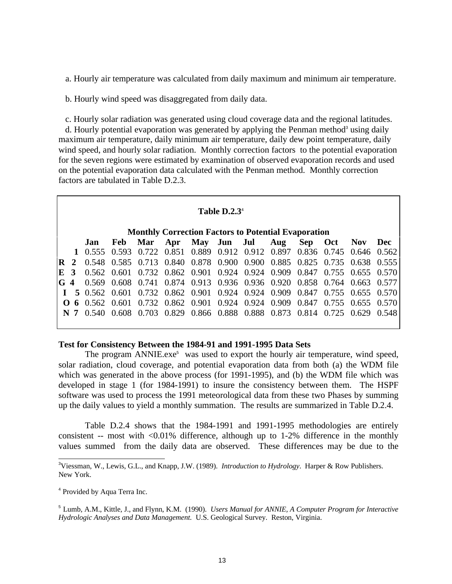a. Hourly air temperature was calculated from daily maximum and minimum air temperature.

b. Hourly wind speed was disaggregated from daily data.

c. Hourly solar radiation was generated using cloud coverage data and the regional latitudes.

d. Hourly potential evaporation was generated by applying the Penman method<sup>3</sup> using daily maximum air temperature, daily minimum air temperature, daily dew point temperature, daily wind speed, and hourly solar radiation. Monthly correction factors to the potential evaporation for the seven regions were estimated by examination of observed evaporation records and used on the potential evaporation data calculated with the Penman method. Monthly correction factors are tabulated in Table D.2.3.

# **Table D.2.3**<sup>4</sup>

| <b>Monthly Correction Factors to Potential Evaporation</b> |  |  |  |  |  |  |                                                                                    |  |  |  |  |  |
|------------------------------------------------------------|--|--|--|--|--|--|------------------------------------------------------------------------------------|--|--|--|--|--|
|                                                            |  |  |  |  |  |  | Jan Feb Mar Apr May Jun Jul Aug Sep Oct Nov Dec                                    |  |  |  |  |  |
|                                                            |  |  |  |  |  |  | 1 0.555 0.593 0.722 0.851 0.889 0.912 0.912 0.897 0.836 0.745 0.646 0.562          |  |  |  |  |  |
|                                                            |  |  |  |  |  |  | <b>R</b> 2 0.548 0.585 0.713 0.840 0.878 0.900 0.900 0.885 0.825 0.735 0.638 0.555 |  |  |  |  |  |
|                                                            |  |  |  |  |  |  | <b>E 3</b> 0.562 0.601 0.732 0.862 0.901 0.924 0.924 0.909 0.847 0.755 0.655 0.570 |  |  |  |  |  |
|                                                            |  |  |  |  |  |  | <b>G</b> 4 0.569 0.608 0.741 0.874 0.913 0.936 0.936 0.920 0.858 0.764 0.663 0.577 |  |  |  |  |  |
|                                                            |  |  |  |  |  |  | 1 5 0.562 0.601 0.732 0.862 0.901 0.924 0.924 0.909 0.847 0.755 0.655 0.570        |  |  |  |  |  |
|                                                            |  |  |  |  |  |  | 0 6 0.562 0.601 0.732 0.862 0.901 0.924 0.924 0.909 0.847 0.755 0.655 0.570        |  |  |  |  |  |
|                                                            |  |  |  |  |  |  | N 7 0.540 0.608 0.703 0.829 0.866 0.888 0.888 0.873 0.814 0.725 0.629 0.548        |  |  |  |  |  |
|                                                            |  |  |  |  |  |  |                                                                                    |  |  |  |  |  |

## **Test for Consistency Between the 1984-91 and 1991-1995 Data Sets**

The program ANNIE.exe<sup>5</sup> was used to export the hourly air temperature, wind speed, solar radiation, cloud coverage, and potential evaporation data from both (a) the WDM file which was generated in the above process (for 1991-1995), and (b) the WDM file which was developed in stage 1 (for 1984-1991) to insure the consistency between them. The HSPF software was used to process the 1991 meteorological data from these two Phases by summing up the daily values to yield a monthly summation. The results are summarized in Table D.2.4.

Table D.2.4 shows that the 1984-1991 and 1991-1995 methodologies are entirely consistent -- most with  $\langle 0.01\%$  difference, although up to 1-2% difference in the monthly values summed from the daily data are observed. These differences may be due to the

l

<sup>3</sup>Viessman, W., Lewis, G.L., and Knapp, J.W. (1989). *Introduction to Hydrology*. Harper & Row Publishers. New York.

<sup>&</sup>lt;sup>4</sup> Provided by Aqua Terra Inc.

<sup>5</sup> Lumb, A.M., Kittle, J., and Flynn, K.M. (1990). *Users Manual for ANNIE, A Computer Program for Interactive Hydrologic Analyses and Data Management.* U.S. Geological Survey. Reston, Virginia.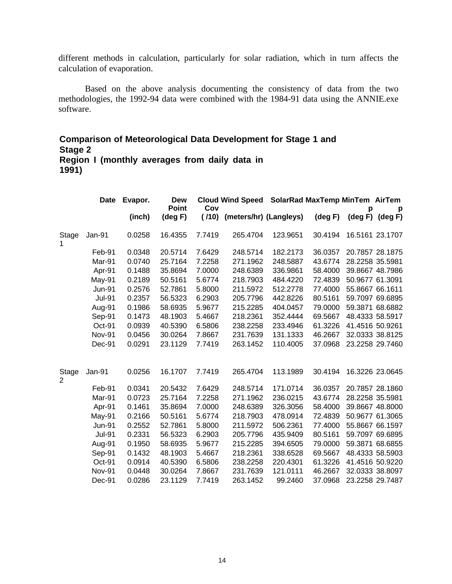different methods in calculation, particularly for solar radiation, which in turn affects the calculation of evaporation.

Based on the above analysis documenting the consistency of data from the two methodologies, the 1992-94 data were combined with the 1984-91 data using the ANNIE.exe software.

## **Comparison of Meteorological Data Development for Stage 1 and Stage 2 Region I (monthly averages from daily data in 1991)**

|                         | <b>Date</b>   | Evapor. | Dew<br><b>Point</b> | Cov    |                        |          |                   | Cloud Wind Speed SolarRad MaxTemp MinTem AirTem<br>p<br>р |  |
|-------------------------|---------------|---------|---------------------|--------|------------------------|----------|-------------------|-----------------------------------------------------------|--|
|                         |               | (inch)  | $(\text{deg } F)$   | (110)  | (meters/hr) (Langleys) |          | $(\text{deg } F)$ | (deg F) (deg F)                                           |  |
| Stage<br>1              | Jan-91        | 0.0258  | 16.4355             | 7.7419 | 265.4704               | 123.9651 | 30.4194           | 16.5161 23.1707                                           |  |
|                         | Feb-91        | 0.0348  | 20.5714             | 7.6429 | 248.5714               | 182.2173 | 36.0357           | 20.7857 28.1875                                           |  |
|                         | Mar-91        | 0.0740  | 25.7164             | 7.2258 | 271.1962               | 248.5887 | 43.6774           | 28.2258 35.5981                                           |  |
|                         | Apr-91        | 0.1488  | 35.8694             | 7.0000 | 248.6389               | 336.9861 | 58.4000           | 39.8667 48.7986                                           |  |
|                         | May-91        | 0.2189  | 50.5161             | 5.6774 | 218.7903               | 484.4220 | 72.4839           | 50.9677 61.3091                                           |  |
|                         | <b>Jun-91</b> | 0.2576  | 52.7861             | 5.8000 | 211.5972               | 512.2778 | 77.4000           | 55.8667 66.1611                                           |  |
|                         | <b>Jul-91</b> | 0.2357  | 56.5323             | 6.2903 | 205.7796               | 442.8226 | 80.5161           | 59.7097 69.6895                                           |  |
|                         | Aug-91        | 0.1986  | 58.6935             | 5.9677 | 215.2285               | 404.0457 | 79.0000           | 59.3871 68.6882                                           |  |
|                         | Sep-91        | 0.1473  | 48.1903             | 5.4667 | 218.2361               | 352.4444 | 69.5667           | 48.4333 58.5917                                           |  |
|                         | Oct-91        | 0.0939  | 40.5390             | 6.5806 | 238.2258               | 233.4946 | 61.3226           | 41.4516 50.9261                                           |  |
|                         | <b>Nov-91</b> | 0.0456  | 30.0264             | 7.8667 | 231.7639               | 131.1333 | 46.2667           | 32.0333 38.8125                                           |  |
|                         | Dec-91        | 0.0291  | 23.1129             | 7.7419 | 263.1452               | 110.4005 | 37.0968           | 23.2258 29.7460                                           |  |
| Stage<br>$\overline{2}$ | Jan-91        | 0.0256  | 16.1707             | 7.7419 | 265.4704               | 113.1989 | 30.4194           | 16.3226 23.0645                                           |  |
|                         | Feb-91        | 0.0341  | 20.5432             | 7.6429 | 248.5714               | 171.0714 | 36.0357           | 20.7857 28.1860                                           |  |
|                         | Mar-91        | 0.0723  | 25.7164             | 7.2258 | 271.1962               | 236.0215 | 43.6774           | 28.2258 35.5981                                           |  |
|                         | Apr-91        | 0.1461  | 35.8694             | 7.0000 | 248.6389               | 326.3056 | 58.4000           | 39.8667 48.8000                                           |  |
|                         | May-91        | 0.2166  | 50.5161             | 5.6774 | 218.7903               | 478.0914 | 72.4839           | 50.9677 61.3065                                           |  |
|                         | <b>Jun-91</b> | 0.2552  | 52.7861             | 5.8000 | 211.5972               | 506.2361 | 77.4000           | 55.8667 66.1597                                           |  |
|                         | <b>Jul-91</b> | 0.2331  | 56.5323             | 6.2903 | 205.7796               | 435.9409 | 80.5161           | 59.7097 69.6895                                           |  |
|                         | Aug-91        | 0.1950  | 58.6935             | 5.9677 | 215.2285               | 394.6505 | 79.0000           | 59.3871 68.6855                                           |  |
|                         | Sep-91        | 0.1432  | 48.1903             | 5.4667 | 218.2361               | 338.6528 | 69.5667           | 48.4333 58.5903                                           |  |
|                         | Oct-91        | 0.0914  | 40.5390             | 6.5806 | 238.2258               | 220.4301 | 61.3226           | 41.4516 50.9220                                           |  |
|                         | <b>Nov-91</b> | 0.0448  | 30.0264             | 7.8667 | 231.7639               | 121.0111 | 46.2667           | 32.0333 38.8097                                           |  |
|                         | Dec-91        | 0.0286  | 23.1129             | 7.7419 | 263.1452               | 99.2460  | 37.0968           | 23.2258 29.7487                                           |  |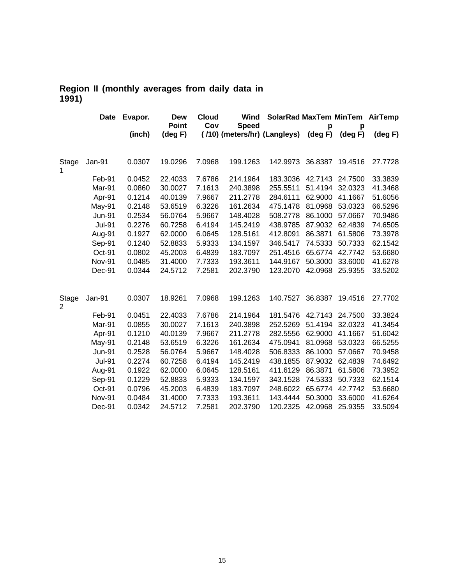## **Region II (monthly averages from daily data in 1991)**

|                         | <b>Date</b>   | Evapor. | Dew<br><b>Point</b> | <b>Cloud</b><br>Cov | Wind<br><b>Speed</b> | <b>SolarRad MaxTem MinTem</b> | p       | p                 | AirTemp |
|-------------------------|---------------|---------|---------------------|---------------------|----------------------|-------------------------------|---------|-------------------|---------|
|                         |               | (inch)  | $(\text{deg } F)$   |                     |                      | (/10) (meters/hr) (Langleys)  | (deg F) | $(\text{deg } F)$ | (deg F) |
|                         |               |         |                     |                     |                      |                               |         |                   |         |
| Stage<br>1              | Jan-91        | 0.0307  | 19.0296             | 7.0968              | 199.1263             | 142.9973                      | 36.8387 | 19.4516           | 27.7728 |
|                         | Feb-91        | 0.0452  | 22.4033             | 7.6786              | 214.1964             | 183.3036                      | 42.7143 | 24.7500           | 33.3839 |
|                         | Mar-91        | 0.0860  | 30.0027             | 7.1613              | 240.3898             | 255.5511                      | 51.4194 | 32.0323           | 41.3468 |
|                         | Apr-91        | 0.1214  | 40.0139             | 7.9667              | 211.2778             | 284.6111                      | 62.9000 | 41.1667           | 51.6056 |
|                         | May-91        | 0.2148  | 53.6519             | 6.3226              | 161.2634             | 475.1478                      | 81.0968 | 53.0323           | 66.5296 |
|                         | <b>Jun-91</b> | 0.2534  | 56.0764             | 5.9667              | 148.4028             | 508.2778                      | 86.1000 | 57.0667           | 70.9486 |
|                         | <b>Jul-91</b> | 0.2276  | 60.7258             | 6.4194              | 145.2419             | 438.9785                      | 87.9032 | 62.4839           | 74.6505 |
|                         | Aug-91        | 0.1927  | 62.0000             | 6.0645              | 128.5161             | 412.8091                      | 86.3871 | 61.5806           | 73.3978 |
|                         | Sep-91        | 0.1240  | 52.8833             | 5.9333              | 134.1597             | 346.5417                      | 74.5333 | 50.7333           | 62.1542 |
|                         | Oct-91        | 0.0802  | 45.2003             | 6.4839              | 183.7097             | 251.4516                      | 65.6774 | 42.7742           | 53.6680 |
|                         | <b>Nov-91</b> | 0.0485  | 31.4000             | 7.7333              | 193.3611             | 144.9167                      | 50.3000 | 33.6000           | 41.6278 |
|                         | Dec-91        | 0.0344  | 24.5712             | 7.2581              | 202.3790             | 123.2070                      | 42.0968 | 25.9355           | 33.5202 |
| Stage<br>$\overline{2}$ | Jan-91        | 0.0307  | 18.9261             | 7.0968              | 199.1263             | 140.7527                      | 36.8387 | 19.4516           | 27.7702 |
|                         | Feb-91        | 0.0451  | 22.4033             | 7.6786              | 214.1964             | 181.5476                      | 42.7143 | 24.7500           | 33.3824 |
|                         | Mar-91        | 0.0855  | 30.0027             | 7.1613              | 240.3898             | 252.5269                      | 51.4194 | 32.0323           | 41.3454 |
|                         | Apr-91        | 0.1210  | 40.0139             | 7.9667              | 211.2778             | 282.5556                      | 62.9000 | 41.1667           | 51.6042 |
|                         | May-91        | 0.2148  | 53.6519             | 6.3226              | 161.2634             | 475.0941                      | 81.0968 | 53.0323           | 66.5255 |
|                         | <b>Jun-91</b> | 0.2528  | 56.0764             | 5.9667              | 148.4028             | 506.8333                      | 86.1000 | 57.0667           | 70.9458 |
|                         | <b>Jul-91</b> | 0.2274  | 60.7258             | 6.4194              | 145.2419             | 438.1855                      | 87.9032 | 62.4839           | 74.6492 |
|                         | Aug-91        | 0.1922  | 62.0000             | 6.0645              | 128.5161             | 411.6129                      | 86.3871 | 61.5806           | 73.3952 |
|                         | Sep-91        | 0.1229  | 52.8833             | 5.9333              | 134.1597             | 343.1528                      | 74.5333 | 50.7333           | 62.1514 |
|                         | Oct-91        | 0.0796  | 45.2003             | 6.4839              | 183.7097             | 248.6022                      | 65.6774 | 42.7742           | 53.6680 |
|                         | <b>Nov-91</b> | 0.0484  | 31.4000             | 7.7333              | 193.3611             | 143.4444                      | 50.3000 | 33.6000           | 41.6264 |
|                         | Dec-91        | 0.0342  | 24.5712             | 7.2581              | 202.3790             | 120.2325                      | 42.0968 | 25.9355           | 33.5094 |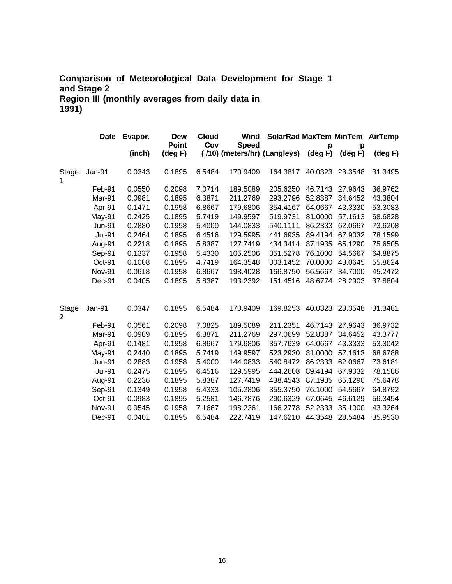## **Comparison of Meteorological Data Development for Stage 1 and Stage 2 Region III (monthly averages from daily data in 1991)**

| <b>Date</b>   | Evapor. | Dew    | <b>Cloud</b>                      | Wind     |                               |                                                                                                                                                                                  |                                                                                               |                                                                                                                                                                                                                                                                            |
|---------------|---------|--------|-----------------------------------|----------|-------------------------------|----------------------------------------------------------------------------------------------------------------------------------------------------------------------------------|-----------------------------------------------------------------------------------------------|----------------------------------------------------------------------------------------------------------------------------------------------------------------------------------------------------------------------------------------------------------------------------|
|               |         |        |                                   |          |                               |                                                                                                                                                                                  |                                                                                               | (deg F)                                                                                                                                                                                                                                                                    |
|               |         |        |                                   |          |                               |                                                                                                                                                                                  |                                                                                               |                                                                                                                                                                                                                                                                            |
| Jan-91        | 0.0343  | 0.1895 | 6.5484                            | 170.9409 |                               |                                                                                                                                                                                  | 23.3548                                                                                       | 31.3495                                                                                                                                                                                                                                                                    |
| Feb-91        | 0.0550  | 0.2098 |                                   | 189.5089 |                               |                                                                                                                                                                                  | 27.9643                                                                                       | 36.9762                                                                                                                                                                                                                                                                    |
| Mar-91        | 0.0981  | 0.1895 | 6.3871                            | 211.2769 |                               | 52.8387                                                                                                                                                                          | 34.6452                                                                                       | 43.3804                                                                                                                                                                                                                                                                    |
| Apr-91        | 0.1471  | 0.1958 | 6.8667                            | 179.6806 | 354.4167                      | 64.0667                                                                                                                                                                          | 43.3330                                                                                       | 53.3083                                                                                                                                                                                                                                                                    |
| May-91        | 0.2425  | 0.1895 | 5.7419                            | 149.9597 | 519.9731                      |                                                                                                                                                                                  | 57.1613                                                                                       | 68.6828                                                                                                                                                                                                                                                                    |
| <b>Jun-91</b> | 0.2880  | 0.1958 | 5.4000                            | 144.0833 | 540.1111                      |                                                                                                                                                                                  | 62.0667                                                                                       | 73.6208                                                                                                                                                                                                                                                                    |
| <b>Jul-91</b> | 0.2464  | 0.1895 | 6.4516                            | 129.5995 |                               |                                                                                                                                                                                  | 67.9032                                                                                       | 78.1599                                                                                                                                                                                                                                                                    |
| Aug-91        | 0.2218  | 0.1895 | 5.8387                            | 127.7419 |                               |                                                                                                                                                                                  | 65.1290                                                                                       | 75.6505                                                                                                                                                                                                                                                                    |
| Sep-91        | 0.1337  | 0.1958 | 5.4330                            | 105.2506 |                               |                                                                                                                                                                                  | 54.5667                                                                                       | 64.8875                                                                                                                                                                                                                                                                    |
| Oct-91        | 0.1008  | 0.1895 | 4.7419                            | 164.3548 |                               |                                                                                                                                                                                  | 43.0645                                                                                       | 55.8624                                                                                                                                                                                                                                                                    |
| <b>Nov-91</b> | 0.0618  | 0.1958 | 6.8667                            | 198.4028 |                               | 56.5667                                                                                                                                                                          | 34.7000                                                                                       | 45.2472                                                                                                                                                                                                                                                                    |
| Dec-91        | 0.0405  | 0.1895 | 5.8387                            | 193.2392 |                               |                                                                                                                                                                                  | 28.2903                                                                                       | 37.8804                                                                                                                                                                                                                                                                    |
| Jan-91        | 0.0347  | 0.1895 | 6.5484                            | 170.9409 |                               |                                                                                                                                                                                  | 23.3548                                                                                       | 31.3481                                                                                                                                                                                                                                                                    |
| Feb-91        | 0.0561  |        | 7.0825                            | 189.5089 | 211.2351                      |                                                                                                                                                                                  | 27.9643                                                                                       | 36.9732                                                                                                                                                                                                                                                                    |
| Mar-91        | 0.0989  | 0.1895 | 6.3871                            | 211.2769 |                               | 52.8387                                                                                                                                                                          | 34.6452                                                                                       | 43.3777                                                                                                                                                                                                                                                                    |
| Apr-91        | 0.1481  | 0.1958 | 6.8667                            | 179.6806 |                               | 64.0667                                                                                                                                                                          | 43.3333                                                                                       | 53.3042                                                                                                                                                                                                                                                                    |
| May-91        | 0.2440  | 0.1895 | 5.7419                            | 149.9597 |                               |                                                                                                                                                                                  | 57.1613                                                                                       | 68.6788                                                                                                                                                                                                                                                                    |
| <b>Jun-91</b> | 0.2883  | 0.1958 | 5.4000                            | 144.0833 |                               |                                                                                                                                                                                  | 62.0667                                                                                       | 73.6181                                                                                                                                                                                                                                                                    |
| <b>Jul-91</b> | 0.2475  | 0.1895 | 6.4516                            | 129.5995 |                               |                                                                                                                                                                                  | 67.9032                                                                                       | 78.1586                                                                                                                                                                                                                                                                    |
| Aug-91        | 0.2236  | 0.1895 | 5.8387                            | 127.7419 |                               |                                                                                                                                                                                  | 65.1290                                                                                       | 75.6478                                                                                                                                                                                                                                                                    |
| Sep-91        | 0.1349  | 0.1958 | 5.4333                            | 105.2806 |                               |                                                                                                                                                                                  | 54.5667                                                                                       | 64.8792                                                                                                                                                                                                                                                                    |
| Oct-91        | 0.0983  | 0.1895 | 5.2581                            | 146.7876 |                               |                                                                                                                                                                                  | 46.6129                                                                                       | 56.3454                                                                                                                                                                                                                                                                    |
| <b>Nov-91</b> | 0.0545  | 0.1958 | 7.1667                            | 198.2361 |                               |                                                                                                                                                                                  | 35.1000                                                                                       | 43.3264                                                                                                                                                                                                                                                                    |
| Dec-91        | 0.0401  | 0.1895 | 6.5484                            | 222.7419 |                               |                                                                                                                                                                                  | 28.5484                                                                                       | 35.9530                                                                                                                                                                                                                                                                    |
|               |         | (inch) | <b>Point</b><br>(deg F)<br>0.2098 |          | Cov<br><b>Speed</b><br>7.0714 | 205.6250<br>293.2796<br>441.6935<br>434.3414<br>351.5278<br>166.8750<br>151.4516<br>297.0699<br>357.7639<br>523.2930<br>540.8472<br>355.3750<br>290.6329<br>166.2778<br>147.6210 | p<br>(/10) (meters/hr) (Langleys)<br>164.3817<br>303.1452<br>169.8253<br>444.2608<br>438.4543 | SolarRad MaxTem MinTem AirTemp<br>p<br>(deg F)<br>(deg F)<br>40.0323<br>46.7143<br>81.0000<br>86.2333<br>89.4194<br>87.1935<br>76.1000<br>70.0000<br>48.6774<br>40.0323<br>46.7143<br>81.0000<br>86.2333<br>89.4194<br>87.1935<br>76.1000<br>67.0645<br>52.2333<br>44.3548 |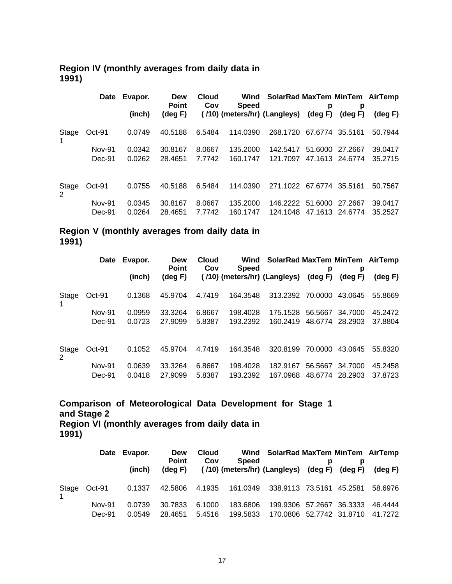## **Region IV (monthly averages from daily data in 1991)**

|            | <b>Date</b>   | Evapor. | Dew<br><b>Point</b> | <b>Cloud</b><br>Cov | Wind<br><b>Speed</b>         | SolarRad MaxTem MinTem AirTemp |                        |                 |                   |
|------------|---------------|---------|---------------------|---------------------|------------------------------|--------------------------------|------------------------|-----------------|-------------------|
|            |               | (inch)  | $(\text{deg } F)$   |                     | (/10) (meters/hr) (Langleys) |                                | р<br>$(\text{deg } F)$ | р<br>(deg F)    | $(\text{deg } F)$ |
| Stage<br>1 | Oct-91        | 0.0749  | 40.5188             | 6.5484              | 114.0390                     | 268.1720                       | 67.6774                | 35.5161         | 50.7944           |
|            | <b>Nov-91</b> | 0.0342  | 30.8167             | 8.0667              | 135.2000                     | 142.5417                       | 51.6000                | 27.2667         | 39.0417           |
|            | Dec-91        | 0.0262  | 28.4651             | 7.7742              | 160.1747                     | 121.7097                       |                        | 47.1613 24.6774 | 35.2715           |
| Stage<br>2 | Oct-91        | 0.0755  | 40.5188             | 6.5484              | 114.0390                     | 271.1022 67.6774               |                        | 35.5161         | 50.7567           |
|            | <b>Nov-91</b> | 0.0345  | 30.8167             | 8.0667              | 135.2000                     | 146.2222                       | 51.6000                | 27.2667         | 39.0417           |
|            | Dec-91        | 0.0264  | 28.4651             | 7.7742              | 160.1747                     | 124.1048                       |                        | 47.1613 24.6774 | 35.2527           |

## **Region V (monthly averages from daily data in 1991)**

|            | <b>Date</b>   | Evapor. | Dew<br><b>Point</b> | Cloud<br>Cov | Wind<br><b>Speed</b>         | SolarRad MaxTem MinTem AirTemp |                        |                        |         |
|------------|---------------|---------|---------------------|--------------|------------------------------|--------------------------------|------------------------|------------------------|---------|
|            |               | (inch)  | $(\deg F)$          |              | (/10) (meters/hr) (Langleys) |                                | р<br>$(\text{deg } F)$ | p<br>$(\text{deg } F)$ | (deg F) |
| Stage<br>1 | $Oct-91$      | 0.1368  | 45.9704             | 4.7419       | 164.3548                     | 313.2392                       | 70.0000                | 43.0645                | 55.8669 |
|            | <b>Nov-91</b> | 0.0959  | 33.3264             | 6.8667       | 198.4028                     | 175.1528                       | 56.5667                | 34.7000                | 45.2472 |
|            | Dec-91        | 0.0723  | 27.9099             | 5.8387       | 193.2392                     | 160.2419                       | 48.6774                | 28.2903                | 37.8804 |
| Stage<br>2 | $Oct-91$      | 0.1052  | 45.9704             | 4.7419       | 164.3548                     | 320.8199                       | 70.0000                | 43.0645                | 55.8320 |
|            | <b>Nov-91</b> | 0.0639  | 33.3264             | 6.8667       | 198.4028                     | 182.9167                       | 56.5667                | 34.7000                | 45.2458 |
|            | Dec-91        | 0.0418  | 27.9099             | 5.8387       | 193.2392                     | 167.0968                       | 48.6774                | 28.2903                | 37.8723 |

**Comparison of Meteorological Data Development for Stage 1 and Stage 2 Region VI (monthly averages from daily data in 1991)**

|       |                    | Date Evapor.     | Dew                     | Cloud            |                                                               | Wind SolarRad MaxTem MinTem AirTemp                   |   |                                                      |                    |
|-------|--------------------|------------------|-------------------------|------------------|---------------------------------------------------------------|-------------------------------------------------------|---|------------------------------------------------------|--------------------|
|       |                    | (inch)           | <b>Point</b><br>(dea F) | Cov              | Speed<br>(/10) (meters/hr) (Langleys) (deg F) (deg F) (deg F) |                                                       | p |                                                      |                    |
| Stage | Oct-91             | 0.1337           |                         |                  |                                                               | 42.5806  4.1935  161.0349  338.9113  73.5161  45.2581 |   |                                                      | 58.6976            |
|       | Nov-91<br>$Dec-91$ | 0.0739<br>0.0549 | 30.7833<br>28.4651      | 6.1000<br>5.4516 | 183.6806<br>199.5833                                          |                                                       |   | 199.9306 57.2667 36.3333<br>170.0806 52.7742 31.8710 | 46.4444<br>41.7272 |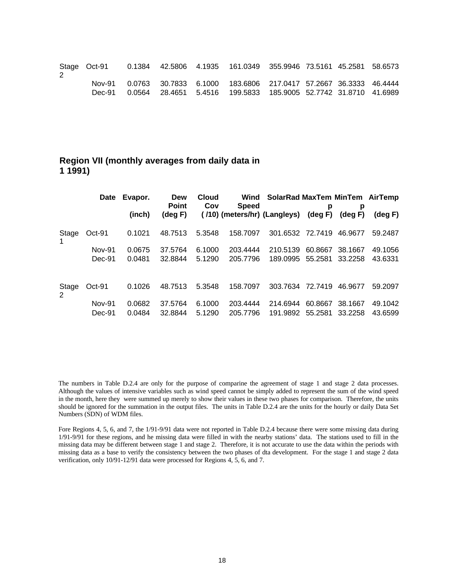| Stage Oct-91 |  | 0.1384  42.5806  4.1935  161.0349  355.9946  73.5161  45.2581  58.6573 |  |  |
|--------------|--|------------------------------------------------------------------------|--|--|
| Nov-91       |  | 0.0763  30.7833  6.1000  183.6806  217.0417  57.2667  36.3333  46.4444 |  |  |
| Dec-91.      |  | 0.0564  28.4651  5.4516  199.5833  185.9005  52.7742  31.8710  41.6989 |  |  |

## **Region VII (monthly averages from daily data in 1 1991)**

|            | <b>Date</b>   | Evapor. | <b>Dew</b><br><b>Point</b> | <b>Cloud</b><br>Cov | Wind<br><b>Speed</b> | SolarRad MaxTem MinTem AirTemp |                  |              |                   |
|------------|---------------|---------|----------------------------|---------------------|----------------------|--------------------------------|------------------|--------------|-------------------|
|            |               | (inch)  | $(\deg F)$                 |                     |                      | (/10) (meters/hr) (Langleys)   | р<br>(deg F)     | р<br>(deg F) | $(\text{deg } F)$ |
| Stage<br>1 | Oct-91        | 0.1021  | 48.7513                    | 5.3548              | 158.7097             |                                | 301.6532 72.7419 | 46.9677      | 59.2487           |
|            | <b>Nov-91</b> | 0.0675  | 37.5764                    | 6.1000              | 203.4444             | 210.5139                       | 60.8667          | 38.1667      | 49.1056           |
|            | Dec-91        | 0.0481  | 32.8844                    | 5.1290              | 205.7796             | 189.0995                       | 55.2581          | 33.2258      | 43.6331           |
| Stage<br>2 | Oct-91        | 0.1026  | 48.7513                    | 5.3548              | 158.7097             | 303.7634                       | 72.7419          | 46.9677      | 59.2097           |
|            | <b>Nov-91</b> | 0.0682  | 37.5764                    | 6.1000              | 203.4444             | 214.6944                       | 60.8667          | 38.1667      | 49.1042           |
|            | Dec-91        | 0.0484  | 32.8844                    | 5.1290              | 205.7796             | 191.9892                       | 55.2581          | 33.2258      | 43.6599           |

The numbers in Table D.2.4 are only for the purpose of comparine the agreement of stage 1 and stage 2 data processes. Although the values of intensive variables such as wind speed cannot be simply added to represent the sum of the wind speed in the month, here they were summed up merely to show their values in these two phases for comparison. Therefore, the units should be ignored for the summation in the output files. The units in Table D.2.4 are the units for the hourly or daily Data Set Numbers (SDN) of WDM files.

Fore Regions 4, 5, 6, and 7, the 1/91-9/91 data were not reported in Table D.2.4 because there were some missing data during 1/91-9/91 for these regions, and he missing data were filled in with the nearby stations' data. The stations used to fill in the missing data may be different between stage 1 and stage 2. Therefore, it is not accurate to use the data within the periods with missing data as a base to verify the consistency between the two phases of dta development. For the stage 1 and stage 2 data verification, only 10/91-12/91 data were processed for Regions 4, 5, 6, and 7.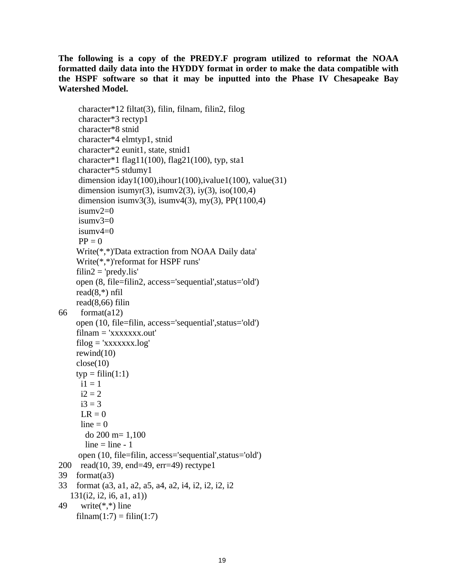**The following is a copy of the PREDY.F program utilized to reformat the NOAA formatted daily data into the HYDDY format in order to make the data compatible with the HSPF software so that it may be inputted into the Phase IV Chesapeake Bay Watershed Model.**

```
 character*12 filtat(3), filin, filnam, filin2, filog
      character*3 rectyp1
      character*8 stnid
      character*4 elmtyp1, stnid
      character*2 eunit1, state, stnid1
     character*1 flag11(100), flag21(100), typ, sta1
      character*5 stdumy1
     dimension \text{iday1}(100), \text{ihour1}(100), \text{ivalue1}(100), \text{value}(31)dimension isumyr(3), isumy2(3), iy(3), iso(100,4)
     dimension isumv3(3), isumv4(3), my(3), PP(1100,4)
     isumv2=0isumv3=0isumv4=0PP = 0 Write(*,*)'Data extraction from NOAA Daily data'
      Write(*,*)'reformat for HSPF runs'
     filing = 'predy. open (8, file=filin2, access='sequential',status='old')
     read(8,*) nfil
     read(8,66) filin
66 format(a12)
      open (10, file=filin, access='sequential',status='old')
     filnam = 'xxxxxx.xu.out'
     fileg = 'xxxxxxx.log'rewind(10)close(10)typ = filin(1:1)i1 \equiv 1i2 \equiv 2i3 = 3LR = 0line = 0 do 200 m= 1,100
       line = line - 1 open (10, file=filin, access='sequential',status='old')
200 read(10, 39, end=49, err=49) rectype1
39 format(a3)
33 format (a3, a1, a2, a5, a4, a2, i4, i2, i2, i2, i2
    131(i2, i2, i6, a1, a1))
49 write(*,*) line
     filnam(1:7) = filin(1:7)
```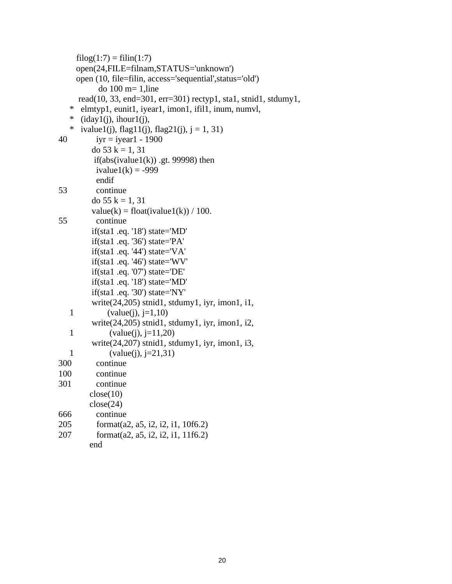```
\text{filo}(1:7) = \text{filin}(1:7) open(24,FILE=filnam,STATUS='unknown')
     open (10, file=filin, access='sequential',status='old')
            do 100 m= 1,line
      read(10, 33, end=301, err=301) rectyp1, sta1, stnid1, stdumy1,
    * elmtyp1, eunit1, iyear1, imon1, ifil1, inum, numvl,
   * (iday1(j), ihour1(j),
   * ivalue1(j), flag11(j), flag21(j), j = 1, 31)
40 iyr = iyear1 - 1900
         do 53 k = 1, 31if(abs(ivalue1(k)) .gt. 99998) then
          ivalue1(k) = -999 endif
53 continue
         do 55 \text{ k} = 1, 31value(k) = float(ivalue1(k)) / 100.
55 continue
          if(sta1 .eq. '18') state='MD'
          if(sta1 .eq. '36') state='PA'
          if(sta1 .eq. '44') state='VA'
         if(sta1 .eq. '46') state='WV'
         if(sta1 .eq. '07') state=DE' if(sta1 .eq. '18') state='MD'
         if(sta1 .eq. '30') state='NY'
          write(24,205) stnid1, stdumy1, iyr, imon1, i1,
   1 \text{(value(i), i=1,10)} write(24,205) stnid1, stdumy1, iyr, imon1, i2,
   1 \text{(value(i), i=11,20)} write(24,207) stnid1, stdumy1, iyr, imon1, i3,
   1 \text{(value(i), j=21,31)}300 continue
100 continue
301 continue
        close(10)close(24)666 continue
205 format(a2, a5, i2, i2, i1, 10f6.2)
207 format(a2, a5, i2, i2, i1, 11f6.2)
         end
```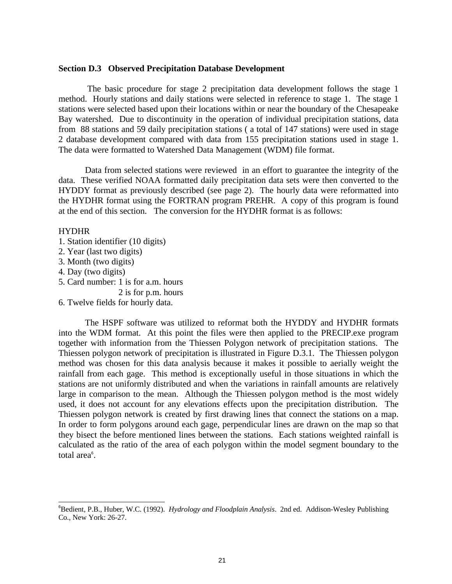#### **Section D.3 Observed Precipitation Database Development**

 The basic procedure for stage 2 precipitation data development follows the stage 1 method. Hourly stations and daily stations were selected in reference to stage 1. The stage 1 stations were selected based upon their locations within or near the boundary of the Chesapeake Bay watershed. Due to discontinuity in the operation of individual precipitation stations, data from 88 stations and 59 daily precipitation stations ( a total of 147 stations) were used in stage 2 database development compared with data from 155 precipitation stations used in stage 1. The data were formatted to Watershed Data Management (WDM) file format.

Data from selected stations were reviewed in an effort to guarantee the integrity of the data. These verified NOAA formatted daily precipitation data sets were then converted to the HYDDY format as previously described (see page 2). The hourly data were reformatted into the HYDHR format using the FORTRAN program PREHR. A copy of this program is found at the end of this section. The conversion for the HYDHR format is as follows:

### HYDHR

 $\overline{a}$ 

- 1. Station identifier (10 digits)
- 2. Year (last two digits)
- 3. Month (two digits)
- 4. Day (two digits)
- 5. Card number: 1 is for a.m. hours
	- 2 is for p.m. hours
- 6. Twelve fields for hourly data.

The HSPF software was utilized to reformat both the HYDDY and HYDHR formats into the WDM format. At this point the files were then applied to the PRECIP.exe program together with information from the Thiessen Polygon network of precipitation stations. The Thiessen polygon network of precipitation is illustrated in Figure D.3.1. The Thiessen polygon method was chosen for this data analysis because it makes it possible to aerially weight the rainfall from each gage. This method is exceptionally useful in those situations in which the stations are not uniformly distributed and when the variations in rainfall amounts are relatively large in comparison to the mean. Although the Thiessen polygon method is the most widely used, it does not account for any elevations effects upon the precipitation distribution. The Thiessen polygon network is created by first drawing lines that connect the stations on a map. In order to form polygons around each gage, perpendicular lines are drawn on the map so that they bisect the before mentioned lines between the stations. Each stations weighted rainfall is calculated as the ratio of the area of each polygon within the model segment boundary to the total area<sup>6</sup>.

<sup>&</sup>lt;sup>6</sup>Bedient, P.B., Huber, W.C. (1992). *Hydrology and Floodplain Analysis*. 2nd ed. Addison-Wesley Publishing Co., New York: 26-27.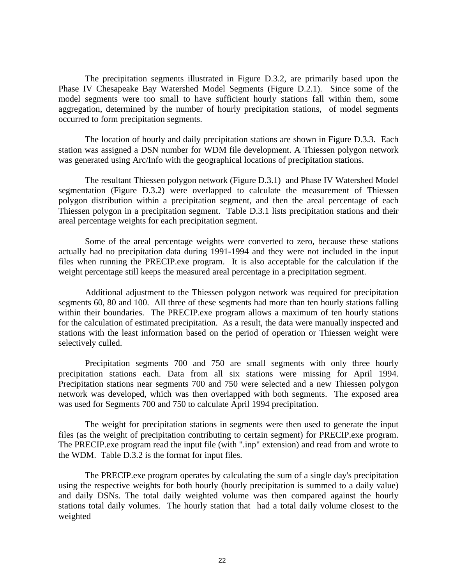The precipitation segments illustrated in Figure D.3.2, are primarily based upon the Phase IV Chesapeake Bay Watershed Model Segments (Figure D.2.1). Since some of the model segments were too small to have sufficient hourly stations fall within them, some aggregation, determined by the number of hourly precipitation stations, of model segments occurred to form precipitation segments.

The location of hourly and daily precipitation stations are shown in Figure D.3.3. Each station was assigned a DSN number for WDM file development. A Thiessen polygon network was generated using Arc/Info with the geographical locations of precipitation stations.

 The resultant Thiessen polygon network (Figure D.3.1) and Phase IV Watershed Model segmentation (Figure D.3.2) were overlapped to calculate the measurement of Thiessen polygon distribution within a precipitation segment, and then the areal percentage of each Thiessen polygon in a precipitation segment. Table D.3.1 lists precipitation stations and their areal percentage weights for each precipitation segment.

Some of the areal percentage weights were converted to zero, because these stations actually had no precipitation data during 1991-1994 and they were not included in the input files when running the PRECIP.exe program. It is also acceptable for the calculation if the weight percentage still keeps the measured areal percentage in a precipitation segment.

Additional adjustment to the Thiessen polygon network was required for precipitation segments 60, 80 and 100. All three of these segments had more than ten hourly stations falling within their boundaries. The PRECIP exe program allows a maximum of ten hourly stations for the calculation of estimated precipitation. As a result, the data were manually inspected and stations with the least information based on the period of operation or Thiessen weight were selectively culled.

Precipitation segments 700 and 750 are small segments with only three hourly precipitation stations each. Data from all six stations were missing for April 1994. Precipitation stations near segments 700 and 750 were selected and a new Thiessen polygon network was developed, which was then overlapped with both segments. The exposed area was used for Segments 700 and 750 to calculate April 1994 precipitation.

The weight for precipitation stations in segments were then used to generate the input files (as the weight of precipitation contributing to certain segment) for PRECIP.exe program. The PRECIP.exe program read the input file (with ".inp" extension) and read from and wrote to the WDM. Table D.3.2 is the format for input files.

The PRECIP.exe program operates by calculating the sum of a single day's precipitation using the respective weights for both hourly (hourly precipitation is summed to a daily value) and daily DSNs. The total daily weighted volume was then compared against the hourly stations total daily volumes. The hourly station that had a total daily volume closest to the weighted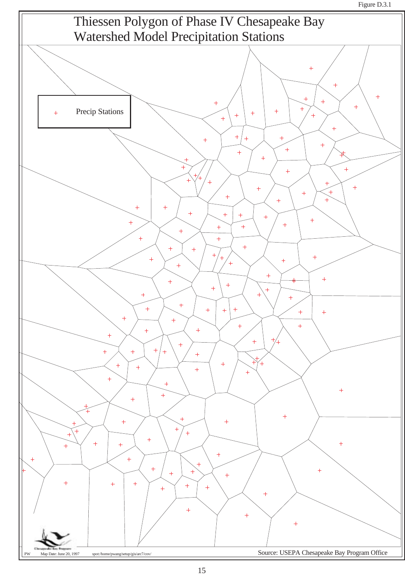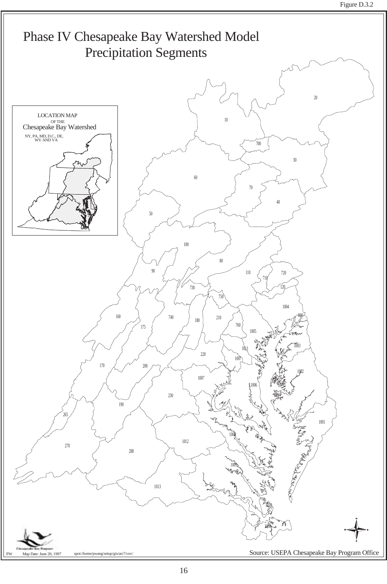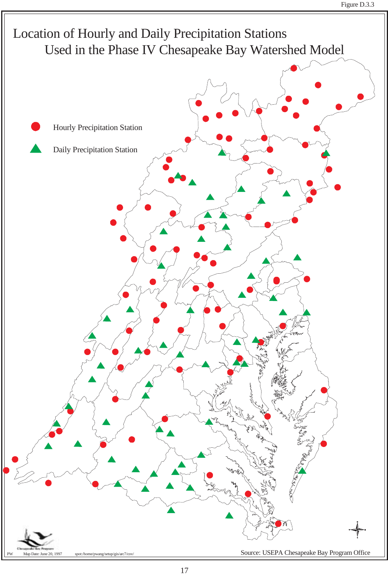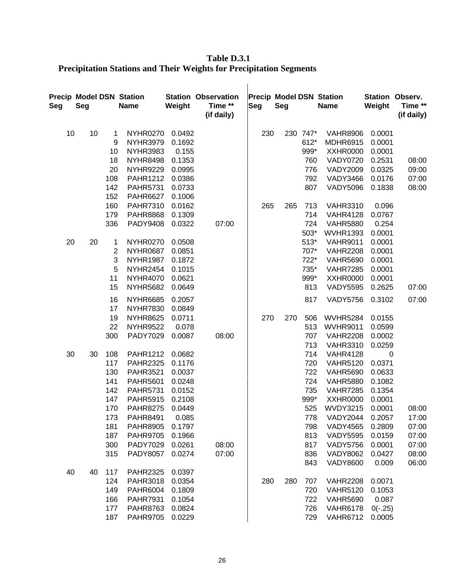**Table D.3.1 Precipitation Stations and Their Weights for Precipitation Segments**

|                                                                                                  | 0.0001<br><b>VAHR8906</b><br><b>MDHR6915</b><br>0.0001 |
|--------------------------------------------------------------------------------------------------|--------------------------------------------------------|
| 10<br>10<br>NYHR0270<br>0.0492<br>230<br>230 747*<br>1<br>612*<br>9<br><b>NYHR3979</b><br>0.1692 |                                                        |
| 999*<br><b>NYHR3983</b><br>0.155<br>10                                                           | <b>XXHR0000</b><br>0.0001                              |
| 18<br><b>NYHR8498</b><br>0.1353<br>760                                                           | <b>VADY0720</b><br>0.2531<br>08:00                     |
| 20<br>776<br><b>NYHR9229</b><br>0.0995                                                           | <b>VADY2009</b><br>0.0325<br>09:00                     |
| 108<br>792<br><b>PAHR1212</b><br>0.0386<br>142                                                   | 0.0176<br><b>VADY3466</b><br>07:00                     |
| 807<br><b>PAHR5731</b><br>0.0733<br>152                                                          | <b>VADY5096</b><br>0.1838<br>08:00                     |
| <b>PAHR6627</b><br>0.1006<br>160<br>713<br><b>PAHR7310</b><br>0.0162<br>265<br>265               | <b>VAHR3310</b><br>0.096                               |
| 179<br><b>PAHR8868</b><br>714<br>0.1309                                                          | 0.0767<br><b>VAHR4128</b>                              |
| 336<br>724<br><b>PADY9408</b><br>0.0322<br>07:00                                                 | <b>VAHR5880</b><br>0.254                               |
| 503*                                                                                             | 0.0001<br><b>WVHR1393</b>                              |
| 20<br>$513*$<br>20<br>NYHR0270<br>0.0508<br>1                                                    | 0.0001<br><b>VAHR9011</b>                              |
| 0.0851<br>707*<br>2<br><b>NYHR0687</b>                                                           | 0.0001<br><b>VAHR2208</b>                              |
| 3<br>0.1872<br>722*<br><b>NYHR1987</b>                                                           | 0.0001<br><b>VAHR5690</b>                              |
| 5<br>0.1015<br>735*<br><b>NYHR2454</b>                                                           | 0.0001<br><b>VAHR7285</b>                              |
| 11<br>0.0621<br>999*<br><b>NYHR4070</b>                                                          | 0.0001<br><b>XXHR0000</b>                              |
| 0.0649<br>813<br>15<br><b>NYHR5682</b>                                                           | <b>VADY5595</b><br>0.2625<br>07:00                     |
| 0.2057<br>16<br><b>NYHR6685</b><br>817                                                           | 07:00<br><b>VADY5756</b><br>0.3102                     |
| 0.0849<br>17<br><b>NYHR7830</b>                                                                  |                                                        |
| 19<br>0.0711<br>270<br>270<br><b>NYHR8625</b><br>506                                             | <b>WVHR5284</b><br>0.0155                              |
| 22<br>513<br><b>NYHR9522</b><br>0.078                                                            | <b>WVHR9011</b><br>0.0599                              |
| 300<br>0.0087<br>08:00<br>PADY7029<br>707                                                        | <b>VAHR2208</b><br>0.0002                              |
| 713                                                                                              | 0.0259<br><b>VAHR3310</b>                              |
| 714<br>30<br>30<br>108<br><b>PAHR1212</b><br>0.0682                                              | <b>VAHR4128</b><br>$\boldsymbol{0}$                    |
| 117<br><b>PAHR2325</b><br>0.1176<br>720                                                          | <b>VAHR5120</b><br>0.0371                              |
| 722<br>130<br><b>PAHR3521</b><br>0.0037                                                          | <b>VAHR5690</b><br>0.0633                              |
| 141<br>724<br><b>PAHR5601</b><br>0.0248                                                          | <b>VAHR5880</b><br>0.1082                              |
| 142<br>735<br><b>PAHR5731</b><br>0.0152                                                          | 0.1354<br><b>VAHR7285</b>                              |
| 147<br>999*<br><b>PAHR5915</b><br>0.2108                                                         | <b>XXHR0000</b><br>0.0001                              |
| 170<br>525<br><b>PAHR8275</b><br>0.0449                                                          | <b>WVDY3215</b><br>0.0001<br>08:00                     |
| <b>PAHR8491</b><br>0.085<br>173<br>778                                                           | <b>VADY2044</b><br>0.2057<br>17:00                     |
| 181<br>0.1797<br>798<br><b>PAHR8905</b>                                                          | <b>VADY4565</b><br>0.2809<br>07:00                     |
| 187<br><b>PAHR9705</b><br>0.1966<br>813                                                          | <b>VADY5595</b><br>0.0159<br>07:00                     |
| 300<br><b>PADY7029</b><br>0.0261<br>08:00<br>817                                                 | <b>VADY5756</b><br>0.0001<br>07:00                     |
| 315<br>07:00<br><b>PADY8057</b><br>0.0274<br>836                                                 | <b>VADY8062</b><br>0.0427<br>08:00                     |
| 843                                                                                              | <b>VADY8600</b><br>0.009<br>06:00                      |
| 40<br>40<br><b>PAHR2325</b><br>0.0397<br>117                                                     |                                                        |
| 124<br><b>PAHR3018</b><br>0.0354<br>280<br>280<br>707<br>720<br>149<br><b>PAHR6004</b><br>0.1809 | <b>VAHR2208</b><br>0.0071<br><b>VAHR5120</b><br>0.1053 |
| 722<br>166<br><b>PAHR7931</b><br>0.1054                                                          | 0.087<br><b>VAHR5690</b>                               |
| 177<br><b>PAHR8763</b><br>0.0824<br>726                                                          | <b>VAHR6178</b><br>$0(-.25)$                           |
| 187<br><b>PAHR9705</b><br>0.0229<br>729                                                          | <b>VAHR6712</b><br>0.0005                              |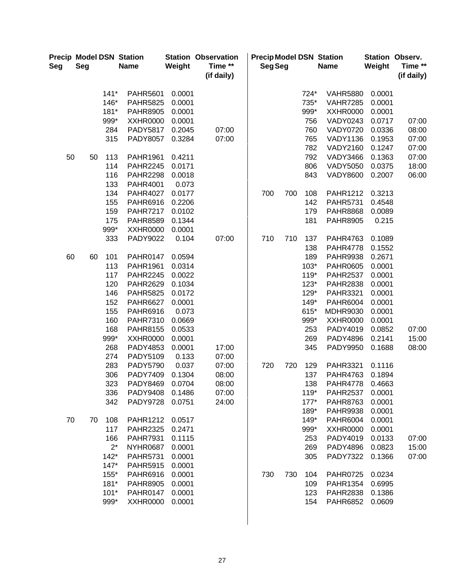| Seg | Seg |                  | <b>Precip Model DSN Station</b><br><b>Name</b> | Weight           | <b>Station Observation</b><br>Time **<br>(if daily) | <b>Precip Model DSN Station</b><br>Seg Seg |     |              | <b>Name</b>                        | Weight           | Station Observ.<br>Time **<br>(if daily) |
|-----|-----|------------------|------------------------------------------------|------------------|-----------------------------------------------------|--------------------------------------------|-----|--------------|------------------------------------|------------------|------------------------------------------|
|     |     | $141*$           | <b>PAHR5601</b>                                | 0.0001           |                                                     |                                            |     | 724*         | <b>VAHR5880</b>                    | 0.0001           |                                          |
|     |     | 146*             | <b>PAHR5825</b>                                | 0.0001           |                                                     |                                            |     | 735*         | <b>VAHR7285</b>                    | 0.0001           |                                          |
|     |     | 181*             | <b>PAHR8905</b>                                | 0.0001           |                                                     |                                            |     | 999*         | <b>XXHR0000</b>                    | 0.0001           |                                          |
|     |     | 999*             | <b>XXHR0000</b>                                | 0.0001           |                                                     |                                            |     | 756          | <b>VADY0243</b>                    | 0.0717           | 07:00                                    |
|     |     | 284              | <b>PADY5817</b>                                | 0.2045           | 07:00                                               |                                            |     | 760          | <b>VADY0720</b>                    | 0.0336           | 08:00                                    |
|     |     | 315              | <b>PADY8057</b>                                | 0.3284           | 07:00                                               |                                            |     | 765          | <b>VADY1136</b>                    | 0.1953           | 07:00                                    |
|     |     |                  |                                                |                  |                                                     |                                            |     | 782          | <b>VADY2160</b>                    | 0.1247           | 07:00                                    |
| 50  | 50  | 113<br>114       | <b>PAHR1961</b><br><b>PAHR2245</b>             | 0.4211           |                                                     |                                            |     | 792          | <b>VADY3466</b>                    | 0.1363           | 07:00                                    |
|     |     | 116              | <b>PAHR2298</b>                                | 0.0171<br>0.0018 |                                                     |                                            |     | 806<br>843   | <b>VADY5050</b><br><b>VADY8600</b> | 0.0375<br>0.2007 | 18:00<br>06:00                           |
|     |     | 133              | <b>PAHR4001</b>                                | 0.073            |                                                     |                                            |     |              |                                    |                  |                                          |
|     |     | 134              | <b>PAHR4027</b>                                | 0.0177           |                                                     | 700                                        | 700 | 108          | <b>PAHR1212</b>                    | 0.3213           |                                          |
|     |     | 155              | <b>PAHR6916</b>                                | 0.2206           |                                                     |                                            |     | 142          | <b>PAHR5731</b>                    | 0.4548           |                                          |
|     |     | 159              | <b>PAHR7217</b>                                | 0.0102           |                                                     |                                            |     | 179          | <b>PAHR8868</b>                    | 0.0089           |                                          |
|     |     | 175              | <b>PAHR8589</b>                                | 0.1344           |                                                     |                                            |     | 181          | <b>PAHR8905</b>                    | 0.215            |                                          |
|     |     | 999*             | <b>XXHR0000</b>                                | 0.0001           |                                                     |                                            |     |              |                                    |                  |                                          |
|     |     | 333              | PADY9022                                       | 0.104            | 07:00                                               | 710                                        | 710 | 137          | <b>PAHR4763</b>                    | 0.1089           |                                          |
|     |     |                  |                                                |                  |                                                     |                                            |     | 138          | <b>PAHR4778</b>                    | 0.1552           |                                          |
| 60  | 60  | 101              | <b>PAHR0147</b>                                | 0.0594           |                                                     |                                            |     | 189          | <b>PAHR9938</b>                    | 0.2671           |                                          |
|     |     | 113              | <b>PAHR1961</b>                                | 0.0314           |                                                     |                                            |     | $103*$       | <b>PAHR0605</b>                    | 0.0001           |                                          |
|     |     | 117              | <b>PAHR2245</b>                                | 0.0022           |                                                     |                                            |     | $119*$       | <b>PAHR2537</b>                    | 0.0001           |                                          |
|     |     | 120              | <b>PAHR2629</b>                                | 0.1034           |                                                     |                                            |     | $123*$       | <b>PAHR2838</b>                    | 0.0001           |                                          |
|     |     | 146              | <b>PAHR5825</b>                                | 0.0172           |                                                     |                                            |     | 129*         | <b>PAHR3321</b>                    | 0.0001           |                                          |
|     |     | 152              | <b>PAHR6627</b>                                | 0.0001           |                                                     |                                            |     | 149*         | <b>PAHR6004</b>                    | 0.0001           |                                          |
|     |     | 155              | <b>PAHR6916</b>                                | 0.073            |                                                     |                                            |     | 615*<br>999* | <b>MDHR9030</b>                    | 0.0001           |                                          |
|     |     | 160<br>168       | <b>PAHR7310</b><br><b>PAHR8155</b>             | 0.0669<br>0.0533 |                                                     |                                            |     | 253          | <b>XXHR0000</b><br>PADY4019        | 0.0001<br>0.0852 | 07:00                                    |
|     |     | 999*             | <b>XXHR0000</b>                                | 0.0001           |                                                     |                                            |     | 269          | <b>PADY4896</b>                    | 0.2141           | 15:00                                    |
|     |     | 268              | PADY4853                                       | 0.0001           | 17:00                                               |                                            |     | 345          | PADY9950                           | 0.1688           | 08:00                                    |
|     |     | 274              | PADY5109                                       | 0.133            | 07:00                                               |                                            |     |              |                                    |                  |                                          |
|     |     | 283              | <b>PADY5790</b>                                | 0.037            | 07:00                                               | 720                                        | 720 | 129          | <b>PAHR3321</b>                    | 0.1116           |                                          |
|     |     | 306              | PADY7409                                       | 0.1304           | 08:00                                               |                                            |     | 137          | <b>PAHR4763</b>                    | 0.1894           |                                          |
|     |     | 323              | <b>PADY8469</b>                                | 0.0704           | 08:00                                               |                                            |     | 138          | <b>PAHR4778</b>                    | 0.4663           |                                          |
|     |     | 336              | PADY9408                                       | 0.1486           | 07:00                                               |                                            |     | 119*         | <b>PAHR2537</b>                    | 0.0001           |                                          |
|     |     | 342              | <b>PADY9728</b>                                | 0.0751           | 24:00                                               |                                            |     | $177*$       | <b>PAHR8763</b>                    | 0.0001           |                                          |
|     |     |                  |                                                |                  |                                                     |                                            |     | 189*         | <b>PAHR9938</b>                    | 0.0001           |                                          |
| 70  | 70  | 108              | <b>PAHR1212</b>                                | 0.0517           |                                                     |                                            |     | 149*         | <b>PAHR6004</b>                    | 0.0001           |                                          |
|     |     | 117              | <b>PAHR2325</b>                                | 0.2471           |                                                     |                                            |     | 999*         | <b>XXHR0000</b>                    | 0.0001           |                                          |
|     |     | 166              | <b>PAHR7931</b>                                | 0.1115           |                                                     |                                            |     | 253          | PADY4019                           | 0.0133           | 07:00                                    |
|     |     | $2^*$            | NYHR0687                                       | 0.0001           |                                                     |                                            |     | 269          | <b>PADY4896</b>                    | 0.0823           | 15:00                                    |
|     |     | $142*$           | <b>PAHR5731</b>                                | 0.0001           |                                                     |                                            |     | 305          | <b>PADY7322</b>                    | 0.1366           | 07:00                                    |
|     |     | $147*$           | <b>PAHR5915</b>                                | 0.0001           |                                                     |                                            |     |              |                                    |                  |                                          |
|     |     | 155*             | <b>PAHR6916</b>                                | 0.0001           |                                                     | 730                                        | 730 | 104          | <b>PAHR0725</b>                    | 0.0234           |                                          |
|     |     | $181*$<br>$101*$ | <b>PAHR8905</b><br><b>PAHR0147</b>             | 0.0001<br>0.0001 |                                                     |                                            |     | 109<br>123   | <b>PAHR1354</b><br><b>PAHR2838</b> | 0.6995<br>0.1386 |                                          |
|     |     | 999*             | XXHR0000                                       | 0.0001           |                                                     |                                            |     | 154          | <b>PAHR6852</b>                    | 0.0609           |                                          |
|     |     |                  |                                                |                  |                                                     |                                            |     |              |                                    |                  |                                          |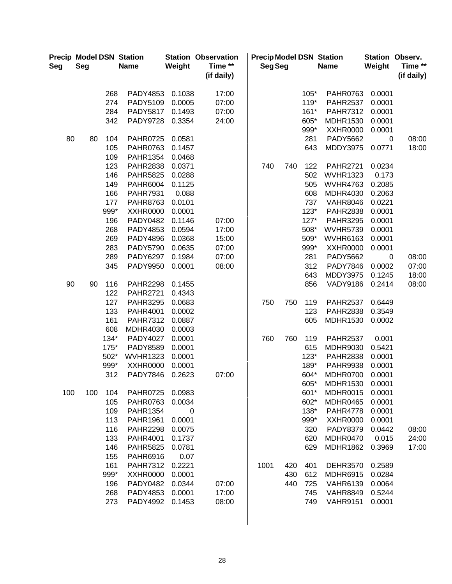| Seg | Seg |        | <b>Precip Model DSN Station</b><br><b>Name</b> | Weight | <b>Station Observation</b><br>Time **<br>(if daily) | <b>Precip Model DSN Station</b><br>Seg Seg |     |            | <b>Name</b>                        | Station Observ.<br>Weight | Time **<br>(if daily) |
|-----|-----|--------|------------------------------------------------|--------|-----------------------------------------------------|--------------------------------------------|-----|------------|------------------------------------|---------------------------|-----------------------|
|     |     | 268    | <b>PADY4853</b>                                | 0.1038 | 17:00                                               |                                            |     | 105*       | <b>PAHR0763</b>                    | 0.0001                    |                       |
|     |     | 274    | PADY5109                                       | 0.0005 | 07:00                                               |                                            |     | $119*$     | <b>PAHR2537</b>                    | 0.0001                    |                       |
|     |     | 284    | <b>PADY5817</b>                                | 0.1493 | 07:00                                               |                                            |     | $161*$     | <b>PAHR7312</b>                    | 0.0001                    |                       |
|     |     | 342    | <b>PADY9728</b>                                | 0.3354 | 24:00                                               |                                            |     | 605*       | <b>MDHR1530</b>                    | 0.0001                    |                       |
|     |     |        |                                                |        |                                                     |                                            |     | 999*       | <b>XXHR0000</b>                    | 0.0001                    |                       |
| 80  | 80  | 104    | <b>PAHR0725</b>                                | 0.0581 |                                                     |                                            |     | 281        | PADY5662                           | $\mathbf 0$               | 08:00                 |
|     |     | 105    | <b>PAHR0763</b>                                | 0.1457 |                                                     |                                            |     | 643        | MDDY3975                           | 0.0771                    | 18:00                 |
|     |     | 109    | <b>PAHR1354</b>                                | 0.0468 |                                                     |                                            |     |            |                                    |                           |                       |
|     |     | 123    | <b>PAHR2838</b>                                | 0.0371 |                                                     | 740                                        | 740 | 122        | <b>PAHR2721</b>                    | 0.0234                    |                       |
|     |     | 146    | <b>PAHR5825</b>                                | 0.0288 |                                                     |                                            |     | 502        | <b>WVHR1323</b>                    | 0.173                     |                       |
|     |     | 149    | <b>PAHR6004</b>                                | 0.1125 |                                                     |                                            |     | 505        | <b>WVHR4763</b>                    | 0.2085                    |                       |
|     |     | 166    | <b>PAHR7931</b>                                | 0.088  |                                                     |                                            |     | 608        | <b>MDHR4030</b>                    | 0.2063                    |                       |
|     |     | 177    | <b>PAHR8763</b>                                | 0.0101 |                                                     |                                            |     | 737        | <b>VAHR8046</b>                    | 0.0221                    |                       |
|     |     | 999*   | <b>XXHR0000</b>                                | 0.0001 |                                                     |                                            |     | $123*$     | <b>PAHR2838</b>                    | 0.0001                    |                       |
|     |     | 196    | PADY0482                                       | 0.1146 | 07:00                                               |                                            |     | $127*$     | <b>PAHR3295</b>                    | 0.0001                    |                       |
|     |     | 268    | PADY4853                                       | 0.0594 | 17:00                                               |                                            |     | $508*$     | <b>WVHR5739</b>                    | 0.0001                    |                       |
|     |     | 269    | PADY4896                                       | 0.0368 | 15:00                                               |                                            |     | 509*       | <b>WVHR6163</b>                    | 0.0001                    |                       |
|     |     | 283    | <b>PADY5790</b>                                | 0.0635 | 07:00                                               |                                            |     | 999*       | <b>XXHR0000</b>                    | 0.0001                    |                       |
|     |     | 289    | <b>PADY6297</b>                                | 0.1984 | 07:00                                               |                                            |     | 281<br>312 | <b>PADY5662</b>                    | 0                         | 08:00                 |
|     |     | 345    | PADY9950                                       | 0.0001 | 08:00                                               |                                            |     | 643        | <b>PADY7846</b><br><b>MDDY3975</b> | 0.0002<br>0.1245          | 07:00<br>18:00        |
| 90  | 90  | 116    | <b>PAHR2298</b>                                | 0.1455 |                                                     |                                            |     | 856        | <b>VADY9186</b>                    | 0.2414                    | 08:00                 |
|     |     | 122    | <b>PAHR2721</b>                                | 0.4343 |                                                     |                                            |     |            |                                    |                           |                       |
|     |     | 127    | <b>PAHR3295</b>                                | 0.0683 |                                                     | 750                                        | 750 | 119        | <b>PAHR2537</b>                    | 0.6449                    |                       |
|     |     | 133    | <b>PAHR4001</b>                                | 0.0002 |                                                     |                                            |     | 123        | <b>PAHR2838</b>                    | 0.3549                    |                       |
|     |     | 161    | <b>PAHR7312</b>                                | 0.0887 |                                                     |                                            |     | 605        | <b>MDHR1530</b>                    | 0.0002                    |                       |
|     |     | 608    | <b>MDHR4030</b>                                | 0.0003 |                                                     |                                            |     |            |                                    |                           |                       |
|     |     | $134*$ | <b>PADY4027</b>                                | 0.0001 |                                                     | 760                                        | 760 | 119        | <b>PAHR2537</b>                    | 0.001                     |                       |
|     |     | 175*   | PADY8589                                       | 0.0001 |                                                     |                                            |     | 615        | <b>MDHR9030</b>                    | 0.5421                    |                       |
|     |     | 502*   | <b>WVHR1323</b>                                | 0.0001 |                                                     |                                            |     | $123*$     | <b>PAHR2838</b>                    | 0.0001                    |                       |
|     |     | 999*   | <b>XXHR0000</b>                                | 0.0001 |                                                     |                                            |     | 189*       | <b>PAHR9938</b>                    | 0.0001                    |                       |
|     |     | 312    | <b>PADY7846</b>                                | 0.2623 | 07:00                                               |                                            |     | 604*       | MDHR0700                           | 0.0001                    |                       |
|     |     |        |                                                |        |                                                     |                                            |     | 605*       | MDHR1530                           | 0.0001                    |                       |
| 100 | 100 | 104    | <b>PAHR0725</b>                                | 0.0983 |                                                     |                                            |     | 601*       | <b>MDHR0015</b>                    | 0.0001                    |                       |
|     |     | 105    | <b>PAHR0763</b>                                | 0.0034 |                                                     |                                            |     | 602*       | MDHR0465                           | 0.0001                    |                       |
|     |     | 109    | <b>PAHR1354</b>                                | 0      |                                                     |                                            |     | 138*       | <b>PAHR4778</b>                    | 0.0001                    |                       |
|     |     | 113    | <b>PAHR1961</b>                                | 0.0001 |                                                     |                                            |     | 999*       | <b>XXHR0000</b>                    | 0.0001                    |                       |
|     |     | 116    | <b>PAHR2298</b>                                | 0.0075 |                                                     |                                            |     | 320        | <b>PADY8379</b>                    | 0.0442                    | 08:00                 |
|     |     | 133    | <b>PAHR4001</b>                                | 0.1737 |                                                     |                                            |     | 620        | MDHR0470                           | 0.015                     | 24:00                 |
|     |     | 146    | <b>PAHR5825</b>                                | 0.0781 |                                                     |                                            |     | 629        | <b>MDHR1862</b>                    | 0.3969                    | 17:00                 |
|     |     | 155    | <b>PAHR6916</b>                                | 0.07   |                                                     |                                            |     |            |                                    |                           |                       |
|     |     | 161    | <b>PAHR7312</b>                                | 0.2221 |                                                     | 1001                                       | 420 | 401        | <b>DEHR3570</b>                    | 0.2589                    |                       |
|     |     | 999*   | XXHR0000                                       | 0.0001 |                                                     |                                            | 430 | 612        | <b>MDHR6915</b>                    | 0.0284                    |                       |
|     |     | 196    | <b>PADY0482</b>                                | 0.0344 | 07:00                                               |                                            | 440 | 725        | <b>VAHR6139</b>                    | 0.0064                    |                       |
|     |     | 268    | PADY4853                                       | 0.0001 | 17:00                                               |                                            |     | 745        | <b>VAHR8849</b>                    | 0.5244                    |                       |
|     |     | 273    | <b>PADY4992</b>                                | 0.1453 | 08:00                                               |                                            |     | 749        | <b>VAHR9151</b>                    | 0.0001                    |                       |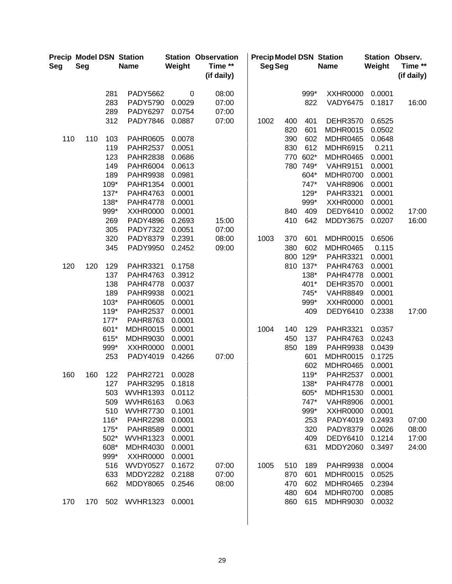| Seg | Seg |            | <b>Precip Model DSN Station</b><br><b>Name</b> | Weight           | <b>Station Observation</b><br>Time **<br>(if daily) | <b>Precip Model DSN Station</b><br>Seg Seg |            |            | <b>Name</b>                 | Weight           | Station Observ.<br>Time **<br>(if daily) |
|-----|-----|------------|------------------------------------------------|------------------|-----------------------------------------------------|--------------------------------------------|------------|------------|-----------------------------|------------------|------------------------------------------|
|     |     | 281        | PADY5662                                       | $\pmb{0}$        | 08:00                                               |                                            |            | 999*       | <b>XXHR0000</b>             | 0.0001           |                                          |
|     |     | 283        | PADY5790                                       | 0.0029           | 07:00                                               |                                            |            | 822        | <b>VADY6475</b>             | 0.1817           | 16:00                                    |
|     |     | 289        | <b>PADY6297</b>                                | 0.0754           | 07:00                                               |                                            |            |            |                             |                  |                                          |
|     |     | 312        | <b>PADY7846</b>                                | 0.0887           | 07:00                                               | 1002                                       | 400        | 401        | <b>DEHR3570</b>             | 0.6525           |                                          |
|     |     |            |                                                |                  |                                                     |                                            | 820        | 601        | <b>MDHR0015</b>             | 0.0502           |                                          |
| 110 | 110 | 103        | <b>PAHR0605</b>                                | 0.0078           |                                                     |                                            | 390        | 602        | MDHR0465                    | 0.0648           |                                          |
|     |     | 119        | <b>PAHR2537</b>                                | 0.0051           |                                                     |                                            | 830        | 612        | <b>MDHR6915</b>             | 0.211            |                                          |
|     |     | 123        | <b>PAHR2838</b>                                | 0.0686           |                                                     |                                            | 770        | 602*       | MDHR0465                    | 0.0001           |                                          |
|     |     | 149        | <b>PAHR6004</b>                                | 0.0613           |                                                     |                                            |            | 780 749*   | <b>VAHR9151</b>             | 0.0001           |                                          |
|     |     | 189        | <b>PAHR9938</b>                                | 0.0981           |                                                     |                                            |            | 604*       | MDHR0700                    | 0.0001           |                                          |
|     |     | 109*       | <b>PAHR1354</b>                                | 0.0001           |                                                     |                                            |            | 747*       | <b>VAHR8906</b>             | 0.0001           |                                          |
|     |     | $137*$     | <b>PAHR4763</b>                                | 0.0001           |                                                     |                                            |            | 129*       | <b>PAHR3321</b>             | 0.0001           |                                          |
|     |     | 138*       | <b>PAHR4778</b>                                | 0.0001           |                                                     |                                            |            | 999*       | <b>XXHR0000</b>             | 0.0001           |                                          |
|     |     | 999*       | <b>XXHR0000</b>                                | 0.0001           |                                                     |                                            | 840        | 409        | <b>DEDY6410</b>             | 0.0002           | 17:00                                    |
|     |     | 269        | <b>PADY4896</b><br><b>PADY7322</b>             | 0.2693           | 15:00                                               |                                            | 410        | 642        | MDDY3675                    | 0.0207           | 16:00                                    |
|     |     | 305<br>320 | <b>PADY8379</b>                                | 0.0051<br>0.2391 | 07:00<br>08:00                                      | 1003                                       | 370        | 601        | <b>MDHR0015</b>             | 0.6506           |                                          |
|     |     | 345        | PADY9950                                       | 0.2452           | 09:00                                               |                                            | 380        | 602        | MDHR0465                    | 0.115            |                                          |
|     |     |            |                                                |                  |                                                     |                                            | 800        | 129*       | <b>PAHR3321</b>             | 0.0001           |                                          |
| 120 | 120 | 129        | <b>PAHR3321</b>                                | 0.1758           |                                                     |                                            | 810        | $137*$     | <b>PAHR4763</b>             | 0.0001           |                                          |
|     |     | 137        | <b>PAHR4763</b>                                | 0.3912           |                                                     |                                            |            | 138*       | <b>PAHR4778</b>             | 0.0001           |                                          |
|     |     | 138        | <b>PAHR4778</b>                                | 0.0037           |                                                     |                                            |            | 401*       | <b>DEHR3570</b>             | 0.0001           |                                          |
|     |     | 189        | <b>PAHR9938</b>                                | 0.0021           |                                                     |                                            |            | 745*       | <b>VAHR8849</b>             | 0.0001           |                                          |
|     |     | $103*$     | <b>PAHR0605</b>                                | 0.0001           |                                                     |                                            |            | 999*       | <b>XXHR0000</b>             | 0.0001           |                                          |
|     |     | $119*$     | <b>PAHR2537</b>                                | 0.0001           |                                                     |                                            |            | 409        | DEDY6410                    | 0.2338           | 17:00                                    |
|     |     | $177*$     | <b>PAHR8763</b>                                | 0.0001           |                                                     |                                            |            |            |                             |                  |                                          |
|     |     | 601*       | MDHR0015                                       | 0.0001           |                                                     | 1004                                       | 140        | 129        | <b>PAHR3321</b>             | 0.0357           |                                          |
|     |     | 615*       | <b>MDHR9030</b>                                | 0.0001           |                                                     |                                            | 450        | 137        | <b>PAHR4763</b>             | 0.0243           |                                          |
|     |     | 999*       | <b>XXHR0000</b>                                | 0.0001           |                                                     |                                            | 850        | 189        | <b>PAHR9938</b>             | 0.0439           |                                          |
|     |     | 253        | PADY4019                                       | 0.4266           | 07:00                                               |                                            |            | 601        | <b>MDHR0015</b>             | 0.1725           |                                          |
|     |     |            |                                                |                  |                                                     |                                            |            | 602        | MDHR0465                    | 0.0001           |                                          |
| 160 | 160 | 122        | <b>PAHR2721</b>                                | 0.0028           |                                                     |                                            |            | $119*$     | <b>PAHR2537</b>             | 0.0001           |                                          |
|     |     | 127        | <b>PAHR3295</b>                                | 0.1818           |                                                     |                                            |            | 138*       | <b>PAHR4778</b>             | 0.0001           |                                          |
|     |     | 503        | <b>WVHR1393</b>                                | 0.0112           |                                                     |                                            |            | 605*       | <b>MDHR1530</b>             | 0.0001           |                                          |
|     |     | 509        | <b>WVHR6163</b>                                | 0.063            |                                                     |                                            |            | 747*       | <b>VAHR8906</b>             | 0.0001           |                                          |
|     |     | 510        | <b>WVHR7730</b>                                | 0.1001           |                                                     |                                            |            | 999*       | <b>XXHR0000</b>             | 0.0001           |                                          |
|     |     | $116*$     | <b>PAHR2298</b>                                | 0.0001           |                                                     |                                            |            | 253        | PADY4019                    | 0.2493           | 07:00                                    |
|     |     | 175*       | <b>PAHR8589</b>                                | 0.0001           |                                                     |                                            |            | 320        | <b>PADY8379</b>             | 0.0026           | 08:00                                    |
|     |     | 502*       | <b>WVHR1323</b>                                | 0.0001           |                                                     |                                            |            | 409        | DEDY6410                    | 0.1214           | 17:00                                    |
|     |     | 608*       | <b>MDHR4030</b>                                | 0.0001           |                                                     |                                            |            | 631        | <b>MDDY2060</b>             | 0.3497           | 24:00                                    |
|     |     | 999*       | XXHR0000                                       | 0.0001           |                                                     |                                            |            |            |                             |                  |                                          |
|     |     | 516<br>633 | <b>WVDY0527</b>                                | 0.1672           | 07:00                                               | 1005                                       | 510<br>870 | 189        | <b>PAHR9938</b>             | 0.0004           |                                          |
|     |     | 662        | <b>MDDY2282</b>                                | 0.2188           | 07:00                                               |                                            | 470        | 601<br>602 | <b>MDHR0015</b><br>MDHR0465 | 0.0525<br>0.2394 |                                          |
|     |     |            | <b>MDDY8065</b>                                | 0.2546           | 08:00                                               |                                            | 480        | 604        | MDHR0700                    | 0.0085           |                                          |
| 170 | 170 | 502        | <b>WVHR1323</b>                                | 0.0001           |                                                     |                                            | 860        | 615        | <b>MDHR9030</b>             | 0.0032           |                                          |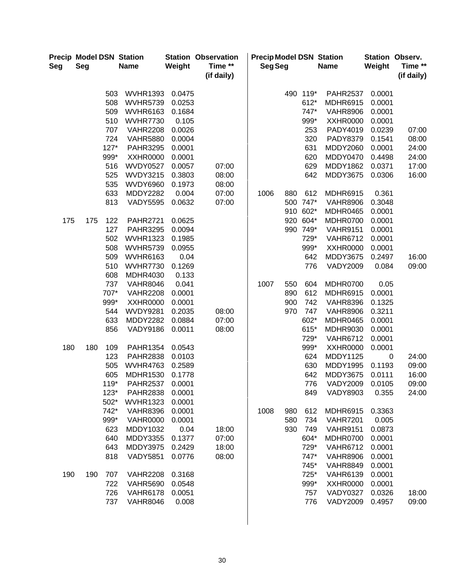| Seg | Seg |            | <b>Precip Model DSN Station</b><br><b>Name</b> | Weight           | <b>Station Observation</b><br>Time **<br>(if daily) | <b>Precip Model DSN Station</b><br>Seg Seg |     |                 | <b>Name</b>                 | Weight           | Station Observ.<br>Time **<br>(if daily) |
|-----|-----|------------|------------------------------------------------|------------------|-----------------------------------------------------|--------------------------------------------|-----|-----------------|-----------------------------|------------------|------------------------------------------|
|     |     | 503        | <b>WVHR1393</b>                                | 0.0475           |                                                     |                                            | 490 | $119*$          | <b>PAHR2537</b>             | 0.0001           |                                          |
|     |     | 508        | <b>WVHR5739</b>                                | 0.0253           |                                                     |                                            |     | 612*            | <b>MDHR6915</b>             | 0.0001           |                                          |
|     |     | 509        | <b>WVHR6163</b>                                | 0.1684           |                                                     |                                            |     | 747*            | <b>VAHR8906</b>             | 0.0001           |                                          |
|     |     | 510        | <b>WVHR7730</b>                                | 0.105            |                                                     |                                            |     | 999*            | <b>XXHR0000</b>             | 0.0001           |                                          |
|     |     | 707        | <b>VAHR2208</b>                                | 0.0026           |                                                     |                                            |     | 253             | PADY4019                    | 0.0239           | 07:00                                    |
|     |     | 724        | <b>VAHR5880</b>                                | 0.0004           |                                                     |                                            |     | 320             | <b>PADY8379</b>             | 0.1541           | 08:00                                    |
|     |     | $127*$     | <b>PAHR3295</b>                                | 0.0001           |                                                     |                                            |     | 631             | <b>MDDY2060</b>             | 0.0001           | 24:00                                    |
|     |     | 999*       | <b>XXHR0000</b>                                | 0.0001           |                                                     |                                            |     | 620             | MDDY0470                    | 0.4498           | 24:00                                    |
|     |     | 516        | <b>WVDY0527</b>                                | 0.0057           | 07:00                                               |                                            |     | 629             | <b>MDDY1862</b>             | 0.0371           | 17:00                                    |
|     |     | 525        | <b>WVDY3215</b>                                | 0.3803           | 08:00                                               |                                            |     | 642             | MDDY3675                    | 0.0306           | 16:00                                    |
|     |     | 535        | <b>WVDY6960</b>                                | 0.1973           | 08:00                                               |                                            |     |                 |                             |                  |                                          |
|     |     | 633        | <b>MDDY2282</b>                                | 0.004            | 07:00<br>07:00                                      | 1006                                       | 880 | 612<br>500 747* | <b>MDHR6915</b>             | 0.361<br>0.3048  |                                          |
|     |     | 813        | <b>VADY5595</b>                                | 0.0632           |                                                     |                                            | 910 | 602*            | <b>VAHR8906</b>             | 0.0001           |                                          |
| 175 | 175 | 122        | <b>PAHR2721</b>                                | 0.0625           |                                                     |                                            | 920 | 604*            | MDHR0465<br>MDHR0700        | 0.0001           |                                          |
|     |     | 127        | <b>PAHR3295</b>                                | 0.0094           |                                                     |                                            | 990 | 749*            | <b>VAHR9151</b>             | 0.0001           |                                          |
|     |     | 502        | <b>WVHR1323</b>                                | 0.1985           |                                                     |                                            |     | 729*            | <b>VAHR6712</b>             | 0.0001           |                                          |
|     |     | 508        | <b>WVHR5739</b>                                | 0.0955           |                                                     |                                            |     | 999*            | <b>XXHR0000</b>             | 0.0001           |                                          |
|     |     | 509        | <b>WVHR6163</b>                                | 0.04             |                                                     |                                            |     | 642             | <b>MDDY3675</b>             | 0.2497           | 16:00                                    |
|     |     | 510        | <b>WVHR7730</b>                                | 0.1269           |                                                     |                                            |     | 776             | <b>VADY2009</b>             | 0.084            | 09:00                                    |
|     |     | 608        | <b>MDHR4030</b>                                | 0.133            |                                                     |                                            |     |                 |                             |                  |                                          |
|     |     | 737        | <b>VAHR8046</b>                                | 0.041            |                                                     | 1007                                       | 550 | 604             | MDHR0700                    | 0.05             |                                          |
|     |     | 707*       | <b>VAHR2208</b>                                | 0.0001           |                                                     |                                            | 890 | 612             | <b>MDHR6915</b>             | 0.0001           |                                          |
|     |     | 999*       | <b>XXHR0000</b>                                | 0.0001           |                                                     |                                            | 900 | 742             | <b>VAHR8396</b>             | 0.1325           |                                          |
|     |     | 544        | <b>WVDY9281</b>                                | 0.2035           | 08:00                                               |                                            | 970 | 747             | <b>VAHR8906</b>             | 0.3211           |                                          |
|     |     | 633        | <b>MDDY2282</b>                                | 0.0884           | 07:00                                               |                                            |     | 602*            | MDHR0465                    | 0.0001           |                                          |
|     |     | 856        | <b>VADY9186</b>                                | 0.0011           | 08:00                                               |                                            |     | 615*            | <b>MDHR9030</b>             | 0.0001           |                                          |
|     |     |            |                                                |                  |                                                     |                                            |     | 729*            | <b>VAHR6712</b>             | 0.0001           |                                          |
| 180 | 180 | 109        | <b>PAHR1354</b>                                | 0.0543           |                                                     |                                            |     | 999*            | <b>XXHR0000</b>             | 0.0001           |                                          |
|     |     | 123        | <b>PAHR2838</b>                                | 0.0103           |                                                     |                                            |     | 624             | <b>MDDY1125</b>             | $\mathbf 0$      | 24:00                                    |
|     |     | 505        | <b>WVHR4763</b>                                | 0.2589           |                                                     |                                            |     | 630             | <b>MDDY1995</b>             | 0.1193           | 09:00                                    |
|     |     | 605        | <b>MDHR1530</b>                                | 0.1778           |                                                     |                                            |     | 642             | <b>MDDY3675</b>             | 0.0111           | 16:00                                    |
|     |     | $119*$     | <b>PAHR2537</b>                                | 0.0001           |                                                     |                                            |     | 776             | <b>VADY2009</b>             | 0.0105           | 09:00                                    |
|     |     | $123*$     | <b>PAHR2838</b>                                | 0.0001           |                                                     |                                            |     | 849             | <b>VADY8903</b>             | 0.355            | 24:00                                    |
|     |     | 502*       | <b>WVHR1323</b>                                | 0.0001           |                                                     |                                            |     |                 |                             |                  |                                          |
|     |     | 742*       | <b>VAHR8396</b>                                | 0.0001           |                                                     | 1008                                       | 980 | 612             | <b>MDHR6915</b>             | 0.3363           |                                          |
|     |     | 999*       | <b>VAHR0000</b>                                | 0.0001           |                                                     |                                            | 580 | 734             | <b>VAHR7201</b>             | 0.005            |                                          |
|     |     | 623<br>640 | MDDY1032                                       | 0.04             | 18:00                                               |                                            | 930 | 749<br>604*     | <b>VAHR9151</b>             | 0.0873           |                                          |
|     |     | 643        | MDDY3355<br>MDDY3975                           | 0.1377<br>0.2429 | 07:00<br>18:00                                      |                                            |     | 729*            | MDHR0700<br><b>VAHR6712</b> | 0.0001<br>0.0001 |                                          |
|     |     | 818        | <b>VADY5851</b>                                | 0.0776           | 08:00                                               |                                            |     | 747*            | <b>VAHR8906</b>             | 0.0001           |                                          |
|     |     |            |                                                |                  |                                                     |                                            |     | 745*            | <b>VAHR8849</b>             | 0.0001           |                                          |
| 190 | 190 | 707        | <b>VAHR2208</b>                                | 0.3168           |                                                     |                                            |     | 725*            | <b>VAHR6139</b>             | 0.0001           |                                          |
|     |     | 722        | <b>VAHR5690</b>                                | 0.0548           |                                                     |                                            |     | 999*            | <b>XXHR0000</b>             | 0.0001           |                                          |
|     |     | 726        | <b>VAHR6178</b>                                | 0.0051           |                                                     |                                            |     | 757             | <b>VADY0327</b>             | 0.0326           | 18:00                                    |
|     |     | 737        | <b>VAHR8046</b>                                | 0.008            |                                                     |                                            |     | 776             | <b>VADY2009</b>             | 0.4957           | 09:00                                    |
|     |     |            |                                                |                  |                                                     |                                            |     |                 |                             |                  |                                          |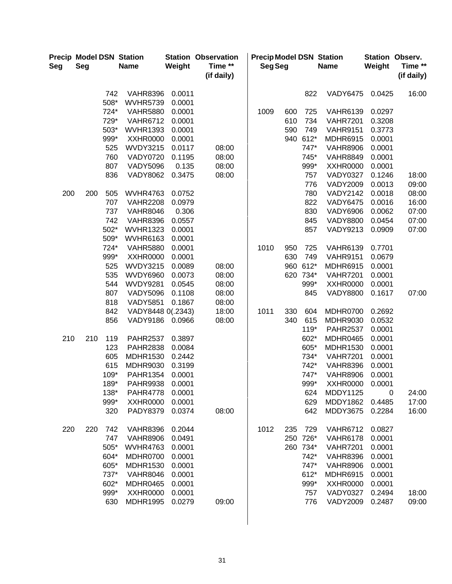| Seg | Seg |              | <b>Precip Model DSN Station</b><br><b>Name</b> | Weight           | <b>Station Observation</b><br>Time **<br>(if daily) | <b>Precip Model DSN Station</b><br>Seg Seg |     |          | <b>Name</b>     | Weight | Station Observ.<br>Time **<br>(if daily) |
|-----|-----|--------------|------------------------------------------------|------------------|-----------------------------------------------------|--------------------------------------------|-----|----------|-----------------|--------|------------------------------------------|
|     |     | 742<br>508*  | <b>VAHR8396</b><br><b>WVHR5739</b>             | 0.0011<br>0.0001 |                                                     |                                            |     | 822      | <b>VADY6475</b> | 0.0425 | 16:00                                    |
|     |     | 724*         | <b>VAHR5880</b>                                | 0.0001           |                                                     | 1009                                       | 600 | 725      | <b>VAHR6139</b> | 0.0297 |                                          |
|     |     | 729*         | <b>VAHR6712</b>                                | 0.0001           |                                                     |                                            | 610 | 734      | <b>VAHR7201</b> | 0.3208 |                                          |
|     |     | 503*         | <b>WVHR1393</b>                                | 0.0001           |                                                     |                                            | 590 | 749      | <b>VAHR9151</b> | 0.3773 |                                          |
|     |     | 999*         | <b>XXHR0000</b>                                | 0.0001           |                                                     |                                            |     | 940 612* | <b>MDHR6915</b> | 0.0001 |                                          |
|     |     | 525          | <b>WVDY3215</b>                                | 0.0117           | 08:00                                               |                                            |     | 747*     | <b>VAHR8906</b> | 0.0001 |                                          |
|     |     | 760          | <b>VADY0720</b>                                | 0.1195           | 08:00                                               |                                            |     | 745*     | <b>VAHR8849</b> | 0.0001 |                                          |
|     |     | 807          | <b>VADY5096</b>                                | 0.135            | 08:00                                               |                                            |     | 999*     | <b>XXHR0000</b> | 0.0001 |                                          |
|     |     | 836          | <b>VADY8062</b>                                | 0.3475           | 08:00                                               |                                            |     | 757      | <b>VADY0327</b> | 0.1246 | 18:00                                    |
|     |     |              |                                                |                  |                                                     |                                            |     | 776      | <b>VADY2009</b> | 0.0013 | 09:00                                    |
| 200 | 200 | 505          | <b>WVHR4763</b>                                | 0.0752           |                                                     |                                            |     | 780      | <b>VADY2142</b> | 0.0018 | 08:00                                    |
|     |     | 707          | <b>VAHR2208</b>                                | 0.0979           |                                                     |                                            |     | 822      | <b>VADY6475</b> | 0.0016 | 16:00                                    |
|     |     | 737          | <b>VAHR8046</b>                                | 0.306            |                                                     |                                            |     | 830      | <b>VADY6906</b> | 0.0062 | 07:00                                    |
|     |     | 742          | <b>VAHR8396</b>                                | 0.0557           |                                                     |                                            |     | 845      | <b>VADY8800</b> | 0.0454 | 07:00                                    |
|     |     | 502*         | <b>WVHR1323</b>                                | 0.0001           |                                                     |                                            |     | 857      | <b>VADY9213</b> | 0.0909 | 07:00                                    |
|     |     | 509*         | <b>WVHR6163</b>                                | 0.0001           |                                                     |                                            |     |          |                 |        |                                          |
|     |     | 724*         | <b>VAHR5880</b>                                | 0.0001           |                                                     | 1010                                       | 950 | 725      | <b>VAHR6139</b> | 0.7701 |                                          |
|     |     | 999*         | <b>XXHR0000</b>                                | 0.0001           |                                                     |                                            | 630 | 749      | <b>VAHR9151</b> | 0.0679 |                                          |
|     |     | 525          | <b>WVDY3215</b>                                | 0.0089           | 08:00                                               |                                            | 960 | $612*$   | <b>MDHR6915</b> | 0.0001 |                                          |
|     |     | 535          | <b>WVDY6960</b>                                | 0.0073           | 08:00                                               |                                            |     | 620 734* | <b>VAHR7201</b> | 0.0001 |                                          |
|     |     | 544          | <b>WVDY9281</b>                                | 0.0545           | 08:00                                               |                                            |     | 999*     | <b>XXHR0000</b> | 0.0001 |                                          |
|     |     | 807          | <b>VADY5096</b>                                | 0.1108           | 08:00                                               |                                            |     | 845      | <b>VADY8800</b> | 0.1617 | 07:00                                    |
|     |     | 818          | <b>VADY5851</b>                                | 0.1867           | 08:00                                               |                                            |     |          |                 |        |                                          |
|     |     | 842          | VADY8448 0(.2343)                              |                  | 18:00                                               | 1011                                       | 330 | 604      | MDHR0700        | 0.2692 |                                          |
|     |     | 856          | <b>VADY9186</b>                                | 0.0966           | 08:00                                               |                                            | 340 | 615      | <b>MDHR9030</b> | 0.0532 |                                          |
|     |     |              |                                                |                  |                                                     |                                            |     | 119*     | <b>PAHR2537</b> | 0.0001 |                                          |
| 210 | 210 | 119          | <b>PAHR2537</b>                                | 0.3897           |                                                     |                                            |     | 602*     | MDHR0465        | 0.0001 |                                          |
|     |     | 123          | <b>PAHR2838</b>                                | 0.0084           |                                                     |                                            |     | 605*     | <b>MDHR1530</b> | 0.0001 |                                          |
|     |     | 605          | <b>MDHR1530</b>                                | 0.2442           |                                                     |                                            |     | 734*     | <b>VAHR7201</b> | 0.0001 |                                          |
|     |     | 615          | MDHR9030                                       | 0.3199           |                                                     |                                            |     | 742*     | <b>VAHR8396</b> | 0.0001 |                                          |
|     |     | 109*         | <b>PAHR1354</b>                                | 0.0001           |                                                     |                                            |     | 747*     | <b>VAHR8906</b> | 0.0001 |                                          |
|     |     | 189*         | <b>PAHR9938</b>                                | 0.0001           |                                                     |                                            |     | 999*     | <b>XXHR0000</b> | 0.0001 |                                          |
|     |     | 138*<br>999* | <b>PAHR4778</b>                                | 0.0001           |                                                     |                                            |     | 624      | <b>MDDY1125</b> | 0      | 24:00                                    |
|     |     |              | <b>XXHR0000</b>                                | 0.0001           |                                                     |                                            |     | 629      | <b>MDDY1862</b> | 0.4485 | 17:00                                    |
|     |     | 320          | PADY8379                                       | 0.0374           | 08:00                                               |                                            |     | 642      | <b>MDDY3675</b> | 0.2284 | 16:00                                    |
| 220 | 220 | 742          | <b>VAHR8396</b>                                | 0.2044           |                                                     | 1012                                       | 235 | 729      | <b>VAHR6712</b> | 0.0827 |                                          |
|     |     | 747          | <b>VAHR8906</b>                                | 0.0491           |                                                     |                                            |     | 250 726* | <b>VAHR6178</b> | 0.0001 |                                          |
|     |     | 505*         | <b>WVHR4763</b>                                | 0.0001           |                                                     |                                            |     | 260 734* | <b>VAHR7201</b> | 0.0001 |                                          |
|     |     | 604*         | MDHR0700                                       | 0.0001           |                                                     |                                            |     | 742*     | <b>VAHR8396</b> | 0.0001 |                                          |
|     |     | 605*         | <b>MDHR1530</b>                                | 0.0001           |                                                     |                                            |     | 747*     | <b>VAHR8906</b> | 0.0001 |                                          |
|     |     | 737*         | <b>VAHR8046</b>                                | 0.0001           |                                                     |                                            |     | 612*     | <b>MDHR6915</b> | 0.0001 |                                          |
|     |     | 602*         | MDHR0465                                       | 0.0001           |                                                     |                                            |     | 999*     | <b>XXHR0000</b> | 0.0001 |                                          |
|     |     | 999*         | XXHR0000                                       | 0.0001           |                                                     |                                            |     | 757      | <b>VADY0327</b> | 0.2494 | 18:00                                    |
|     |     | 630          | <b>MDHR1995</b>                                | 0.0279           | 09:00                                               |                                            |     | 776      | <b>VADY2009</b> | 0.2487 | 09:00                                    |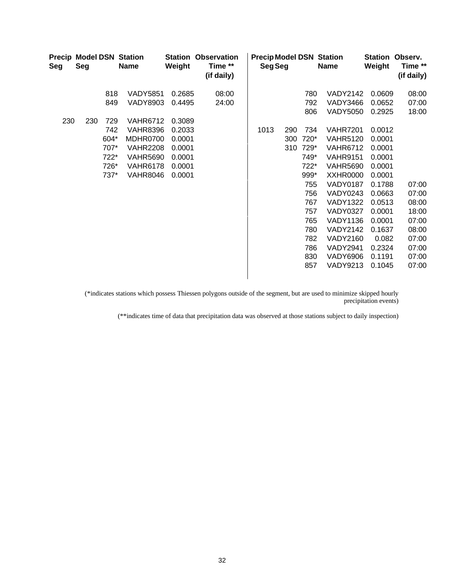| Seg | Seg |      | <b>Precip Model DSN Station</b><br><b>Name</b> | Weight | <b>Station Observation</b><br>Time **<br>(if daily) | <b>Precip Model DSN Station</b><br>Seg Seg |     |      | <b>Name</b>     | <b>Station Observ.</b><br>Weight | Time **<br>(if daily) |
|-----|-----|------|------------------------------------------------|--------|-----------------------------------------------------|--------------------------------------------|-----|------|-----------------|----------------------------------|-----------------------|
|     |     | 818  | <b>VADY5851</b>                                | 0.2685 | 08:00                                               |                                            |     | 780  | <b>VADY2142</b> | 0.0609                           | 08:00                 |
|     |     | 849  | <b>VADY8903</b>                                | 0.4495 | 24:00                                               |                                            |     | 792  | <b>VADY3466</b> | 0.0652                           | 07:00                 |
|     |     |      |                                                |        |                                                     |                                            |     | 806  | <b>VADY5050</b> | 0.2925                           | 18:00                 |
| 230 | 230 | 729  | <b>VAHR6712</b>                                | 0.3089 |                                                     |                                            |     |      |                 |                                  |                       |
|     |     | 742  | VAHR8396                                       | 0.2033 |                                                     | 1013                                       | 290 | 734  | <b>VAHR7201</b> | 0.0012                           |                       |
|     |     | 604* | MDHR0700                                       | 0.0001 |                                                     |                                            | 300 | 720* | <b>VAHR5120</b> | 0.0001                           |                       |
|     |     | 707* | <b>VAHR2208</b>                                | 0.0001 |                                                     |                                            | 310 | 729* | <b>VAHR6712</b> | 0.0001                           |                       |
|     |     | 722* | <b>VAHR5690</b>                                | 0.0001 |                                                     |                                            |     | 749* | <b>VAHR9151</b> | 0.0001                           |                       |
|     |     | 726* | <b>VAHR6178</b>                                | 0.0001 |                                                     |                                            |     | 722* | <b>VAHR5690</b> | 0.0001                           |                       |
|     |     | 737* | <b>VAHR8046</b>                                | 0.0001 |                                                     |                                            |     | 999* | XXHR0000        | 0.0001                           |                       |
|     |     |      |                                                |        |                                                     |                                            |     | 755  | <b>VADY0187</b> | 0.1788                           | 07:00                 |
|     |     |      |                                                |        |                                                     |                                            |     | 756  | <b>VADY0243</b> | 0.0663                           | 07:00                 |
|     |     |      |                                                |        |                                                     |                                            |     | 767  | <b>VADY1322</b> | 0.0513                           | 08:00                 |
|     |     |      |                                                |        |                                                     |                                            |     | 757  | <b>VADY0327</b> | 0.0001                           | 18:00                 |
|     |     |      |                                                |        |                                                     |                                            |     | 765  | <b>VADY1136</b> | 0.0001                           | 07:00                 |
|     |     |      |                                                |        |                                                     |                                            |     | 780  | <b>VADY2142</b> | 0.1637                           | 08:00                 |
|     |     |      |                                                |        |                                                     |                                            |     | 782  | <b>VADY2160</b> | 0.082                            | 07:00                 |
|     |     |      |                                                |        |                                                     |                                            |     | 786  | <b>VADY2941</b> | 0.2324                           | 07:00                 |
|     |     |      |                                                |        |                                                     |                                            |     | 830  | VADY6906        | 0.1191                           | 07:00                 |
|     |     |      |                                                |        |                                                     |                                            |     | 857  | <b>VADY9213</b> | 0.1045                           | 07:00                 |
|     |     |      |                                                |        |                                                     |                                            |     |      |                 |                                  |                       |

(\*indicates stations which possess Thiessen polygons outside of the segment, but are used to minimize skipped hourly precipitation events)

(\*\*indicates time of data that precipitation data was observed at those stations subject to daily inspection)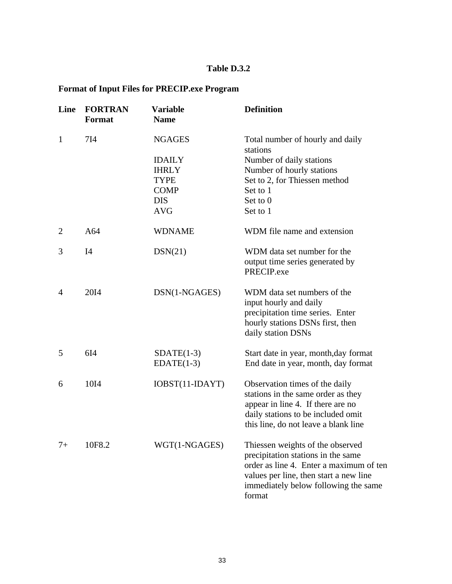## **Table D.3.2**

## **Format of Input Files for PRECIP.exe Program**

| Line           | <b>FORTRAN</b><br>Format | <b>Variable</b><br><b>Name</b>                                                             | <b>Definition</b>                                                                                                                                                                                             |
|----------------|--------------------------|--------------------------------------------------------------------------------------------|---------------------------------------------------------------------------------------------------------------------------------------------------------------------------------------------------------------|
| $\mathbf{1}$   | 7I4                      | <b>NGAGES</b><br><b>IDAILY</b><br><b>IHRLY</b><br><b>TYPE</b><br><b>COMP</b><br><b>DIS</b> | Total number of hourly and daily<br>stations<br>Number of daily stations<br>Number of hourly stations<br>Set to 2, for Thiessen method<br>Set to 1<br>Set to 0                                                |
|                |                          | <b>AVG</b>                                                                                 | Set to 1                                                                                                                                                                                                      |
| $\overline{2}$ | A64                      | <b>WDNAME</b>                                                                              | WDM file name and extension                                                                                                                                                                                   |
| 3              | I4                       | DSN(21)                                                                                    | WDM data set number for the<br>output time series generated by<br>PRECIP.exe                                                                                                                                  |
| 4              | 2014                     | DSN(1-NGAGES)                                                                              | WDM data set numbers of the<br>input hourly and daily<br>precipitation time series. Enter<br>hourly stations DSNs first, then<br>daily station DSNs                                                           |
| 5              | 6I4                      | $SDATE(1-3)$<br>$EDATE(1-3)$                                                               | Start date in year, month, day format<br>End date in year, month, day format                                                                                                                                  |
| 6              | 1014                     | IOBST(11-IDAYT)                                                                            | Observation times of the daily<br>stations in the same order as they<br>appear in line 4. If there are no<br>daily stations to be included omit<br>this line, do not leave a blank line                       |
| $7+$           | 10F8.2                   | WGT(1-NGAGES)                                                                              | Thiessen weights of the observed<br>precipitation stations in the same<br>order as line 4. Enter a maximum of ten<br>values per line, then start a new line<br>immediately below following the same<br>format |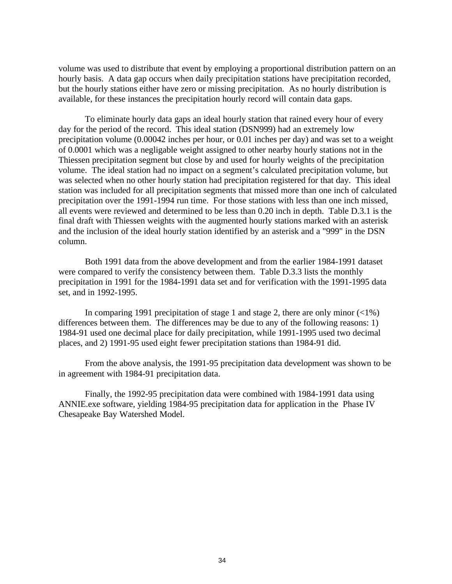volume was used to distribute that event by employing a proportional distribution pattern on an hourly basis. A data gap occurs when daily precipitation stations have precipitation recorded, but the hourly stations either have zero or missing precipitation. As no hourly distribution is available, for these instances the precipitation hourly record will contain data gaps.

To eliminate hourly data gaps an ideal hourly station that rained every hour of every day for the period of the record. This ideal station (DSN999) had an extremely low precipitation volume (0.00042 inches per hour, or 0.01 inches per day) and was set to a weight of 0.0001 which was a negligable weight assigned to other nearby hourly stations not in the Thiessen precipitation segment but close by and used for hourly weights of the precipitation volume. The ideal station had no impact on a segment's calculated precipitation volume, but was selected when no other hourly station had precipitation registered for that day. This ideal station was included for all precipitation segments that missed more than one inch of calculated precipitation over the 1991-1994 run time. For those stations with less than one inch missed, all events were reviewed and determined to be less than 0.20 inch in depth. Table D.3.1 is the final draft with Thiessen weights with the augmented hourly stations marked with an asterisk and the inclusion of the ideal hourly station identified by an asterisk and a "999" in the DSN column.

Both 1991 data from the above development and from the earlier 1984-1991 dataset were compared to verify the consistency between them. Table D.3.3 lists the monthly precipitation in 1991 for the 1984-1991 data set and for verification with the 1991-1995 data set, and in 1992-1995.

In comparing 1991 precipitation of stage 1 and stage 2, there are only minor  $\langle$ <1%) differences between them. The differences may be due to any of the following reasons: 1) 1984-91 used one decimal place for daily precipitation, while 1991-1995 used two decimal places, and 2) 1991-95 used eight fewer precipitation stations than 1984-91 did.

From the above analysis, the 1991-95 precipitation data development was shown to be in agreement with 1984-91 precipitation data.

Finally, the 1992-95 precipitation data were combined with 1984-1991 data using ANNIE.exe software, yielding 1984-95 precipitation data for application in the Phase IV Chesapeake Bay Watershed Model.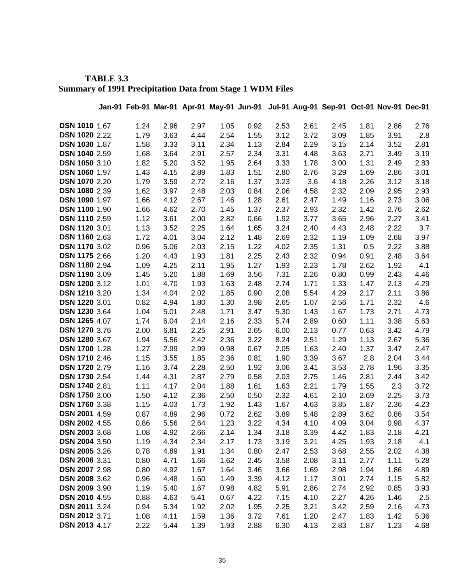## **TABLE 3.3 Summary of 1991 Precipitation Data from Stage 1 WDM Files**

|                      |      |      |      |      | Jan-91 Feb-91 Mar-91 Apr-91 May-91 Jun-91 Jul-91 Aug-91 Sep-91 Oct-91 Nov-91 Dec-91 |      |      |      |      |      |      |
|----------------------|------|------|------|------|-------------------------------------------------------------------------------------|------|------|------|------|------|------|
| <b>DSN 1010 1.67</b> | 1.24 | 2.96 | 2.97 | 1.05 | 0.92                                                                                | 2.53 | 2.61 | 2.45 | 1.81 | 2.86 | 2.76 |
| <b>DSN 1020 2.22</b> | 1.79 | 3.63 | 4.44 | 2.54 | 1.55                                                                                | 3.12 | 3.72 | 3.09 | 1.85 | 3.91 | 2.8  |
| <b>DSN 1030 1.87</b> | 1.58 | 3.33 | 3.11 | 2.34 | 1.13                                                                                | 2.84 | 2.29 | 3.15 | 2.14 | 3.52 | 2.81 |
| <b>DSN 1040 2.59</b> | 1.68 | 3.64 | 2.91 | 2.57 | 2.34                                                                                | 3.31 | 4.48 | 3.63 | 2.71 | 3.49 | 3.19 |
| DSN 1050 3.10        | 1.82 | 5.20 | 3.52 | 1.95 | 2.64                                                                                | 3.33 | 1.78 | 3.00 | 1.31 | 2.49 | 2.83 |
| <b>DSN 1060 1.97</b> | 1.43 | 4.15 | 2.89 | 1.83 | 1.51                                                                                | 2.80 | 2.76 | 3.29 | 1.69 | 2.86 | 3.01 |
| <b>DSN 1070 2.20</b> | 1.79 | 3.59 | 2.72 | 2.16 | 1.37                                                                                | 3.23 | 3.6  | 4.18 | 2.26 | 3.12 | 3.18 |
| <b>DSN 1080 2.39</b> | 1.62 | 3.97 | 2.48 | 2.03 | 0.84                                                                                | 2.06 | 4.58 | 2.32 | 2.09 | 2.95 | 2.93 |
| DSN 1090 1.97        | 1.66 | 4.12 | 2.67 | 1.46 | 1.28                                                                                | 2.61 | 2.47 | 1.49 | 1.16 | 2.73 | 3.06 |
| <b>DSN 1100 1.90</b> | 1.66 | 4.62 | 2.70 | 1.45 | 1.37                                                                                | 2.37 | 2.93 | 2.32 | 1.42 | 2.76 | 2.62 |
| DSN 1110 2.59        | 1.12 | 3.61 | 2.00 | 2.82 | 0.66                                                                                | 1.92 | 3.77 | 3.65 | 2.96 | 2.27 | 3.41 |
| DSN 1120 3.01        | 1.13 | 3.52 | 2.25 | 1.64 | 1.65                                                                                | 3.24 | 2.40 | 4.43 | 2.48 | 2.22 | 3.7  |
| DSN 1160 2.63        | 1.72 | 4.01 | 3.04 | 2.12 | 1.48                                                                                | 2.69 | 2.32 | 1.19 | 1.09 | 2.68 | 3.97 |
| <b>DSN 1170 3.02</b> | 0.96 | 5.06 | 2.03 | 2.15 | 1.22                                                                                | 4.02 | 2.35 | 1.31 | 0.5  | 2.22 | 3.88 |
| DSN 1175 2.66        | 1.20 | 4.43 | 1.93 | 1.81 | 2.25                                                                                | 2.43 | 2.32 | 0.94 | 0.91 | 2.48 | 3.64 |
| DSN 1180 2.94        | 1.09 | 4.25 | 2.11 | 1.95 | 1.27                                                                                | 1.93 | 2.23 | 1.78 | 2.62 | 1.92 | 4.1  |
| <b>DSN 1190 3.09</b> | 1.45 | 5.20 | 1.88 | 1.69 | 3.56                                                                                | 7.31 | 2.26 | 0.80 | 0.99 | 2.43 | 4.46 |
| DSN 1200 3.12        | 1.01 | 4.70 | 1.93 | 1.63 | 2.48                                                                                | 2.74 | 1.71 | 1.33 | 1.47 | 2.13 | 4.29 |
| DSN 1210 3.20        | 1.34 | 4.04 | 2.02 | 1.85 | 0.90                                                                                | 2.08 | 5.54 | 4.29 | 2.17 | 2.11 | 3.86 |
| <b>DSN 1220 3.01</b> | 0.82 | 4.94 | 1.80 | 1.30 | 3.98                                                                                | 2.65 | 1.07 | 2.56 | 1.71 | 2.32 | 4.6  |
| DSN 1230 3.64        | 1.04 | 5.01 | 2.48 | 1.71 | 3.47                                                                                | 5.30 | 1.43 | 1.67 | 1.73 | 2.71 | 4.73 |
| <b>DSN 1265 4.07</b> | 1.74 | 6.04 | 2.14 | 2.16 | 2.33                                                                                | 5.74 | 2.89 | 0.60 | 1.11 | 3.38 | 5.63 |
| DSN 1270 3.76        | 2.00 | 6.81 | 2.25 | 2.91 | 2.65                                                                                | 6.00 | 2.13 | 0.77 | 0.63 | 3.42 | 4.79 |
| DSN 1280 3.67        | 1.94 | 5.56 | 2.42 | 2.36 | 3.22                                                                                | 8.24 | 2.51 | 1.29 | 1.13 | 2.67 | 5.36 |
| <b>DSN 1700 1.28</b> | 1.27 | 2.99 | 2.99 | 0.98 | 0.67                                                                                | 2.05 | 1.63 | 2.40 | 1.37 | 3.47 | 2.47 |
| DSN 1710 2.46        | 1.15 | 3.55 | 1.85 | 2.36 | 0.81                                                                                | 1.90 | 3.39 | 3.67 | 2.8  | 2.04 | 3.44 |
| <b>DSN 1720 2.79</b> | 1.16 | 3.74 | 2.28 | 2.50 | 1.92                                                                                | 3.06 | 3.41 | 3.53 | 2.78 | 1.96 | 3.35 |
| DSN 1730 2.54        | 1.44 | 4.31 | 2.87 | 2.79 | 0.58                                                                                | 2.03 | 2.75 | 1.46 | 2.81 | 2.44 | 3.42 |
| DSN 1740 2.81        | 1.11 | 4.17 | 2.04 | 1.88 | 1.61                                                                                | 1.63 | 2.21 | 1.79 | 1.55 | 2.3  | 3.72 |
| <b>DSN 1750 3.00</b> | 1.50 | 4.12 | 2.36 | 2.50 | 0.50                                                                                | 2.32 | 4.61 | 2.10 | 2.69 | 2.25 | 3.73 |
| <b>DSN 1760 3.38</b> | 1.15 | 4.03 | 1.73 | 1.92 | 1.43                                                                                | 1.67 | 4.63 | 3.85 | 1.87 | 2.36 | 4.23 |
| <b>DSN 2001 4.59</b> | 0.87 | 4.89 | 2.96 | 0.72 | 2.62                                                                                | 3.89 | 5.48 | 2.89 | 3.62 | 0.86 | 3.54 |
| <b>DSN 2002 4.55</b> | 0.86 | 5.56 | 2.64 | 1.23 | 3.22                                                                                | 4.34 | 4.10 | 4.09 | 3.04 | 0.98 | 4.37 |
| DSN 2003 3.68        | 1.08 | 4.92 | 2.66 | 2.14 | 1.34                                                                                | 3.18 | 3.39 | 4.42 | 1.83 | 2.18 | 4.21 |
| <b>DSN 2004 3.50</b> | 1.19 | 4.34 | 2.34 | 2.17 | 1.73                                                                                | 3.19 | 3.21 | 4.25 | 1.93 | 2.18 | 4.1  |
| <b>DSN 2005 3.26</b> | 0.78 | 4.89 | 1.91 | 1.34 | 0.80                                                                                | 2.47 | 2.53 | 3.68 | 2.55 | 2.02 | 4.38 |
| DSN 2006 3.31        | 0.80 | 4.71 | 1.66 | 1.62 | 2.45                                                                                | 3.58 | 2.08 | 3.11 | 2.77 | 1.11 | 5.28 |
| <b>DSN 2007 2.98</b> | 0.80 | 4.92 | 1.67 | 1.64 | 3.46                                                                                | 3.66 | 1.69 | 2.98 | 1.94 | 1.86 | 4.89 |
| <b>DSN 2008 3.62</b> | 0.96 | 4.48 | 1.60 | 1.49 | 3.39                                                                                | 4.12 | 1.17 | 3.01 | 2.74 | 1.15 | 5.82 |
| DSN 2009 3.90        | 1.19 | 5.40 | 1.67 | 0.98 | 4.82                                                                                | 5.91 | 2.86 | 2.74 | 2.92 | 0.85 | 3.93 |
| <b>DSN 2010 4.55</b> | 0.88 | 4.63 | 5.41 | 0.67 | 4.22                                                                                | 7.15 | 4.10 | 2.27 | 4.26 | 1.46 | 2.5  |
| <b>DSN 2011 3.24</b> | 0.94 | 5.34 | 1.92 | 2.02 | 1.95                                                                                | 2.25 | 3.21 | 3.42 | 2.59 | 2.16 | 4.73 |
| DSN 2012 3.71        | 1.08 | 4.11 | 1.59 | 1.36 | 3.72                                                                                | 7.61 | 1.20 | 2.47 | 1.83 | 1.42 | 5.36 |
| DSN 2013 4.17        | 2.22 | 5.44 | 1.39 | 1.93 | 2.88                                                                                | 6.30 | 4.13 | 2.83 | 1.87 | 1.23 | 4.68 |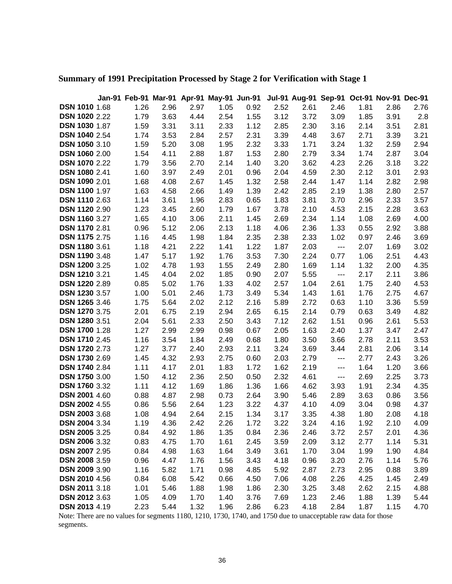## **Summary of 1991 Precipitation Processed by Stage 2 for Verification with Stage 1**

|                                              |  |              |              |              | Jan-91 Feb-91 Mar-91 Apr-91 May-91 Jun-91 |              |              |              | Jul-91 Aug-91 Sep-91 Oct-91 Nov-91 Dec-91 |              |              |              |
|----------------------------------------------|--|--------------|--------------|--------------|-------------------------------------------|--------------|--------------|--------------|-------------------------------------------|--------------|--------------|--------------|
| <b>DSN 1010 1.68</b>                         |  | 1.26         | 2.96         | 2.97         | 1.05                                      | 0.92         | 2.52         | 2.61         | 2.46                                      | 1.81         | 2.86         | 2.76         |
| <b>DSN 1020 2.22</b>                         |  | 1.79         | 3.63         | 4.44         | 2.54                                      | 1.55         | 3.12         | 3.72         | 3.09                                      | 1.85         | 3.91         | 2.8          |
| <b>DSN 1030 1.87</b>                         |  | 1.59         | 3.31         | 3.11         | 2.33                                      | 1.12         | 2.85         | 2.30         | 3.16                                      | 2.14         | 3.51         | 2.81         |
| <b>DSN 1040 2.54</b>                         |  | 1.74         | 3.53         | 2.84         | 2.57                                      | 2.31         | 3.39         | 4.48         | 3.67                                      | 2.71         | 3.39         | 3.21         |
| <b>DSN 1050 3.10</b>                         |  | 1.59         | 5.20         | 3.08         | 1.95                                      | 2.32         | 3.33         | 1.71         | 3.24                                      | 1.32         | 2.59         | 2.94         |
| <b>DSN 1060 2.00</b>                         |  | 1.54         | 4.11         | 2.88         | 1.87                                      | 1.53         | 2.80         | 2.79         | 3.34                                      | 1.74         | 2.87         | 3.04         |
| <b>DSN 1070 2.22</b>                         |  | 1.79         | 3.56         | 2.70         | 2.14                                      | 1.40         | 3.20         | 3.62         | 4.23                                      | 2.26         | 3.18         | 3.22         |
| <b>DSN 1080 2.41</b>                         |  | 1.60         | 3.97         | 2.49         | 2.01                                      | 0.96         | 2.04         | 4.59         | 2.30                                      | 2.12         | 3.01         | 2.93         |
| <b>DSN 1090 2.01</b>                         |  | 1.68         | 4.08         | 2.67         | 1.45                                      | 1.32         | 2.58         | 2.44         | 1.47                                      | 1.14         | 2.82         | 2.98         |
| <b>DSN 1100 1.97</b>                         |  | 1.63         | 4.58         | 2.66         | 1.49                                      | 1.39         | 2.42         | 2.85         | 2.19                                      | 1.38         | 2.80         | 2.57         |
| <b>DSN 1110 2.63</b>                         |  | 1.14         | 3.61         | 1.96         | 2.83                                      | 0.65         | 1.83         | 3.81         | 3.70                                      | 2.96         | 2.33         | 3.57         |
| <b>DSN 1120 2.90</b>                         |  | 1.23         | 3.45         | 2.60         | 1.79                                      | 1.67         | 3.78         | 2.10         | 4.53                                      | 2.15         | 2.28         | 3.63         |
| <b>DSN 1160 3.27</b>                         |  | 1.65         | 4.10         | 3.06         | 2.11                                      | 1.45         | 2.69         | 2.34         | 1.14                                      | 1.08         | 2.69         | 4.00         |
| <b>DSN 1170 2.81</b>                         |  | 0.96         | 5.12         | 2.06         | 2.13                                      | 1.18         | 4.06         | 2.36         | 1.33                                      | 0.55         | 2.92         | 3.88         |
| <b>DSN 1175 2.75</b>                         |  | 1.16         | 4.45         | 1.98         | 1.84                                      | 2.35         | 2.38         | 2.33         | 1.02                                      | 0.97         | 2.46         | 3.69         |
| DSN 1180 3.61                                |  | 1.18         | 4.21         | 2.22         | 1.41                                      | 1.22         | 1.87         | 2.03         | $\cdots$                                  | 2.07         | 1.69         | 3.02         |
| <b>DSN 1190 3.48</b>                         |  | 1.47         | 5.17         | 1.92         | 1.76                                      | 3.53         | 7.30         | 2.24         | 0.77                                      | 1.06         | 2.51         | 4.43         |
| <b>DSN 1200 3.25</b><br><b>DSN 1210 3.21</b> |  | 1.02         | 4.78         | 1.93         | 1.55                                      | 2.49         | 2.80         | 1.69         | 1.14                                      | 1.32         | 2.00         | 4.35         |
| <b>DSN 1220 2.89</b>                         |  | 1.45<br>0.85 | 4.04<br>5.02 | 2.02<br>1.76 | 1.85<br>1.33                              | 0.90<br>4.02 | 2.07<br>2.57 | 5.55<br>1.04 | $\qquad \qquad -$<br>2.61                 | 2.17<br>1.75 | 2.11<br>2.40 | 3.86         |
| <b>DSN 1230 3.57</b>                         |  | 1.00         | 5.01         | 2.46         | 1.73                                      | 3.49         | 5.34         | 1.43         | 1.61                                      | 1.76         | 2.75         | 4.53<br>4.67 |
| DSN 1265 3.46                                |  | 1.75         | 5.64         | 2.02         | 2.12                                      | 2.16         | 5.89         | 2.72         | 0.63                                      | 1.10         | 3.36         | 5.59         |
| <b>DSN 1270 3.75</b>                         |  | 2.01         | 6.75         | 2.19         | 2.94                                      | 2.65         | 6.15         | 2.14         | 0.79                                      | 0.63         | 3.49         | 4.82         |
| DSN 1280 3.51                                |  | 2.04         | 5.61         | 2.33         | 2.50                                      | 3.43         | 7.12         | 2.62         | 1.51                                      | 0.96         | 2.61         | 5.53         |
| <b>DSN 1700 1.28</b>                         |  | 1.27         | 2.99         | 2.99         | 0.98                                      | 0.67         | 2.05         | 1.63         | 2.40                                      | 1.37         | 3.47         | 2.47         |
| <b>DSN 1710 2.45</b>                         |  | 1.16         | 3.54         | 1.84         | 2.49                                      | 0.68         | 1.80         | 3.50         | 3.66                                      | 2.78         | 2.11         | 3.53         |
| <b>DSN 1720 2.73</b>                         |  | 1.27         | 3.77         | 2.40         | 2.93                                      | 2.11         | 3.24         | 3.69         | 3.44                                      | 2.81         | 2.06         | 3.14         |
| <b>DSN 1730 2.69</b>                         |  | 1.45         | 4.32         | 2.93         | 2.75                                      | 0.60         | 2.03         | 2.79         | $\cdots$                                  | 2.77         | 2.43         | 3.26         |
| <b>DSN 1740 2.84</b>                         |  | 1.11         | 4.17         | 2.01         | 1.83                                      | 1.72         | 1.62         | 2.19         | $\qquad \qquad -$                         | 1.64         | 1.20         | 3.66         |
| <b>DSN 1750 3.00</b>                         |  | 1.50         | 4.12         | 2.36         | 2.50                                      | 0.50         | 2.32         | 4.61         | $\overline{\phantom{a}}$                  | 2.69         | 2.25         | 3.73         |
| <b>DSN 1760 3.32</b>                         |  | 1.11         | 4.12         | 1.69         | 1.86                                      | 1.36         | 1.66         | 4.62         | 3.93                                      | 1.91         | 2.34         | 4.35         |
| <b>DSN 2001 4.60</b>                         |  | 0.88         | 4.87         | 2.98         | 0.73                                      | 2.64         | 3.90         | 5.46         | 2.89                                      | 3.63         | 0.86         | 3.56         |
| <b>DSN 2002 4.55</b>                         |  | 0.86         | 5.56         | 2.64         | 1.23                                      | 3.22         | 4.37         | 4.10         | 4.09                                      | 3.04         | 0.98         | 4.37         |
| <b>DSN 2003 3.68</b>                         |  | 1.08         | 4.94         | 2.64         | 2.15                                      | 1.34         | 3.17         | 3.35         | 4.38                                      | 1.80         | 2.08         | 4.18         |
| DSN 2004 3.34                                |  | 1.19         | 4.36         | 2.42         | 2.26                                      | 1.72         | 3.22         | 3.24         | 4.16                                      | 1.92         | 2.10         | 4.09         |
| <b>DSN 2005 3.25</b>                         |  | 0.84         | 4.92         | 1.86         | 1.35                                      | 0.84         | 2.36         | 2.46         | 3.72                                      | 2.57         | 2.01         | 4.36         |
| <b>DSN 2006 3.32</b>                         |  | 0.83         | 4.75         | 1.70         | 1.61                                      | 2.45         | 3.59         | 2.09         | 3.12                                      | 2.77         | 1.14         | 5.31         |
| <b>DSN 2007 2.95</b>                         |  | 0.84         | 4.98         | 1.63         | 1.64                                      | 3.49         | 3.61         | 1.70         | 3.04                                      | 1.99         | 1.90         | 4.84         |
| <b>DSN 2008 3.59</b>                         |  | 0.96         | 4.47         | 1.76         | 1.56                                      | 3.43         | 4.18         | 0.96         | 3.20                                      | 2.76         | 1.14         | 5.76         |
| <b>DSN 2009 3.90</b>                         |  | 1.16         | 5.82         | 1.71         | 0.98                                      | 4.85         | 5.92         | 2.87         | 2.73                                      | 2.95         | 0.88         | 3.89         |
| <b>DSN 2010 4.56</b>                         |  | 0.84         | 6.08         | 5.42         | 0.66                                      | 4.50         | 7.06         | 4.08         | 2.26                                      | 4.25         | 1.45         | 2.49         |
| DSN 2011 3.18                                |  | 1.01         | 5.46         | 1.88         | 1.98                                      | 1.86         | 2.30         | 3.25         | 3.48                                      | 2.62         | 2.15         | 4.88         |
| DSN 2012 3.63                                |  | 1.05         | 4.09         | 1.70         | 1.40                                      | 3.76         | 7.69         | 1.23         | 2.46                                      | 1.88         | 1.39         | 5.44         |
| <b>DSN 2013 4.19</b>                         |  | 2.23         | 5.44         | 1.32         | 1.96                                      | 2.86         | 6.23         | 4.18         | 2.84                                      | 1.87         | 1.15         | 4.70         |

Note: There are no values for segments 1180, 1210, 1730, 1740, and 1750 due to unacceptable raw data for those segments.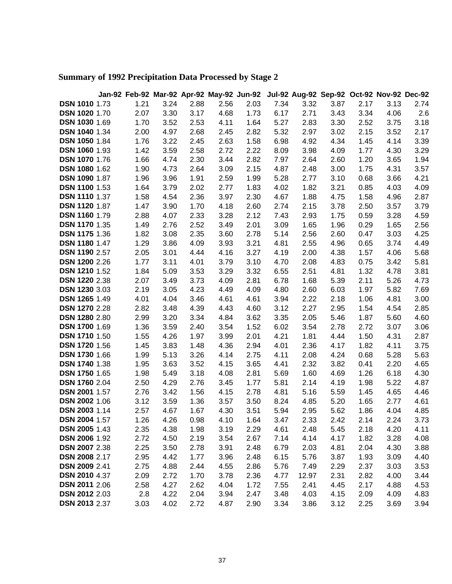## **Summary of 1992 Precipitation Data Processed by Stage 2**

|                      |      |      |      |      | Jan-92 Feb-92 Mar-92 Apr-92 May-92 Jun-92 Jul-92 Aug-92 Sep-92 Oct-92 Nov-92 Dec-92 |      |       |      |      |      |      |
|----------------------|------|------|------|------|-------------------------------------------------------------------------------------|------|-------|------|------|------|------|
| <b>DSN 1010 1.73</b> | 1.21 | 3.24 | 2.88 | 2.56 | 2.03                                                                                | 7.34 | 3.32  | 3.87 | 2.17 | 3.13 | 2.74 |
| <b>DSN 1020 1.70</b> | 2.07 | 3.30 | 3.17 | 4.68 | 1.73                                                                                | 6.17 | 2.71  | 3.43 | 3.34 | 4.06 | 2.6  |
| <b>DSN 1030 1.69</b> | 1.70 | 3.52 | 2.53 | 4.11 | 1.64                                                                                | 5.27 | 2.83  | 3.30 | 2.52 | 3.75 | 3.18 |
| <b>DSN 1040 1.34</b> | 2.00 | 4.97 | 2.68 | 2.45 | 2.82                                                                                | 5.32 | 2.97  | 3.02 | 2.15 | 3.52 | 2.17 |
| <b>DSN 1050 1.84</b> | 1.76 | 3.22 | 2.45 | 2.63 | 1.58                                                                                | 6.98 | 4.92  | 4.34 | 1.45 | 4.14 | 3.39 |
| <b>DSN 1060 1.93</b> | 1.42 | 3.59 | 2.58 | 2.72 | 2.22                                                                                | 8.09 | 3.98  | 4.09 | 1.77 | 4.30 | 3.29 |
| DSN 1070 1.76        | 1.66 | 4.74 | 2.30 | 3.44 | 2.82                                                                                | 7.97 | 2.64  | 2.60 | 1.20 | 3.65 | 1.94 |
| <b>DSN 1080 1.62</b> | 1.90 | 4.73 | 2.64 | 3.09 | 2.15                                                                                | 4.87 | 2.48  | 3.00 | 1.75 | 4.31 | 3.57 |
| <b>DSN 1090 1.87</b> | 1.96 | 3.96 | 1.91 | 2.59 | 1.99                                                                                | 5.28 | 2.77  | 3.10 | 0.68 | 3.66 | 4.21 |
| <b>DSN 1100 1.53</b> | 1.64 | 3.79 | 2.02 | 2.77 | 1.83                                                                                | 4.02 | 1.82  | 3.21 | 0.85 | 4.03 | 4.09 |
| <b>DSN 1110 1.37</b> | 1.58 | 4.54 | 2.36 | 3.97 | 2.30                                                                                | 4.67 | 1.88  | 4.75 | 1.58 | 4.96 | 2.87 |
| <b>DSN 1120 1.87</b> | 1.47 | 3.90 | 1.70 | 4.18 | 2.60                                                                                | 2.74 | 2.15  | 3.78 | 2.50 | 3.57 | 3.79 |
| <b>DSN 1160 1.79</b> | 2.88 | 4.07 | 2.33 | 3.28 | 2.12                                                                                | 7.43 | 2.93  | 1.75 | 0.59 | 3.28 | 4.59 |
| <b>DSN 1170 1.35</b> | 1.49 | 2.76 | 2.52 | 3.49 | 2.01                                                                                | 3.09 | 1.65  | 1.96 | 0.29 | 1.65 | 2.56 |
| <b>DSN 1175 1.36</b> | 1.82 | 3.08 | 2.35 | 3.60 | 2.78                                                                                | 5.14 | 2.56  | 2.60 | 0.47 | 3.03 | 4.25 |
| <b>DSN 1180 1.47</b> | 1.29 | 3.86 | 4.09 | 3.93 | 3.21                                                                                | 4.81 | 2.55  | 4.96 | 0.65 | 3.74 | 4.49 |
| DSN 1190 2.57        | 2.05 | 3.01 | 4.44 | 4.16 | 3.27                                                                                | 4.19 | 2.00  | 4.38 | 1.57 | 4.06 | 5.68 |
| <b>DSN 1200 2.26</b> | 1.77 | 3.11 | 4.01 | 3.79 | 3.10                                                                                | 4.70 | 2.08  | 4.83 | 0.75 | 3.42 | 5.81 |
| <b>DSN 1210 1.52</b> | 1.84 | 5.09 | 3.53 | 3.29 | 3.32                                                                                | 6.55 | 2.51  | 4.81 | 1.32 | 4.78 | 3.81 |
| DSN 1220 2.38        | 2.07 | 3.49 | 3.73 | 4.09 | 2.81                                                                                | 6.78 | 1.68  | 5.39 | 2.11 | 5.26 | 4.73 |
| <b>DSN 1230 3.03</b> | 2.19 | 3.05 | 4.23 | 4.49 | 4.09                                                                                | 4.80 | 2.60  | 6.03 | 1.97 | 5.82 | 7.69 |
| <b>DSN 1265 1.49</b> | 4.01 | 4.04 | 3.46 | 4.61 | 4.61                                                                                | 3.94 | 2.22  | 2.18 | 1.06 | 4.81 | 3.00 |
| <b>DSN 1270 2.28</b> | 2.82 | 3.48 | 4.39 | 4.43 | 4.60                                                                                | 3.12 | 2.27  | 2.95 | 1.54 | 4.54 | 2.85 |
| <b>DSN 1280 2.80</b> | 2.99 | 3.20 | 3.34 | 4.84 | 3.62                                                                                | 3.35 | 2.05  | 5.46 | 1.87 | 5.60 | 4.60 |
| <b>DSN 1700 1.69</b> | 1.36 | 3.59 | 2.40 | 3.54 | 1.52                                                                                | 6.02 | 3.54  | 2.78 | 2.72 | 3.07 | 3.06 |
| <b>DSN 1710 1.50</b> | 1.55 | 4.26 | 1.97 | 3.99 | 2.01                                                                                | 4.21 | 1.81  | 4.44 | 1.50 | 4.31 | 2.87 |
| <b>DSN 1720 1.56</b> | 1.45 | 3.83 | 1.48 | 4.36 | 2.94                                                                                | 4.01 | 2.36  | 4.17 | 1.82 | 4.11 | 3.75 |
| <b>DSN 1730 1.66</b> | 1.99 | 5.13 | 3.26 | 4.14 | 2.75                                                                                | 4.11 | 2.08  | 4.24 | 0.68 | 5.28 | 5.63 |
| DSN 1740 1.38        | 1.95 | 3.63 | 3.52 | 4.15 | 3.65                                                                                | 4.41 | 2.32  | 3.82 | 0.41 | 2.20 | 4.65 |
| <b>DSN 1750 1.65</b> | 1.98 | 5.49 | 3.18 | 4.08 | 2.81                                                                                | 5.69 | 1.60  | 4.69 | 1.26 | 6.18 | 4.30 |
| <b>DSN 1760 2.04</b> | 2.50 | 4.29 | 2.76 | 3.45 | 1.77                                                                                | 5.81 | 2.14  | 4.19 | 1.98 | 5.22 | 4.87 |
| <b>DSN 2001 1.57</b> | 2.76 | 3.42 | 1.56 | 4.15 | 2.78                                                                                | 4.81 | 5.16  | 5.59 | 1.45 | 4.65 | 4.46 |
| <b>DSN 2002 1.06</b> | 3.12 | 3.59 | 1.36 | 3.57 | 3.50                                                                                | 8.24 | 4.85  | 5.20 | 1.65 | 2.77 | 4.61 |
| DSN 2003 1.14        | 2.57 | 4.67 | 1.67 | 4.30 | 3.51                                                                                | 5.94 | 2.95  | 5.62 | 1.86 | 4.04 | 4.85 |
| <b>DSN 2004 1.57</b> | 1.26 | 4.26 | 0.98 | 4.10 | 1.64                                                                                | 3.47 | 2.33  | 2.42 | 2.14 | 2.24 | 3.73 |
| <b>DSN 2005 1.43</b> | 2.35 | 4.38 | 1.98 | 3.19 | 2.29                                                                                | 4.61 | 2.48  | 5.45 | 2.18 | 4.20 | 4.11 |
| <b>DSN 2006 1.92</b> | 2.72 | 4.50 | 2.19 | 3.54 | 2.67                                                                                | 7.14 | 4.14  | 4.17 | 1.82 | 3.28 | 4.08 |
| <b>DSN 2007 2.38</b> | 2.25 | 3.50 | 2.78 | 3.91 | 2.48                                                                                | 6.79 | 2.03  | 4.81 | 2.04 | 4.30 | 3.88 |
| <b>DSN 2008 2.17</b> | 2.95 | 4.42 | 1.77 | 3.96 | 2.48                                                                                | 6.15 | 5.76  | 3.87 | 1.93 | 3.09 | 4.40 |
| DSN 2009 2.41        | 2.75 | 4.88 | 2.44 | 4.55 | 2.86                                                                                | 5.76 | 7.49  | 2.29 | 2.37 | 3.03 | 3.53 |
| <b>DSN 2010 4.37</b> | 2.09 | 2.72 | 1.70 | 3.78 | 2.36                                                                                | 4.77 | 12.97 | 2.31 | 2.82 | 4.00 | 3.44 |
| <b>DSN 2011 2.06</b> | 2.58 | 4.27 | 2.62 | 4.04 | 1.72                                                                                | 7.55 | 2.41  | 4.45 | 2.17 | 4.88 | 4.53 |
| <b>DSN 2012 2.03</b> | 2.8  | 4.22 | 2.04 | 3.94 | 2.47                                                                                | 3.48 | 4.03  | 4.15 | 2.09 | 4.09 | 4.83 |
| <b>DSN 2013 2.37</b> | 3.03 | 4.02 | 2.72 | 4.87 | 2.90                                                                                | 3.34 | 3.86  | 3.12 | 2.25 | 3.69 | 3.94 |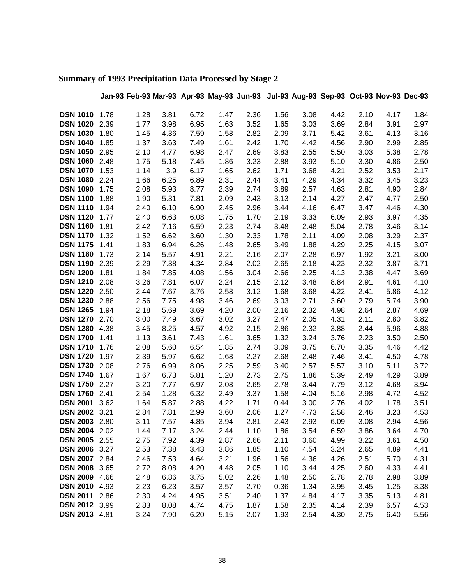|                                |      |              |              |              | Jan-93 Feb-93 Mar-93 Apr-93 May-93 Jun-93 Jul-93 Aug-93 Sep-93 Oct-93 Nov-93 Dec-93 |              |              |              |              |              |              |              |
|--------------------------------|------|--------------|--------------|--------------|-------------------------------------------------------------------------------------|--------------|--------------|--------------|--------------|--------------|--------------|--------------|
| <b>DSN 1010</b>                |      |              |              |              |                                                                                     |              |              |              |              |              |              |              |
| DSN 1020 2.39                  | 1.78 | 1.28<br>1.77 | 3.81<br>3.98 | 6.72<br>6.95 | 1.47<br>1.63                                                                        | 2.36<br>3.52 | 1.56<br>1.65 | 3.08<br>3.03 | 4.42<br>3.69 | 2.10<br>2.84 | 4.17<br>3.91 | 1.84<br>2.97 |
| <b>DSN 1030</b>                | 1.80 | 1.45         | 4.36         | 7.59         | 1.58                                                                                | 2.82         | 2.09         | 3.71         | 5.42         | 3.61         | 4.13         | 3.16         |
| <b>DSN 1040</b>                | 1.85 | 1.37         | 3.63         | 7.49         | 1.61                                                                                | 2.42         | 1.70         | 4.42         | 4.56         | 2.90         | 2.99         | 2.85         |
| DSN 1050 2.95                  |      | 2.10         | 4.77         | 6.98         | 2.47                                                                                | 2.69         | 3.83         | 2.55         | 5.50         | 3.03         | 5.38         | 2.78         |
| DSN 1060 2.48                  |      | 1.75         | 5.18         | 7.45         | 1.86                                                                                | 3.23         | 2.88         | 3.93         | 5.10         | 3.30         | 4.86         | 2.50         |
| DSN 1070 1.53                  |      | 1.14         | 3.9          | 6.17         | 1.65                                                                                | 2.62         | 1.71         | 3.68         | 4.21         | 2.52         | 3.53         | 2.17         |
| DSN 1080 2.24                  |      | 1.66         | 6.25         | 6.89         | 2.31                                                                                | 2.44         | 3.41         | 4.29         | 4.34         | 3.32         | 3.45         | 3.23         |
| DSN 1090 1.75                  |      | 2.08         | 5.93         | 8.77         | 2.39                                                                                | 2.74         | 3.89         | 2.57         | 4.63         | 2.81         | 4.90         | 2.84         |
| DSN 1100 1.88                  |      | 1.90         | 5.31         | 7.81         | 2.09                                                                                | 2.43         | 3.13         | 2.14         | 4.27         | 2.47         | 4.77         | 2.50         |
| DSN 1110 1.94                  |      | 2.40         | 6.10         | 6.90         | 2.45                                                                                | 2.96         | 3.44         | 4.16         | 6.47         | 3.47         | 4.46         | 4.30         |
| <b>DSN 1120</b>                | 1.77 | 2.40         | 6.63         | 6.08         | 1.75                                                                                | 1.70         | 2.19         | 3.33         | 6.09         | 2.93         | 3.97         | 4.35         |
| <b>DSN 1160</b>                | 1.81 | 2.42         | 7.16         | 6.59         | 2.23                                                                                | 2.74         | 3.48         | 2.48         | 5.04         | 2.78         | 3.46         | 3.14         |
| <b>DSN 1170</b>                | 1.32 | 1.52         | 6.62         | 3.60         | 1.30                                                                                | 2.33         | 1.78         | 2.11         | 4.09         | 2.08         | 3.29         | 2.37         |
| <b>DSN 1175</b>                | 1.41 | 1.83         | 6.94         | 6.26         | 1.48                                                                                | 2.65         | 3.49         | 1.88         | 4.29         | 2.25         | 4.15         | 3.07         |
| <b>DSN 1180</b>                | 1.73 | 2.14         | 5.57         | 4.91         | 2.21                                                                                | 2.16         | 2.07         | 2.28         | 6.97         | 1.92         | 3.21         | 3.00         |
| DSN 1190 2.39                  |      | 2.29         | 7.38         | 4.34         | 2.84                                                                                | 2.02         | 2.65         | 2.18         | 4.23         | 2.32         | 3.87         | 3.71         |
| DSN 1200 1.81                  |      | 1.84         | 7.85         | 4.08         | 1.56                                                                                | 3.04         | 2.66         | 2.25         | 4.13         | 2.38         | 4.47         | 3.69         |
| DSN 1210 2.08                  |      | 3.26         | 7.81         | 6.07         | 2.24                                                                                | 2.15         | 2.12         | 3.48         | 8.84         | 2.91         | 4.61         | 4.10         |
| DSN 1220 2.50                  |      | 2.44         | 7.67         | 3.76         | 2.58                                                                                | 3.12         | 1.68         | 3.68         | 4.22         | 2.41         | 5.86         | 4.12         |
| DSN 1230 2.88                  |      | 2.56         | 7.75         | 4.98         | 3.46                                                                                | 2.69         | 3.03         | 2.71         | 3.60         | 2.79         | 5.74         | 3.90         |
| DSN 1265 1.94                  |      | 2.18         | 5.69         | 3.69         | 4.20                                                                                | 2.00         | 2.16         | 2.32         | 4.98         | 2.64         | 2.87         | 4.69         |
| DSN 1270 2.70                  |      | 3.00         | 7.49         | 3.67         | 3.02                                                                                | 3.27         | 2.47         | 2.05         | 4.31         | 2.11         | 2.80         | 3.82         |
| DSN 1280 4.38                  |      | 3.45         | 8.25         | 4.57         | 4.92                                                                                | 2.15         | 2.86         | 2.32         | 3.88         | 2.44         | 5.96         | 4.88         |
| DSN 1700 1.41                  |      | 1.13         | 3.61         | 7.43         | 1.61                                                                                | 3.65         | 1.32         | 3.24         | 3.76         | 2.23         | 3.50         | 2.50         |
| DSN 1710 1.76                  |      | 2.08         | 5.60         | 6.54         | 1.85                                                                                | 2.74         | 3.09         | 3.75         | 6.70         | 3.35         | 4.46         | 4.42         |
| <b>DSN 1720</b>                | 1.97 | 2.39         | 5.97         | 6.62         | 1.68                                                                                | 2.27         | 2.68         | 2.48         | 7.46         | 3.41         | 4.50         | 4.78         |
| DSN 1730 2.08                  |      | 2.76         | 6.99         | 8.06         | 2.25                                                                                | 2.59         | 3.40         | 2.57         | 5.57         | 3.10         | 5.11         | 3.72         |
| <b>DSN 1740</b>                | 1.67 | 1.67         | 6.73         | 5.81         | 1.20                                                                                | 2.73         | 2.75         | 1.86         | 5.39         | 2.49         | 4.29         | 3.89         |
| DSN 1750 2.27                  |      | 3.20         | 7.77         | 6.97         | 2.08                                                                                | 2.65         | 2.78         | 3.44         | 7.79         | 3.12         | 4.68         | 3.94         |
| DSN 1760 2.41                  |      | 2.54         | 1.28         | 6.32         | 2.49                                                                                | 3.37         | 1.58         | 4.04         | 5.16         | 2.98         | 4.72         | 4.52         |
| DSN 2001 3.62                  |      | 1.64         | 5.87         | 2.88         | 4.22                                                                                | 1.71         | 0.44         | 3.00         | 2.76         | 4.02         | 1.78         | 3.51         |
| DSN 2002 3.21                  |      | 2.84         | 7.81         | 2.99         | 3.60                                                                                | 2.06         | 1.27         | 4.73         | 2.58         | 2.46         | 3.23         | 4.53         |
| DSN 2003 2.80                  |      | 3.11         | 7.57         | 4.85         | 3.94                                                                                | 2.81         | 2.43         | 2.93         | 6.09         | 3.08         | 2.94         | 4.56         |
| DSN 2004 2.02<br>DSN 2005 2.55 |      | 1.44         | 7.17         | 3.24         | 2.44                                                                                | 1.10         | 1.86         | 3.54         | 6.59         | 3.86         | 3.64         | 4.70         |
| DSN 2006 3.27                  |      | 2.75<br>2.53 | 7.92<br>7.38 | 4.39<br>3.43 | 2.87                                                                                | 2.66<br>1.85 | 2.11<br>1.10 | 3.60         | 4.99         | 3.22<br>2.65 | 3.61<br>4.89 | 4.50<br>4.41 |
| DSN 2007 2.84                  |      | 2.46         | 7.53         | 4.64         | 3.86<br>3.21                                                                        | 1.96         | 1.56         | 4.54<br>4.36 | 3.24<br>4.26 | 2.51         | 5.70         | 4.31         |
| DSN 2008 3.65                  |      | 2.72         | 8.08         | 4.20         | 4.48                                                                                | 2.05         | 1.10         | 3.44         | 4.25         | 2.60         | 4.33         | 4.41         |
| DSN 2009 4.66                  |      | 2.48         | 6.86         | 3.75         | 5.02                                                                                | 2.26         | 1.48         | 2.50         | 2.78         | 2.78         | 2.98         | 3.89         |
| DSN 2010 4.93                  |      | 2.23         | 6.23         | 3.57         | 3.57                                                                                | 2.70         | 0.36         | 1.34         | 3.95         | 3.45         | 1.25         | 3.38         |
| DSN 2011 2.86                  |      | 2.30         | 4.24         | 4.95         | 3.51                                                                                | 2.40         | 1.37         | 4.84         | 4.17         | 3.35         | 5.13         | 4.81         |
| DSN 2012 3.99                  |      | 2.83         | 8.08         | 4.74         | 4.75                                                                                | 1.87         | 1.58         | 2.35         | 4.14         | 2.39         | 6.57         | 4.53         |
| DSN 2013 4.81                  |      | 3.24         | 7.90         | 6.20         | 5.15                                                                                | 2.07         | 1.93         | 2.54         | 4.30         | 2.75         | 6.40         | 5.56         |
|                                |      |              |              |              |                                                                                     |              |              |              |              |              |              |              |

# **Summary of 1993 Precipitation Data Processed by Stage 2**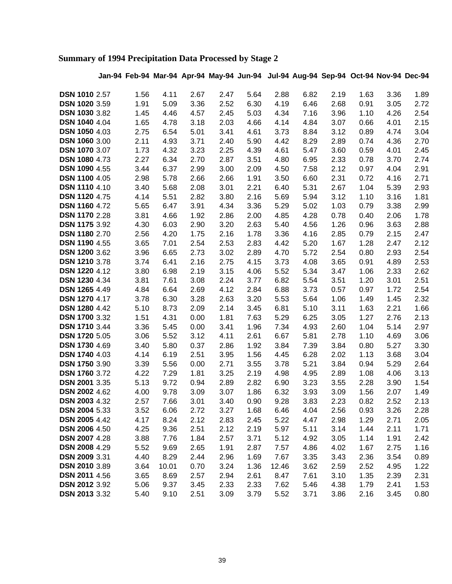## **Summary of 1994 Precipitation Data Processed by Stage 2**

## **Jan-94 Feb-94 Mar-94 Apr-94 May-94 Jun-94 Jul-94 Aug-94 Sep-94 Oct-94 Nov-94 Dec-94**

| <b>DSN 1010 2.57</b> | 1.56 | 4.11  | 2.67 | 2.47 | 5.64 | 2.88  | 6.82 | 2.19 | 1.63 | 3.36 | 1.89 |
|----------------------|------|-------|------|------|------|-------|------|------|------|------|------|
| <b>DSN 1020 3.59</b> | 1.91 | 5.09  | 3.36 | 2.52 | 6.30 | 4.19  | 6.46 | 2.68 | 0.91 | 3.05 | 2.72 |
| <b>DSN 1030 3.82</b> | 1.45 | 4.46  | 4.57 | 2.45 | 5.03 | 4.34  | 7.16 | 3.96 | 1.10 | 4.26 | 2.54 |
| <b>DSN 1040 4.04</b> | 1.65 | 4.78  | 3.18 | 2.03 | 4.66 | 4.14  | 4.84 | 3.07 | 0.66 | 4.01 | 2.15 |
| <b>DSN 1050 4.03</b> | 2.75 | 6.54  | 5.01 | 3.41 | 4.61 | 3.73  | 8.84 | 3.12 | 0.89 | 4.74 | 3.04 |
| <b>DSN 1060 3.00</b> | 2.11 | 4.93  | 3.71 | 2.40 | 5.90 | 4.42  | 8.29 | 2.89 | 0.74 | 4.36 | 2.70 |
| <b>DSN 1070 3.07</b> | 1.73 | 4.32  | 3.23 | 2.25 | 4.39 | 4.61  | 5.47 | 3.60 | 0.59 | 4.01 | 2.45 |
| <b>DSN 1080 4.73</b> | 2.27 | 6.34  | 2.70 | 2.87 | 3.51 | 4.80  | 6.95 | 2.33 | 0.78 | 3.70 | 2.74 |
| <b>DSN 1090 4.55</b> | 3.44 | 6.37  | 2.99 | 3.00 | 2.09 | 4.50  | 7.58 | 2.12 | 0.97 | 4.04 | 2.91 |
| <b>DSN 1100 4.05</b> | 2.98 | 5.78  | 2.66 | 2.66 | 1.91 | 3.50  | 6.60 | 2.31 | 0.72 | 4.16 | 2.71 |
| <b>DSN 1110 4.10</b> | 3.40 | 5.68  | 2.08 | 3.01 | 2.21 | 6.40  | 5.31 | 2.67 | 1.04 | 5.39 | 2.93 |
| <b>DSN 1120 4.75</b> | 4.14 | 5.51  | 2.82 | 3.80 | 2.16 | 5.69  | 5.94 | 3.12 | 1.10 | 3.16 | 1.81 |
| <b>DSN 1160 4.72</b> | 5.65 | 6.47  | 3.91 | 4.34 | 3.36 | 5.29  | 5.02 | 1.03 | 0.79 | 3.38 | 2.99 |
| <b>DSN 1170 2.28</b> | 3.81 | 4.66  | 1.92 | 2.86 | 2.00 | 4.85  | 4.28 | 0.78 | 0.40 | 2.06 | 1.78 |
| <b>DSN 1175 3.92</b> | 4.30 | 6.03  | 2.90 | 3.20 | 2.63 | 5.40  | 4.56 | 1.26 | 0.96 | 3.63 | 2.88 |
| <b>DSN 1180 2.70</b> | 2.56 | 4.20  | 1.75 | 2.16 | 1.78 | 3.36  | 4.16 | 2.85 | 0.79 | 2.15 | 2.47 |
| <b>DSN 1190 4.55</b> | 3.65 | 7.01  | 2.54 | 2.53 | 2.83 | 4.42  | 5.20 | 1.67 | 1.28 | 2.47 | 2.12 |
| <b>DSN 1200 3.62</b> | 3.96 | 6.65  | 2.73 | 3.02 | 2.89 | 4.70  | 5.72 | 2.54 | 0.80 | 2.93 | 2.54 |
| <b>DSN 1210 3.78</b> | 3.74 | 6.41  | 2.16 | 2.75 | 4.15 | 3.73  | 4.08 | 3.65 | 0.91 | 4.89 | 2.53 |
| <b>DSN 1220 4.12</b> | 3.80 | 6.98  | 2.19 | 3.15 | 4.06 | 5.52  | 5.34 | 3.47 | 1.06 | 2.33 | 2.62 |
| <b>DSN 1230 4.34</b> | 3.81 | 7.61  | 3.08 | 2.24 | 3.77 | 6.82  | 5.54 | 3.51 | 1.20 | 3.01 | 2.51 |
| <b>DSN 1265 4.49</b> | 4.84 | 6.64  | 2.69 | 4.12 | 2.84 | 6.88  | 3.73 | 0.57 | 0.97 | 1.72 | 2.54 |
| <b>DSN 1270 4.17</b> | 3.78 | 6.30  | 3.28 | 2.63 | 3.20 | 5.53  | 5.64 | 1.06 | 1.49 | 1.45 | 2.32 |
| <b>DSN 1280 4.42</b> | 5.10 | 8.73  | 2.09 | 2.14 | 3.45 | 6.81  | 5.10 | 3.11 | 1.63 | 2.21 | 1.66 |
| <b>DSN 1700 3.32</b> | 1.51 | 4.31  | 0.00 | 1.81 | 7.63 | 5.29  | 6.25 | 3.05 | 1.27 | 2.76 | 2.13 |
| <b>DSN 1710 3.44</b> | 3.36 | 5.45  | 0.00 | 3.41 | 1.96 | 7.34  | 4.93 | 2.60 | 1.04 | 5.14 | 2.97 |
| <b>DSN 1720 5.05</b> | 3.06 | 5.52  | 3.12 | 4.11 | 2.61 | 6.67  | 5.81 | 2.78 | 1.10 | 4.69 | 3.06 |
| <b>DSN 1730 4.69</b> | 3.40 | 5.80  | 0.37 | 2.86 | 1.92 | 3.84  | 7.39 | 3.84 | 0.80 | 5.27 | 3.30 |
| <b>DSN 1740 4.03</b> | 4.14 | 6.19  | 2.51 | 3.95 | 1.56 | 4.45  | 6.28 | 2.02 | 1.13 | 3.68 | 3.04 |
| <b>DSN 1750 3.90</b> | 3.39 | 5.56  | 0.00 | 2.71 | 3.55 | 3.78  | 5.21 | 3.84 | 0.94 | 5.29 | 2.64 |
| <b>DSN 1760 3.72</b> | 4.22 | 7.29  | 1.81 | 3.25 | 2.19 | 4.98  | 4.95 | 2.89 | 1.08 | 4.06 | 3.13 |
| <b>DSN 2001 3.35</b> | 5.13 | 9.72  | 0.94 | 2.89 | 2.82 | 6.90  | 3.23 | 3.55 | 2.28 | 3.90 | 1.54 |
| <b>DSN 2002 4.62</b> | 4.00 | 9.78  | 3.09 | 3.07 | 1.86 | 6.32  | 3.93 | 3.09 | 1.56 | 2.07 | 1.49 |
| <b>DSN 2003 4.32</b> | 2.57 | 7.66  | 3.01 | 3.40 | 0.90 | 9.28  | 3.83 | 2.23 | 0.82 | 2.52 | 2.13 |
| <b>DSN 2004 5.33</b> | 3.52 | 6.06  | 2.72 | 3.27 | 1.68 | 6.46  | 4.04 | 2.56 | 0.93 | 3.26 | 2.28 |
| <b>DSN 2005 4.42</b> | 4.17 | 8.24  | 2.12 | 2.83 | 2.45 | 5.22  | 4.47 | 2.98 | 1.29 | 2.71 | 2.05 |
| <b>DSN 2006 4.50</b> | 4.25 | 9.36  | 2.51 | 2.12 | 2.19 | 5.97  | 5.11 | 3.14 | 1.44 | 2.11 | 1.71 |
| <b>DSN 2007 4.28</b> | 3.88 | 7.76  | 1.84 | 2.57 | 3.71 | 5.12  | 4.92 | 3.05 | 1.14 | 1.91 | 2.42 |
| <b>DSN 2008 4.29</b> | 5.52 | 9.69  | 2.65 | 1.91 | 2.87 | 7.57  | 4.86 | 4.02 | 1.67 | 2.75 | 1.16 |
| DSN 2009 3.31        | 4.40 | 8.29  | 2.44 | 2.96 | 1.69 | 7.67  | 3.35 | 3.43 | 2.36 | 3.54 | 0.89 |
| <b>DSN 2010 3.89</b> | 3.64 | 10.01 | 0.70 | 3.24 | 1.36 | 12.46 | 3.62 | 2.59 | 2.52 | 4.95 | 1.22 |
| <b>DSN 2011 4.56</b> | 3.65 | 8.69  | 2.57 | 2.94 | 2.61 | 8.47  | 7.61 | 3.10 | 1.35 | 2.39 | 2.31 |
| <b>DSN 2012 3.92</b> | 5.06 | 9.37  | 3.45 | 2.33 | 2.33 | 7.62  | 5.46 | 4.38 | 1.79 | 2.41 | 1.53 |
| <b>DSN 2013 3.32</b> | 5.40 | 9.10  | 2.51 | 3.09 | 3.79 | 5.52  | 3.71 | 3.86 | 2.16 | 3.45 | 0.80 |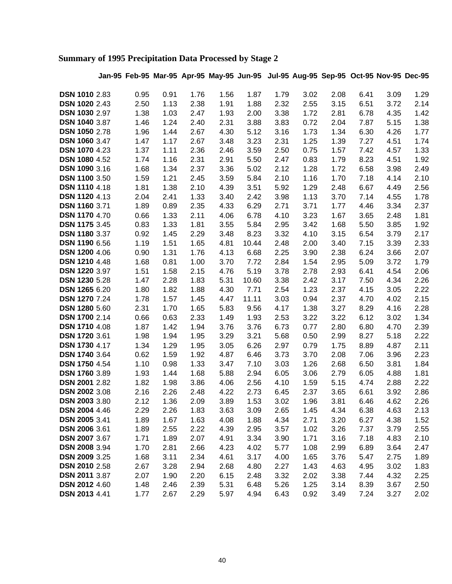## **Summary of 1995 Precipitation Data Processed by Stage 2**

## **Jan-95 Feb-95 Mar-95 Apr-95 May-95 Jun-95 Jul-95 Aug-95 Sep-95 Oct-95 Nov-95 Dec-95**

| <b>DSN 1010 2.83</b>                         | 0.95         | 0.91         | 1.76         | 1.56         | 1.87         | 1.79         | 3.02         | 2.08         | 6.41         | 3.09         | 1.29         |
|----------------------------------------------|--------------|--------------|--------------|--------------|--------------|--------------|--------------|--------------|--------------|--------------|--------------|
| <b>DSN 1020 2.43</b>                         | 2.50         | 1.13         | 2.38         | 1.91         | 1.88         | 2.32         | 2.55         | 3.15         | 6.51         | 3.72         | 2.14         |
| <b>DSN 1030 2.97</b>                         | 1.38         | 1.03         | 2.47         | 1.93         | 2.00         | 3.38         | 1.72         | 2.81         | 6.78         | 4.35         | 1.42         |
| <b>DSN 1040 3.87</b>                         | 1.46         | 1.24         | 2.40         | 2.31         | 3.88         | 3.83         | 0.72         | 2.04         | 7.87         | 5.15         | 1.38         |
| <b>DSN 1050 2.78</b>                         | 1.96         | 1.44         | 2.67         | 4.30         | 5.12         | 3.16         | 1.73         | 1.34         | 6.30         | 4.26         | 1.77         |
| <b>DSN 1060 3.47</b>                         | 1.47         | 1.17         | 2.67         | 3.48         | 3.23         | 2.31         | 1.25         | 1.39         | 7.27         | 4.51         | 1.74         |
| <b>DSN 1070 4.23</b>                         | 1.37         | 1.11         | 2.36         | 2.46         | 3.59         | 2.50         | 0.75         | 1.57         | 7.42         | 4.57         | 1.33         |
| <b>DSN 1080 4.52</b>                         | 1.74         | 1.16         | 2.31         | 2.91         | 5.50         | 2.47         | 0.83         | 1.79         | 8.23         | 4.51         | 1.92         |
| DSN 1090 3.16                                | 1.68         | 1.34         | 2.37         | 3.36         | 5.02         | 2.12         | 1.28         | 1.72         | 6.58         | 3.98         | 2.49         |
| <b>DSN 1100 3.50</b>                         | 1.59         | 1.21         | 2.45         | 3.59         | 5.84         | 2.10         | 1.16         | 1.70         | 7.18         | 4.14         | 2.10         |
| DSN 1110 4.18                                | 1.81         | 1.38         | 2.10         | 4.39         | 3.51         | 5.92         | 1.29         | 2.48         | 6.67         | 4.49         | 2.56         |
| DSN 1120 4.13                                | 2.04         | 2.41         | 1.33         | 3.40         | 2.42         | 3.98         | 1.13         | 3.70         | 7.14         | 4.55         | 1.78         |
| DSN 1160 3.71                                | 1.89         | 0.89         | 2.35         | 4.33         | 6.29         | 2.71         | 3.71         | 1.77         | 4.46         | 3.34         | 2.37         |
| <b>DSN 1170 4.70</b>                         | 0.66         | 1.33         | 2.11         | 4.06         | 6.78         | 4.10         | 3.23         | 1.67         | 3.65         | 2.48         | 1.81         |
| <b>DSN 1175 3.45</b>                         | 0.83         | 1.33         | 1.81         | 3.55         | 5.84         | 2.95         | 3.42         | 1.68         | 5.50         | 3.85         | 1.92         |
| <b>DSN 1180 3.37</b>                         | 0.92         | 1.45         | 2.29         | 3.48         | 8.23         | 3.32         | 4.10         | 3.15         | 6.54         | 3.79         | 2.17         |
| <b>DSN 1190 6.56</b>                         | 1.19         | 1.51         | 1.65         | 4.81         | 10.44        | 2.48         | 2.00         | 3.40         | 7.15         | 3.39         | 2.33         |
| <b>DSN 1200 4.06</b>                         | 0.90         | 1.31         | 1.76         | 4.13         | 6.68         | 2.25         | 3.90         | 2.38         | 6.24         | 3.66         | 2.07         |
| <b>DSN 1210 4.48</b>                         | 1.68         | 0.81         | 1.00         | 3.70         | 7.72         | 2.84         | 1.54         | 2.95         | 5.09         | 3.72         | 1.79         |
| <b>DSN 1220 3.97</b>                         | 1.51         | 1.58         | 2.15         | 4.76         | 5.19         | 3.78         | 2.78         | 2.93         | 6.41         | 4.54         | 2.06         |
| <b>DSN 1230 5.28</b>                         | 1.47         | 2.28         | 1.83         | 5.31         | 10.60        | 3.38         | 2.42         | 3.17         | 7.50         | 4.34         | 2.26         |
| <b>DSN 1265 6.20</b>                         | 1.80         | 1.82         | 1.88         | 4.30         | 7.71         | 2.54         | 1.23         | 2.37         | 4.15         | 3.05         | 2.22         |
| <b>DSN 1270 7.24</b>                         | 1.78         | 1.57         | 1.45         | 4.47         | 11.11        | 3.03         | 0.94         | 2.37         | 4.70         | 4.02         | 2.15         |
| <b>DSN 1280 5.60</b>                         | 2.31         | 1.70         | 1.65         | 5.83         | 9.56         | 4.17         | 1.38         | 3.27         | 8.29         | 4.16         | 2.28         |
| <b>DSN 1700 2.14</b>                         | 0.66         | 0.63         | 2.33         | 1.49         | 1.93         | 2.53         | 3.22         | 3.22         | 6.12         | 3.02         | 1.34         |
| <b>DSN 1710 4.08</b>                         | 1.87         | 1.42         | 1.94         | 3.76         | 3.76         | 6.73         | 0.77         | 2.80         | 6.80         | 4.70         | 2.39         |
| DSN 1720 3.61                                | 1.98         | 1.94         | 1.95         | 3.29         | 3.21         | 5.68         | 0.50         | 2.99         | 8.27         | 5.18         | 2.22         |
| <b>DSN 1730 4.17</b>                         | 1.34         | 1.29         | 1.95         | 3.05         | 6.26         | 2.97         | 0.79         | 1.75         | 8.89         | 4.87         | 2.11         |
| <b>DSN 1740 3.64</b>                         | 0.62         | 1.59         | 1.92         | 4.87         | 6.46         | 3.73         | 3.70         | 2.08         | 7.06         | 3.96         | 2.23         |
| <b>DSN 1750 4.54</b>                         | 1.10         | 0.98         | 1.33         | 3.47         | 7.10         | 3.03         | 1.26         | 2.68         | 6.50         | 3.81         | 1.84         |
| <b>DSN 1760 3.89</b>                         | 1.93         | 1.44         | 1.68         | 5.88         | 2.94         | 6.05         | 3.06         | 2.79         | 6.05         | 4.88         | 1.81         |
| <b>DSN 2001 2.82</b>                         | 1.82         | 1.98         | 3.86         | 4.06         | 2.56         | 4.10         | 1.59         | 5.15         | 4.74         | 2.88         | 2.22         |
| <b>DSN 2002 3.08</b>                         | 2.16         | 2.26         | 2.48         | 4.22         | 2.73         | 6.45         | 2.37         | 3.65         | 6.61         | 3.92         | 2.86         |
| <b>DSN 2003 3.80</b><br><b>DSN 2004 4.46</b> | 2.12         | 1.36         | 2.09         | 3.89         | 1.53         | 3.02         | 1.96         | 3.81         | 6.46         | 4.62         | 2.26         |
|                                              | 2.29         | 2.26         | 1.83         | 3.63         | 3.09         | 2.65         | 1.45         | 4.34         | 6.38         | 4.63         | 2.13         |
| DSN 2005 3.41                                | 1.89         | 1.67         | 1.63         | 4.08         | 1.88         | 4.34         | 2.71         | 3.20         | 6.27         | 4.38         | 1.52         |
| DSN 2006 3.61<br><b>DSN 2007 3.67</b>        | 1.89         | 2.55         | 2.22         | 4.39         | 2.95         | 3.57         | 1.02         | 3.26         | 7.37         | 3.79         | 2.55         |
| <b>DSN 2008 3.94</b>                         | 1.71<br>1.70 | 1.89         | 2.07<br>2.66 | 4.91         | 3.34<br>4.02 | 3.90<br>5.77 | 1.71         | 3.16         | 7.18<br>6.89 | 4.83<br>3.64 | 2.10<br>2.47 |
| <b>DSN 2009 3.25</b>                         |              | 2.81         |              | 4.23         |              |              | 1.08         | 2.99         |              |              |              |
| <b>DSN 2010 2.58</b>                         | 1.68<br>2.67 | 3.11<br>3.28 | 2.34<br>2.94 | 4.61<br>2.68 | 3.17<br>4.80 | 4.00<br>2.27 | 1.65<br>1.43 | 3.76<br>4.63 | 5.47<br>4.95 | 2.75<br>3.02 | 1.89         |
| <b>DSN 2011 3.87</b>                         | 2.07         | 1.90         | 2.20         | 6.15         | 2.48         | 3.32         | 2.02         | 3.38         | 7.44         | 4.32         | 1.83<br>2.25 |
| <b>DSN 2012 4.60</b>                         | 1.48         | 2.46         | 2.39         | 5.31         | 6.48         | 5.26         | 1.25         | 3.14         | 8.39         | 3.67         | 2.50         |
| DSN 2013 4.41                                | 1.77         | 2.67         | 2.29         | 5.97         | 4.94         | 6.43         | 0.92         | 3.49         | 7.24         | 3.27         |              |
|                                              |              |              |              |              |              |              |              |              |              |              | 2.02         |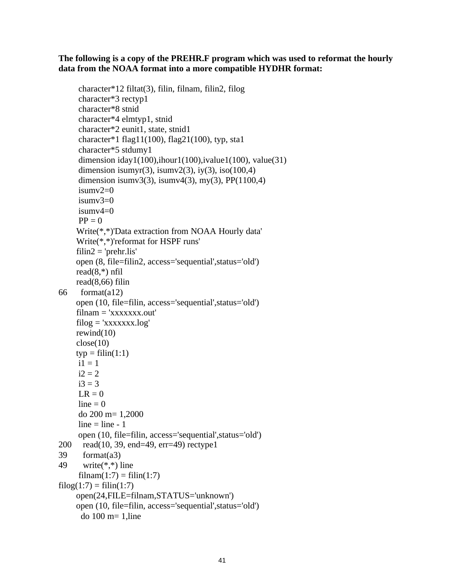## **The following is a copy of the PREHR.F program which was used to reformat the hourly data from the NOAA format into a more compatible HYDHR format:**

```
 character*12 filtat(3), filin, filnam, filin2, filog
      character*3 rectyp1
      character*8 stnid
      character*4 elmtyp1, stnid
      character*2 eunit1, state, stnid1
     character*1 flag11(100), flag21(100), typ, sta1
      character*5 stdumy1
     dimension iday1(100),ihour1(100),ivalue1(100), value(31)
     dimension isumyr(3), isumv2(3), iy(3), iso(100,4)
     dimension isumv3(3), isumv4(3), my(3), PP(1100,4)
     isumv2=0isumv3=0 isumv4=0
     PP = 0 Write(*,*)'Data extraction from NOAA Hourly data'
      Write(*,*)'reformat for HSPF runs'
     filin2 = 'prehr.lis'
     open (8, file=filin2, access='sequential',status='old')
    read(8,*) nfil
    read(8,66) filin
66 format(a12)
     open (10, file=filin, access='sequential',status='old')
      filnam = 'xxxxxxx.out'
     fileg = 'xxxxxxx.log'rewind(10)close(10)typ = filin(1:1)i1 = 1i2 = 2i3 \equiv 3LR = 0line = 0 do 200 m= 1,2000
     line = line - 1 open (10, file=filin, access='sequential',status='old')
200 read(10, 39, end=49, err=49) rectype1
39 format(a3)
49 write(*,*) line
     filnam(1:7) = filin(1:7)filog(1:7) = filing(1:7) open(24,FILE=filnam,STATUS='unknown')
      open (10, file=filin, access='sequential',status='old')
       do 100 m= 1,line
```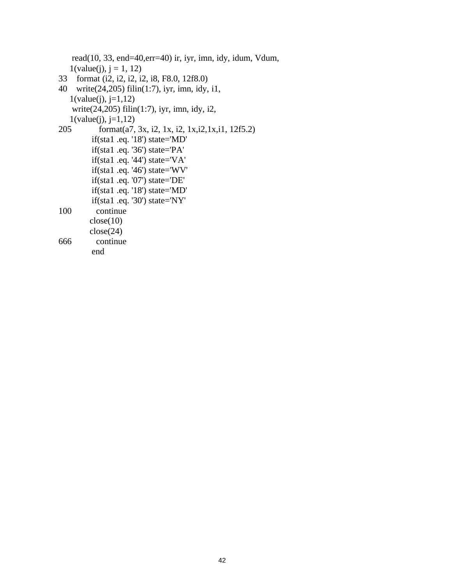```
 read(10, 33, end=40,err=40) ir, iyr, imn, idy, idum, Vdum,
   1(\text{value}(j), j = 1, 12)33 format (i2, i2, i2, i2, i8, F8.0, 12f8.0)
40 write(24,205) filin(1:7), iyr, imn, idy, i1,
   1(value(j), j=1,12) write(24,205) filin(1:7), iyr, imn, idy, i2,
   1(value(j), j=1,12)
205 format(a7, 3x, i2, 1x, i2, 1x,i2,1x,i1, 12f5.2)
          if(sta1 .eq. '18') state='MD'
          if(sta1 .eq. '36') state='PA'
          if(sta1 .eq. '44') state='VA'
          if(sta1 .eq. '46') state='WV'
          if(sta1 .eq. '07') state='DE'
          if(sta1 .eq. '18') state='MD'
          if(sta1 .eq. '30') state='NY'
100 continue
         close(10) close(24)
666 continue
           end
```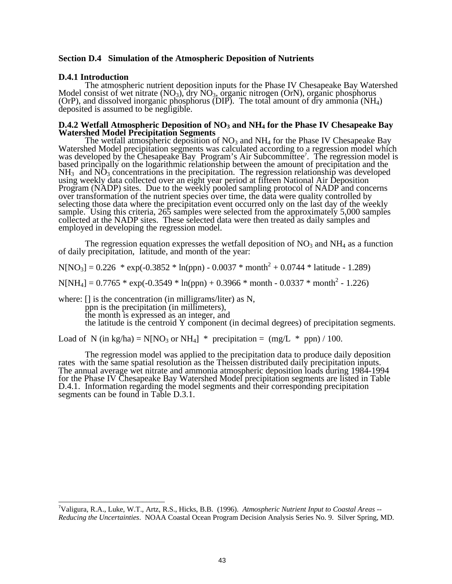#### **Section D.4 Simulation of the Atmospheric Deposition of Nutrients**

#### **D.4.1 Introduction**

 $\overline{a}$ 

The atmospheric nutrient deposition inputs for the Phase IV Chesapeake Bay Watershed Model consist of wet nitrate  $(NO<sub>3</sub>)$ , dry  $NO<sub>3</sub>$ , organic nitrogen  $(OrN)$ , organic phosphorus (OrP), and dissolved inorganic phosphorus (DIP). The total amount of dry ammonia (NH4) deposited is assumed to be negligible.

#### **D.4.2 Wetfall Atmospheric Deposition of NO3 and NH4 for the Phase IV Chesapeake Bay Watershed Model Precipitation Segments**

The wetfall atmospheric deposition of  $NO<sub>3</sub>$  and  $NH<sub>4</sub>$  for the Phase IV Chesapeake Bay Watershed Model precipitation segments was calculated according to a regression model which was developed by the Chesapeake Bay Program's Air Subcommittee<sup>7</sup>. The regression model is based principally on the logarithmic relationship between the amount of precipitation and the  $NH<sub>3</sub>$  and  $NO<sub>3</sub>$  concentrations in the precipitation. The regression relationship was developed using weekly data collected over an eight year period at fifteen National Air Deposition Program (NADP) sites. Due to the weekly pooled sampling protocol of NADP and concerns over transformation of the nutrient species over time, the data were quality controlled by selecting those data where the precipitation event occurred only on the last day of the weekly sample. Using this criteria, 265 samples were selected from the approximately 5,000 samples collected at the NADP sites. These selected data were then treated as daily samples and employed in developing the regression model.

The regression equation expresses the wetfall deposition of  $NO<sub>3</sub>$  and  $NH<sub>4</sub>$  as a function of daily precipitation, latitude, and month of the year:

 $N[NO<sub>3</sub>] = 0.226 * exp(-0.3852 * ln(ppn) - 0.0037 * month<sup>2</sup> + 0.0744 * latitude - 1.289)$ 

 $N[NH_4] = 0.7765 * exp(-0.3549 * ln(ppn) + 0.3966 * month - 0.0337 * month<sup>2</sup> - 1.226)$ 

where: [] is the concentration (in milligrams/liter) as N, ppn is the precipitation (in millimeters), the month is expressed as an integer, and the latitude is the centroid Y component (in decimal degrees) of precipitation segments.

Load of N (in kg/ha) = N[NO<sub>3</sub> or NH<sub>4</sub>] \* precipitation =  $(mg/L * ppn) / 100$ .

The regression model was applied to the precipitation data to produce daily deposition rates with the same spatial resolution as the Theissen distributed daily precipitation inputs. The annual average wet nitrate and ammonia atmospheric deposition loads during 1984-1994 for the Phase IV Chesapeake Bay Watershed Model precipitation segments are listed in Table D.4.1. Information regarding the model segments and their corresponding precipitation segments can be found in Table D.3.1.

<sup>7</sup>Valigura, R.A., Luke, W.T., Artz, R.S., Hicks, B.B. (1996). *Atmospheric Nutrient Input to Coastal Areas -- Reducing the Uncertainties*. NOAA Coastal Ocean Program Decision Analysis Series No. 9. Silver Spring, MD.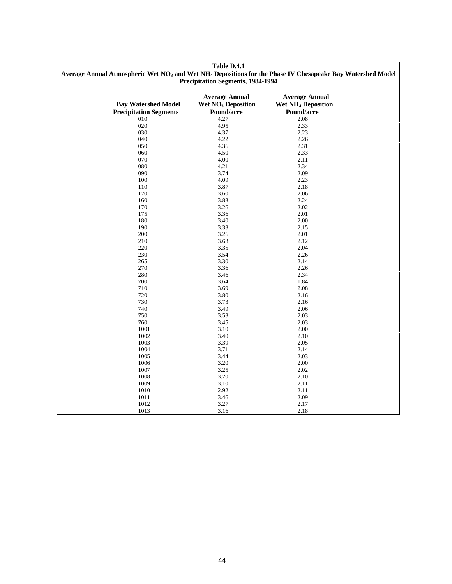| Average Annual Atmospheric Wet NO <sub>3</sub> and Wet NH <sub>4</sub> Depositions for the Phase IV Chesapeake Bay Watershed Model | <b>Precipitation Segments, 1984-1994</b>                              |                                                                       |  |
|------------------------------------------------------------------------------------------------------------------------------------|-----------------------------------------------------------------------|-----------------------------------------------------------------------|--|
| <b>Bay Watershed Model</b><br><b>Precipitation Segments</b>                                                                        | <b>Average Annual</b><br>Wet NO <sub>3</sub> Deposition<br>Pound/acre | <b>Average Annual</b><br>Wet NH <sub>4</sub> Deposition<br>Pound/acre |  |
| 010                                                                                                                                | 4.27                                                                  | 2.08                                                                  |  |
| 020                                                                                                                                | 4.95                                                                  | 2.33                                                                  |  |
| 030                                                                                                                                | 4.37                                                                  | 2.23                                                                  |  |
| 040                                                                                                                                | 4.22                                                                  | 2.26                                                                  |  |
| 050                                                                                                                                | 4.36                                                                  | 2.31                                                                  |  |
| 060                                                                                                                                | 4.50                                                                  | 2.33                                                                  |  |
| 070                                                                                                                                | 4.00                                                                  | 2.11                                                                  |  |
| 080                                                                                                                                | 4.21                                                                  | 2.34                                                                  |  |
| 090                                                                                                                                | 3.74                                                                  | 2.09                                                                  |  |
| 100                                                                                                                                | 4.09                                                                  | 2.23                                                                  |  |
| 110                                                                                                                                | 3.87                                                                  | 2.18                                                                  |  |
| 120                                                                                                                                | 3.60                                                                  | 2.06                                                                  |  |
| 160                                                                                                                                | 3.83                                                                  | 2.24                                                                  |  |
| 170                                                                                                                                | 3.26                                                                  | 2.02                                                                  |  |
| 175                                                                                                                                | 3.36                                                                  | 2.01                                                                  |  |
| 180                                                                                                                                | 3.40                                                                  | 2.00                                                                  |  |
| 190                                                                                                                                | 3.33                                                                  | 2.15                                                                  |  |
| 200                                                                                                                                | 3.26                                                                  | 2.01                                                                  |  |
| 210                                                                                                                                | 3.63                                                                  | 2.12                                                                  |  |
| 220                                                                                                                                | 3.35                                                                  | 2.04                                                                  |  |
| 230                                                                                                                                | 3.54                                                                  | 2.26                                                                  |  |
| 265                                                                                                                                | 3.30                                                                  | 2.14                                                                  |  |
| 270                                                                                                                                | 3.36                                                                  | 2.26                                                                  |  |
|                                                                                                                                    |                                                                       |                                                                       |  |
| 280                                                                                                                                | 3.46<br>3.64                                                          | 2.34<br>1.84                                                          |  |
| 700<br>710                                                                                                                         | 3.69                                                                  | 2.08                                                                  |  |
| 720                                                                                                                                | 3.80                                                                  | 2.16                                                                  |  |
|                                                                                                                                    |                                                                       |                                                                       |  |
| 730                                                                                                                                | 3.73                                                                  | 2.16                                                                  |  |
| 740                                                                                                                                | 3.49                                                                  | 2.06                                                                  |  |
| 750                                                                                                                                | 3.53                                                                  | 2.03                                                                  |  |
| 760                                                                                                                                | 3.45<br>3.10                                                          | 2.03                                                                  |  |
| 1001                                                                                                                               |                                                                       | 2.00<br>2.10                                                          |  |
| 1002                                                                                                                               | 3.40                                                                  |                                                                       |  |
| 1003                                                                                                                               | 3.39                                                                  | 2.05                                                                  |  |
| 1004                                                                                                                               | 3.71                                                                  | 2.14                                                                  |  |
| 1005                                                                                                                               | 3.44                                                                  | 2.03                                                                  |  |
| 1006                                                                                                                               | 3.20                                                                  | 2.00                                                                  |  |
| 1007                                                                                                                               | 3.25                                                                  | 2.02                                                                  |  |
| 1008                                                                                                                               | 3.20                                                                  | 2.10                                                                  |  |
| 1009                                                                                                                               | 3.10                                                                  | 2.11                                                                  |  |
| 1010                                                                                                                               | 2.92                                                                  | 2.11                                                                  |  |
| 1011                                                                                                                               | 3.46                                                                  | 2.09                                                                  |  |
| 1012                                                                                                                               | 3.27                                                                  | 2.17                                                                  |  |
| 1013                                                                                                                               | 3.16                                                                  | 2.18                                                                  |  |

#### **Table D.4.1**  $\overline{\phantom{a}}$ **Average Annual Atmospheric Wet NO3 and Wet NH4 Depositions for the Phase IV Chesapeake Bay Watershed Model**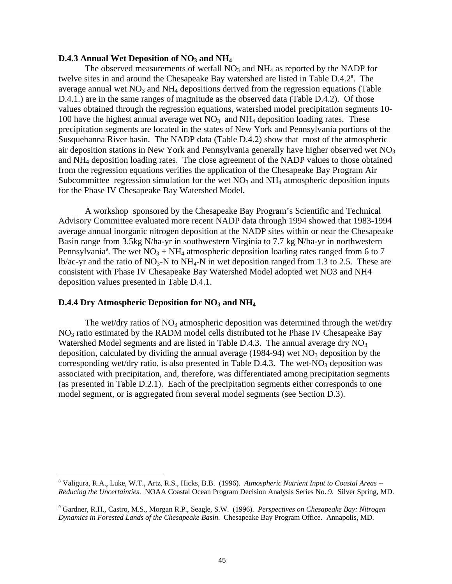#### **D.4.3 Annual Wet Deposition of NO3 and NH<sup>4</sup>**

The observed measurements of wetfall  $NO<sub>3</sub>$  and  $NH<sub>4</sub>$  as reported by the NADP for twelve sites in and around the Chesapeake Bay watershed are listed in Table D.4.2<sup>8</sup>. The average annual wet  $NO<sub>3</sub>$  and  $NH<sub>4</sub>$  depositions derived from the regression equations (Table D.4.1.) are in the same ranges of magnitude as the observed data (Table D.4.2). Of those values obtained through the regression equations, watershed model precipitation segments 10- 100 have the highest annual average wet  $NO<sub>3</sub>$  and  $NH<sub>4</sub>$  deposition loading rates. These precipitation segments are located in the states of New York and Pennsylvania portions of the Susquehanna River basin. The NADP data (Table D.4.2) show that most of the atmospheric air deposition stations in New York and Pennsylvania generally have higher observed wet  $NO<sub>3</sub>$ and NH4 deposition loading rates. The close agreement of the NADP values to those obtained from the regression equations verifies the application of the Chesapeake Bay Program Air Subcommittee regression simulation for the wet  $NO<sub>3</sub>$  and  $NH<sub>4</sub>$  atmospheric deposition inputs for the Phase IV Chesapeake Bay Watershed Model.

A workshop sponsored by the Chesapeake Bay Program's Scientific and Technical Advisory Committee evaluated more recent NADP data through 1994 showed that 1983-1994 average annual inorganic nitrogen deposition at the NADP sites within or near the Chesapeake Basin range from 3.5kg N/ha-yr in southwestern Virginia to 7.7 kg N/ha-yr in northwestern Pennsylvania<sup>9</sup>. The wet  $NO_3 + NH_4$  atmospheric deposition loading rates ranged from 6 to 7 lb/ac-yr and the ratio of  $NO<sub>3</sub>-N$  to  $NH<sub>4</sub>-N$  in wet deposition ranged from 1.3 to 2.5. These are consistent with Phase IV Chesapeake Bay Watershed Model adopted wet NO3 and NH4 deposition values presented in Table D.4.1.

#### **D.4.4 Dry Atmospheric Deposition for NO3 and NH<sup>4</sup>**

l

The wet/dry ratios of  $NO<sub>3</sub>$  atmospheric deposition was determined through the wet/dry  $NO<sub>3</sub>$  ratio estimated by the RADM model cells distributed tot he Phase IV Chesapeake Bay Watershed Model segments and are listed in Table D.4.3. The annual average dry  $NO<sub>3</sub>$ deposition, calculated by dividing the annual average (1984-94) wet  $NO<sub>3</sub>$  deposition by the corresponding wet/dry ratio, is also presented in Table D.4.3. The wet-NO<sub>3</sub> deposition was associated with precipitation, and, therefore, was differentiated among precipitation segments (as presented in Table D.2.1). Each of the precipitation segments either corresponds to one model segment, or is aggregated from several model segments (see Section D.3).

<sup>8</sup> Valigura, R.A., Luke, W.T., Artz, R.S., Hicks, B.B. (1996). *Atmospheric Nutrient Input to Coastal Areas -- Reducing the Uncertainties*. NOAA Coastal Ocean Program Decision Analysis Series No. 9. Silver Spring, MD.

<sup>9</sup> Gardner, R.H., Castro, M.S., Morgan R.P., Seagle, S.W. (1996). *Perspectives on Chesapeake Bay: Nitrogen Dynamics in Forested Lands of the Chesapeake Basin*. Chesapeake Bay Program Office. Annapolis, MD.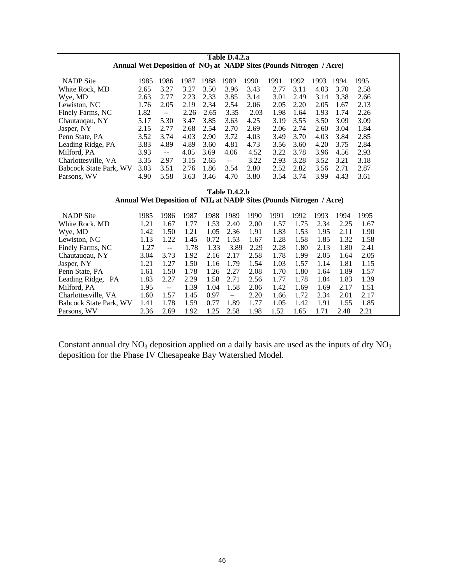| Table D.4.2.a                                                                                            |      |                          |      |      |                   |      |                                                                                 |      |      |      |      |  |
|----------------------------------------------------------------------------------------------------------|------|--------------------------|------|------|-------------------|------|---------------------------------------------------------------------------------|------|------|------|------|--|
|                                                                                                          |      |                          |      |      |                   |      | Annual Wet Deposition of NO <sub>3</sub> at NADP Sites (Pounds Nitrogen / Acre) |      |      |      |      |  |
| 1988<br>1989<br><b>NADP</b> Site<br>1985<br>1986<br>1987<br>1990<br>1991<br>1992<br>1993<br>1994<br>1995 |      |                          |      |      |                   |      |                                                                                 |      |      |      |      |  |
| White Rock, MD                                                                                           | 2.65 | 3.27                     | 3.27 | 3.50 | 3.96              | 3.43 | 2.77                                                                            | 3.11 | 4.03 | 3.70 | 2.58 |  |
| Wye, MD                                                                                                  | 2.63 | 2.77                     | 2.23 | 2.33 | 3.85              | 3.14 | 3.01                                                                            | 2.49 | 3.14 | 3.38 | 2.66 |  |
| Lewiston, NC                                                                                             | 1.76 | 2.05                     | 2.19 | 2.34 | 2.54              | 2.06 | 2.05                                                                            | 2.20 | 2.05 | 1.67 | 2.13 |  |
| Finely Farms, NC                                                                                         | 1.82 | $\overline{a}$           | 2.26 | 2.65 | 3.35              | 2.03 | 1.98                                                                            | 1.64 | 1.93 | 1.74 | 2.26 |  |
| Chautauqau, NY                                                                                           | 5.17 | 5.30                     | 3.47 | 3.85 | 3.63              | 4.25 | 3.19                                                                            | 3.55 | 3.50 | 3.09 | 3.09 |  |
| Jasper, NY                                                                                               | 2.15 | 2.77                     | 2.68 | 2.54 | 2.70              | 2.69 | 2.06                                                                            | 2.74 | 2.60 | 3.04 | 1.84 |  |
| Penn State, PA                                                                                           | 3.52 | 3.74                     | 4.03 | 2.90 | 3.72              | 4.03 | 3.49                                                                            | 3.70 | 4.03 | 3.84 | 2.85 |  |
| Leading Ridge, PA                                                                                        | 3.83 | 4.89                     | 4.89 | 3.60 | 4.81              | 4.73 | 3.56                                                                            | 3.60 | 4.20 | 3.75 | 2.84 |  |
| Milford, PA                                                                                              | 3.93 | $\overline{\phantom{a}}$ | 4.05 | 3.69 | 4.06              | 4.52 | 3.22                                                                            | 3.78 | 3.96 | 4.56 | 2.93 |  |
| Charlottesville, VA                                                                                      | 3.35 | 2.97                     | 3.15 | 2.65 | $- \, -$          | 3.22 | 2.93                                                                            | 3.28 | 3.52 | 3.21 | 3.18 |  |
| Babcock State Park, WV                                                                                   | 3.03 | 3.51                     | 2.76 | 1.86 | 3.54              | 2.80 | 2.52                                                                            | 2.82 | 3.56 | 2.71 | 2.87 |  |
| Parsons, WV                                                                                              | 4.90 | 5.58                     | 3.63 | 3.46 | 4.70              | 3.80 | 3.54                                                                            | 3.74 | 3.99 | 4.43 | 3.61 |  |
|                                                                                                          |      |                          |      |      | Table D.4.2.b     |      |                                                                                 |      |      |      |      |  |
|                                                                                                          |      |                          |      |      |                   |      | Annual Wet Deposition of NH <sub>4</sub> at NADP Sites (Pounds Nitrogen / Acre) |      |      |      |      |  |
|                                                                                                          |      |                          |      |      |                   |      |                                                                                 |      |      |      |      |  |
| <b>NADP</b> Site                                                                                         | 1985 | 1986                     | 1987 | 1988 | 1989              | 1990 | 1991                                                                            | 1992 | 1993 | 1994 | 1995 |  |
| White Rock, MD                                                                                           | 1.21 | 1.67                     | 1.77 | 1.53 | 2.40              | 2.00 | 1.57                                                                            | 1.75 | 2.34 | 2.25 | 1.67 |  |
| Wye, MD                                                                                                  | 1.42 | 1.50                     | 1.21 | 1.05 | 2.36              | 1.91 | 1.83                                                                            | 1.53 | 1.95 | 2.11 | 1.90 |  |
| Lewiston, NC                                                                                             | 1.13 | 1.22                     | 1.45 | 0.72 | 1.53              | 1.67 | 1.28                                                                            | 1.58 | 1.85 | 1.32 | 1.58 |  |
| Finely Farms, NC                                                                                         | 1.27 | $\overline{a}$           | 1.78 | 1.33 | 3.89              | 2.29 | 2.28                                                                            | 1.80 | 2.13 | 1.80 | 2.41 |  |
| Chautauqau, NY                                                                                           | 3.04 | 3.73                     | 1.92 | 2.16 | 2.17              | 2.58 | 1.78                                                                            | 1.99 | 2.05 | 1.64 | 2.05 |  |
| Jasper, NY                                                                                               | 1.21 | 1.27                     | 1.50 | 1.16 | 1.79              | 1.54 | 1.03                                                                            | 1.57 | 1.14 | 1.81 | 1.15 |  |
| Penn State, PA                                                                                           | 1.61 | 1.50                     | 1.78 | 1.26 | 2.27              | 2.08 | 1.70                                                                            | 1.80 | 1.64 | 1.89 | 1.57 |  |
| Leading Ridge, PA                                                                                        | 1.83 | 2.27                     | 2.29 | 1.58 | 2.71              | 2.56 | 1.77                                                                            | 1.78 | 1.84 | 1.83 | 1.39 |  |
| Milford, PA                                                                                              | 1.95 | $\mathbb{L} \mathbb{L}$  | 1.39 | 1.04 | 1.58              | 2.06 | 1.42                                                                            | 1.69 | 1.69 | 2.17 | 1.51 |  |
| Charlottesville, VA                                                                                      | 1.60 | 1.57                     | 1.45 | 0.97 | $\qquad \qquad -$ | 2.20 | 1.66                                                                            | 1.72 | 2.34 | 2.01 | 2.17 |  |
| Babcock State Park, WV                                                                                   | 1.41 | 1.78                     | 1.59 | 0.77 | 1.89              | 1.77 | 1.05                                                                            | 1.42 | 1.91 | 1.55 | 1.85 |  |
| Parsons, WV                                                                                              | 2.36 | 2.69                     | 1.92 | 1.25 | 2.58              | 1.98 | 1.52                                                                            | 1.65 | 1.71 | 2.48 | 2.21 |  |

Constant annual dry  $NO<sub>3</sub>$  deposition applied on a daily basis are used as the inputs of dry  $NO<sub>3</sub>$ deposition for the Phase IV Chesapeake Bay Watershed Model.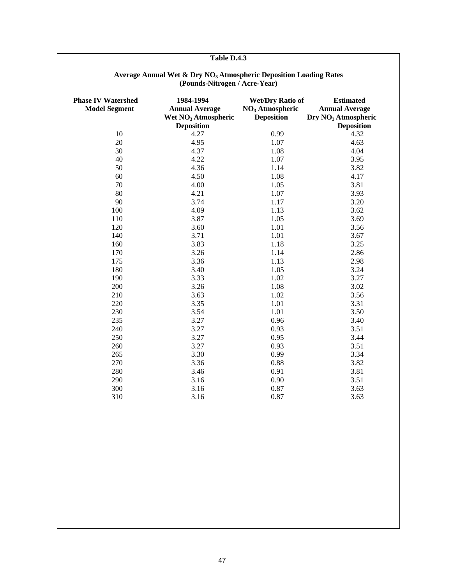| <b>Phase IV Watershed</b><br><b>Model Segment</b> | 1984-1994<br><b>Annual Average</b>                   | <b>Wet/Dry Ratio of</b><br>NO <sub>3</sub> Atmospheric | <b>Estimated</b><br><b>Annual Average</b>            |
|---------------------------------------------------|------------------------------------------------------|--------------------------------------------------------|------------------------------------------------------|
|                                                   | Wet NO <sub>3</sub> Atmospheric<br><b>Deposition</b> | <b>Deposition</b>                                      | Dry NO <sub>3</sub> Atmospheric<br><b>Deposition</b> |
| 10                                                | 4.27                                                 | 0.99                                                   | 4.32                                                 |
| 20                                                | 4.95                                                 | 1.07                                                   | 4.63                                                 |
| 30                                                | 4.37                                                 | 1.08                                                   | 4.04                                                 |
| 40                                                | 4.22                                                 | 1.07                                                   | 3.95                                                 |
| 50                                                | 4.36                                                 | 1.14                                                   | 3.82                                                 |
| 60                                                | 4.50                                                 | 1.08                                                   | 4.17                                                 |
| 70                                                | 4.00                                                 | 1.05                                                   | 3.81                                                 |
| 80                                                | 4.21                                                 | 1.07                                                   | 3.93                                                 |
| 90                                                | 3.74                                                 | 1.17                                                   | 3.20                                                 |
| 100                                               | 4.09                                                 | 1.13                                                   | 3.62                                                 |
| 110                                               | 3.87                                                 | 1.05                                                   | 3.69                                                 |
| 120                                               | 3.60                                                 | 1.01                                                   | 3.56                                                 |
| 140                                               | 3.71                                                 | 1.01                                                   | 3.67                                                 |
| 160                                               | 3.83                                                 | 1.18                                                   | 3.25                                                 |
| 170                                               | 3.26                                                 | 1.14                                                   | 2.86                                                 |
| 175                                               | 3.36                                                 | 1.13                                                   | 2.98                                                 |
| 180                                               | 3.40                                                 | 1.05                                                   | 3.24                                                 |
| 190                                               | 3.33                                                 | 1.02                                                   | 3.27                                                 |
| 200                                               | 3.26                                                 | 1.08                                                   | 3.02                                                 |
| 210                                               | 3.63                                                 | 1.02                                                   | 3.56                                                 |
| 220                                               | 3.35                                                 | 1.01                                                   | 3.31                                                 |
| 230                                               | 3.54                                                 | 1.01                                                   | 3.50                                                 |
| 235                                               | 3.27                                                 | 0.96                                                   | 3.40                                                 |
| 240                                               | 3.27                                                 | 0.93                                                   | 3.51                                                 |
| 250                                               | 3.27                                                 | 0.95                                                   | 3.44                                                 |
| 260                                               | 3.27                                                 | 0.93                                                   | 3.51                                                 |
| 265                                               | 3.30                                                 | 0.99                                                   | 3.34                                                 |
| 270                                               | 3.36                                                 | 0.88                                                   | 3.82                                                 |
| 280                                               | 3.46                                                 | 0.91                                                   | 3.81                                                 |
| 290                                               | 3.16                                                 | 0.90                                                   | 3.51                                                 |
| 300                                               | 3.16                                                 | 0.87                                                   | 3.63                                                 |
| 310                                               | 3.16                                                 | 0.87                                                   | 3.63                                                 |

#### **Average Annual Wet & Dry NO3 Atmospheric Deposition Loading Rates (Pounds-Nitrogen / Acre-Year)**

**Table D.4.3**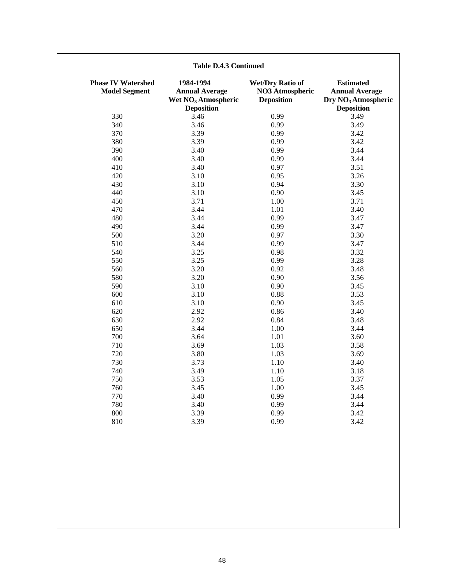| <b>Phase IV Watershed</b><br><b>Model Segment</b> | 1984-1994<br><b>Annual Average</b><br>Wet NO <sub>3</sub> Atmospheric<br><b>Deposition</b> | <b>Wet/Dry Ratio of</b><br>NO3 Atmospheric<br><b>Deposition</b> | <b>Estimated</b><br><b>Annual Average</b><br>Dry NO <sub>3</sub> Atmospheric<br><b>Deposition</b> |
|---------------------------------------------------|--------------------------------------------------------------------------------------------|-----------------------------------------------------------------|---------------------------------------------------------------------------------------------------|
| 330                                               | 3.46                                                                                       | 0.99                                                            | 3.49                                                                                              |
| 340                                               | 3.46                                                                                       | 0.99                                                            | 3.49                                                                                              |
| 370                                               | 3.39                                                                                       | 0.99                                                            | 3.42                                                                                              |
| 380                                               | 3.39                                                                                       | 0.99                                                            | 3.42                                                                                              |
| 390                                               | 3.40                                                                                       | 0.99                                                            | 3.44                                                                                              |
| 400                                               | 3.40                                                                                       | 0.99                                                            | 3.44                                                                                              |
| 410                                               | 3.40                                                                                       | 0.97                                                            | 3.51                                                                                              |
| 420                                               | 3.10                                                                                       | 0.95                                                            | 3.26                                                                                              |
| 430                                               | 3.10                                                                                       | 0.94                                                            | 3.30                                                                                              |
| 440                                               | 3.10                                                                                       | 0.90                                                            | 3.45                                                                                              |
| 450                                               | 3.71                                                                                       | 1.00                                                            | 3.71                                                                                              |
| 470                                               | 3.44                                                                                       | 1.01                                                            | 3.40                                                                                              |
| 480                                               | 3.44                                                                                       | 0.99                                                            | 3.47                                                                                              |
| 490                                               | 3.44                                                                                       | 0.99                                                            | 3.47                                                                                              |
| 500                                               | 3.20                                                                                       | 0.97                                                            | 3.30                                                                                              |
| 510                                               | 3.44                                                                                       | 0.99                                                            | 3.47                                                                                              |
| 540                                               | 3.25                                                                                       | 0.98                                                            | 3.32                                                                                              |
| 550                                               | 3.25                                                                                       | 0.99                                                            | 3.28                                                                                              |
| 560                                               | 3.20                                                                                       | 0.92                                                            | 3.48                                                                                              |
| 580                                               | 3.20                                                                                       | 0.90                                                            | 3.56                                                                                              |
| 590                                               | 3.10                                                                                       | 0.90                                                            | 3.45                                                                                              |
| 600                                               | 3.10                                                                                       | 0.88                                                            | 3.53                                                                                              |
| 610                                               | 3.10                                                                                       | 0.90                                                            | 3.45                                                                                              |
| 620                                               | 2.92                                                                                       | 0.86                                                            | 3.40                                                                                              |
| 630                                               | 2.92                                                                                       | 0.84                                                            | 3.48                                                                                              |
| 650                                               | 3.44                                                                                       | 1.00                                                            | 3.44                                                                                              |
| 700                                               | 3.64                                                                                       | 1.01                                                            | 3.60                                                                                              |
| 710                                               | 3.69                                                                                       | 1.03                                                            | 3.58                                                                                              |
| 720                                               | 3.80                                                                                       | 1.03                                                            | 3.69                                                                                              |
| 730                                               | 3.73                                                                                       | 1.10                                                            | 3.40                                                                                              |
| 740                                               | 3.49                                                                                       | 1.10                                                            | 3.18                                                                                              |
| 750                                               | 3.53                                                                                       | 1.05                                                            | 3.37                                                                                              |
| 760                                               | 3.45                                                                                       | 1.00                                                            | 3.45                                                                                              |
| 770                                               | 3.40                                                                                       | 0.99                                                            | 3.44                                                                                              |
| 780                                               | 3.40                                                                                       | 0.99                                                            | 3.44                                                                                              |
| 800                                               | 3.39                                                                                       | 0.99                                                            | 3.42                                                                                              |
| 810                                               | 3.39                                                                                       | 0.99                                                            | 3.42                                                                                              |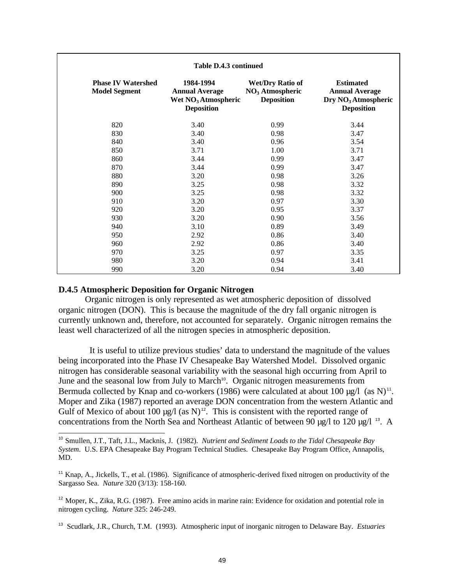| Table D.4.3 continued                             |                                                                                            |                                                                             |                                                                                                   |  |  |  |  |  |  |  |  |
|---------------------------------------------------|--------------------------------------------------------------------------------------------|-----------------------------------------------------------------------------|---------------------------------------------------------------------------------------------------|--|--|--|--|--|--|--|--|
| <b>Phase IV Watershed</b><br><b>Model Segment</b> | 1984-1994<br><b>Annual Average</b><br>Wet NO <sub>3</sub> Atmospheric<br><b>Deposition</b> | <b>Wet/Dry Ratio of</b><br>NO <sub>3</sub> Atmospheric<br><b>Deposition</b> | <b>Estimated</b><br><b>Annual Average</b><br>Dry NO <sub>3</sub> Atmospheric<br><b>Deposition</b> |  |  |  |  |  |  |  |  |
| 820                                               | 3.40                                                                                       | 0.99                                                                        | 3.44                                                                                              |  |  |  |  |  |  |  |  |
| 830                                               | 3.40                                                                                       | 0.98                                                                        | 3.47                                                                                              |  |  |  |  |  |  |  |  |
| 840                                               | 3.40                                                                                       | 0.96                                                                        | 3.54                                                                                              |  |  |  |  |  |  |  |  |
| 850                                               | 3.71                                                                                       | 1.00                                                                        | 3.71                                                                                              |  |  |  |  |  |  |  |  |
| 860                                               | 3.44                                                                                       | 0.99                                                                        | 3.47                                                                                              |  |  |  |  |  |  |  |  |
| 870                                               | 3.44                                                                                       | 0.99                                                                        | 3.47                                                                                              |  |  |  |  |  |  |  |  |
| 880                                               | 3.20                                                                                       | 0.98                                                                        | 3.26                                                                                              |  |  |  |  |  |  |  |  |
| 890                                               | 3.25                                                                                       | 0.98                                                                        | 3.32                                                                                              |  |  |  |  |  |  |  |  |
| 900                                               | 3.25                                                                                       | 0.98                                                                        | 3.32                                                                                              |  |  |  |  |  |  |  |  |
| 910                                               | 3.20                                                                                       | 0.97                                                                        | 3.30                                                                                              |  |  |  |  |  |  |  |  |
| 920                                               | 3.20                                                                                       | 0.95                                                                        | 3.37                                                                                              |  |  |  |  |  |  |  |  |
| 930                                               | 3.20                                                                                       | 0.90                                                                        | 3.56                                                                                              |  |  |  |  |  |  |  |  |
| 940                                               | 3.10                                                                                       | 0.89                                                                        | 3.49                                                                                              |  |  |  |  |  |  |  |  |
| 950                                               | 2.92                                                                                       | 0.86                                                                        | 3.40                                                                                              |  |  |  |  |  |  |  |  |
| 960                                               | 2.92                                                                                       | 0.86                                                                        | 3.40                                                                                              |  |  |  |  |  |  |  |  |
| 970                                               | 3.25                                                                                       | 0.97                                                                        | 3.35                                                                                              |  |  |  |  |  |  |  |  |
| 980                                               | 3.20                                                                                       | 0.94                                                                        | 3.41                                                                                              |  |  |  |  |  |  |  |  |
| 990                                               | 3.20                                                                                       | 0.94                                                                        | 3.40                                                                                              |  |  |  |  |  |  |  |  |

#### **D.4.5 Atmospheric Deposition for Organic Nitrogen**

l

Organic nitrogen is only represented as wet atmospheric deposition of dissolved organic nitrogen (DON). This is because the magnitude of the dry fall organic nitrogen is currently unknown and, therefore, not accounted for separately. Organic nitrogen remains the least well characterized of all the nitrogen species in atmospheric deposition.

 It is useful to utilize previous studies' data to understand the magnitude of the values being incorporated into the Phase IV Chesapeake Bay Watershed Model. Dissolved organic nitrogen has considerable seasonal variability with the seasonal high occurring from April to June and the seasonal low from July to March<sup>10</sup>. Organic nitrogen measurements from Bermuda collected by Knap and co-workers (1986) were calculated at about 100  $\mu$ g/l (as N)<sup>11</sup>. Moper and Zika (1987) reported an average DON concentration from the western Atlantic and Gulf of Mexico of about 100  $\mu$ g/l (as N)<sup>12</sup>. This is consistent with the reported range of concentrations from the North Sea and Northeast Atlantic of between 90 µg/l to 120 µg/l <sup>13</sup>. A

<sup>10</sup> Smullen, J.T., Taft, J.L., Macknis, J. (1982). *Nutrient and Sediment Loads to the Tidal Chesapeake Bay System*. U.S. EPA Chesapeake Bay Program Technical Studies. Chesapeake Bay Program Office, Annapolis, MD.

<sup>&</sup>lt;sup>11</sup> Knap, A., Jickells, T., et al. (1986). Significance of atmospheric-derived fixed nitrogen on productivity of the Sargasso Sea. *Nature* 320 (3/13): 158-160.

<sup>&</sup>lt;sup>12</sup> Moper, K., Zika, R.G. (1987). Free amino acids in marine rain: Evidence for oxidation and potential role in nitrogen cycling. *Nature* 325: 246-249.

<sup>13</sup> Scudlark, J.R., Church, T.M. (1993). Atmospheric input of inorganic nitrogen to Delaware Bay. *Estuaries*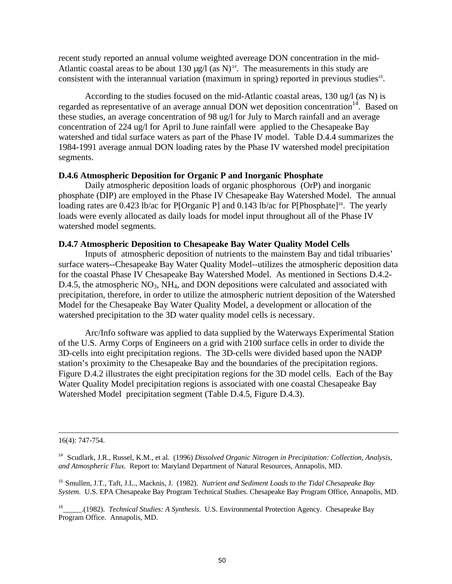recent study reported an annual volume weighted avereage DON concentration in the mid-Atlantic coastal areas to be about 130  $\mu$ g/l (as N)<sup>14</sup>. The measurements in this study are consistent with the interannual variation (maximum in spring) reported in previous studies<sup>15</sup>.

According to the studies focused on the mid-Atlantic coastal areas, 130 ug/l (as N) is regarded as representative of an average annual DON wet deposition concentration<sup>14</sup>. Based on these studies, an average concentration of 98 ug/l for July to March rainfall and an average concentration of 224 ug/l for April to June rainfall were applied to the Chesapeake Bay watershed and tidal surface waters as part of the Phase IV model. Table D.4.4 summarizes the 1984-1991 average annual DON loading rates by the Phase IV watershed model precipitation segments.

### **D.4.6 Atmospheric Deposition for Organic P and Inorganic Phosphate**

Daily atmospheric deposition loads of organic phosphorous (OrP) and inorganic phosphate (DIP) are employed in the Phase IV Chesapeake Bay Watershed Model. The annual loading rates are 0.423 lb/ac for P[Organic P] and 0.143 lb/ac for P[Phosphate]<sup>16</sup>. The yearly loads were evenly allocated as daily loads for model input throughout all of the Phase IV watershed model segments.

## **D.4.7 Atmospheric Deposition to Chesapeake Bay Water Quality Model Cells**

Inputs of atmospheric deposition of nutrients to the mainstem Bay and tidal tribuaries' surface waters--Chesapeake Bay Water Quality Model--utilizes the atmospheric deposition data for the coastal Phase IV Chesapeake Bay Watershed Model. As mentioned in Sections D.4.2-  $D.4.5$ , the atmospheric  $NO<sub>3</sub>$ ,  $NH<sub>4</sub>$ , and DON depositions were calculated and associated with precipitation, therefore, in order to utilize the atmospheric nutrient deposition of the Watershed Model for the Chesapeake Bay Water Quality Model, a development or allocation of the watershed precipitation to the 3D water quality model cells is necessary.

Arc/Info software was applied to data supplied by the Waterways Experimental Station of the U.S. Army Corps of Engineers on a grid with 2100 surface cells in order to divide the 3D-cells into eight precipitation regions. The 3D-cells were divided based upon the NADP station's proximity to the Chesapeake Bay and the boundaries of the precipitation regions. Figure D.4.2 illustrates the eight precipitation regions for the 3D model cells. Each of the Bay Water Quality Model precipitation regions is associated with one coastal Chesapeake Bay Watershed Model precipitation segment (Table D.4.5, Figure D.4.3).

 $\overline{a}$ 

<sup>15</sup> Smullen, J.T., Taft, J.L., Macknis, J. (1982). *Nutrient and Sediment Loads to the Tidal Chesapeake Bay System*. U.S. EPA Chesapeake Bay Program Technical Studies. Chesapeake Bay Program Office, Annapolis, MD.

<sup>16(4): 747-754.</sup>

<sup>14</sup> Scudlark, J.R., Russel, K.M., et al. (1996) *Dissolved Organic Nitrogen in Precipitation: Collection, Analysis, and Atmospheric Flux.* Report to: Maryland Department of Natural Resources, Annapolis, MD.

<sup>16</sup> \_\_\_\_\_.(1982). *Technical Studies: A Synthesis*. U.S. Environmental Protection Agency. Chesapeake Bay Program Office. Annapolis, MD.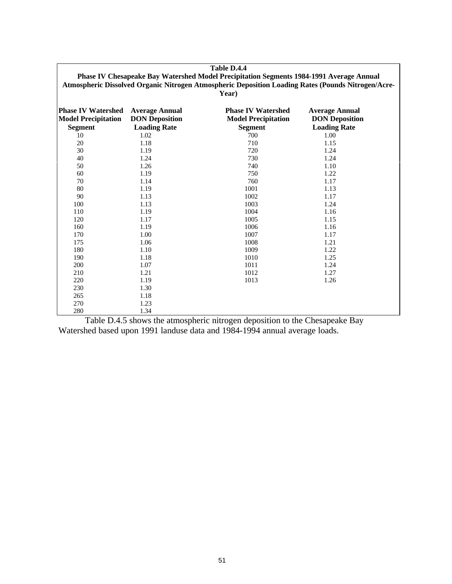| Table D.4.4<br>Phase IV Chesapeake Bay Watershed Model Precipitation Segments 1984-1991 Average Annual<br>Atmospheric Dissolved Organic Nitrogen Atmospheric Deposition Loading Rates (Pounds Nitrogen/Acre-<br>Year) |                                                                       |                                                                           |                                                                       |  |  |  |  |  |  |
|-----------------------------------------------------------------------------------------------------------------------------------------------------------------------------------------------------------------------|-----------------------------------------------------------------------|---------------------------------------------------------------------------|-----------------------------------------------------------------------|--|--|--|--|--|--|
| <b>Phase IV Watershed</b><br><b>Model Precipitation</b><br><b>Segment</b>                                                                                                                                             | <b>Average Annual</b><br><b>DON Deposition</b><br><b>Loading Rate</b> | <b>Phase IV Watershed</b><br><b>Model Precipitation</b><br><b>Segment</b> | <b>Average Annual</b><br><b>DON Deposition</b><br><b>Loading Rate</b> |  |  |  |  |  |  |
| 10                                                                                                                                                                                                                    | 1.02                                                                  | 700                                                                       | 1.00                                                                  |  |  |  |  |  |  |
| 20                                                                                                                                                                                                                    | 1.18                                                                  | 710                                                                       | 1.15                                                                  |  |  |  |  |  |  |
| 30                                                                                                                                                                                                                    | 1.19                                                                  | 720                                                                       | 1.24                                                                  |  |  |  |  |  |  |
| 40                                                                                                                                                                                                                    | 1.24                                                                  | 730                                                                       | 1.24                                                                  |  |  |  |  |  |  |
| 50                                                                                                                                                                                                                    | 1.26                                                                  | 740                                                                       | 1.10                                                                  |  |  |  |  |  |  |
| 60                                                                                                                                                                                                                    | 1.19                                                                  | 750                                                                       | 1.22                                                                  |  |  |  |  |  |  |
| 70                                                                                                                                                                                                                    | 1.14                                                                  | 760                                                                       | 1.17                                                                  |  |  |  |  |  |  |
| 80                                                                                                                                                                                                                    | 1.19                                                                  | 1001                                                                      | 1.13                                                                  |  |  |  |  |  |  |
| 90                                                                                                                                                                                                                    | 1.13                                                                  | 1002                                                                      | 1.17                                                                  |  |  |  |  |  |  |
| 100                                                                                                                                                                                                                   | 1.13                                                                  | 1003                                                                      | 1.24                                                                  |  |  |  |  |  |  |
| 110                                                                                                                                                                                                                   | 1.19                                                                  | 1004                                                                      | 1.16                                                                  |  |  |  |  |  |  |
| 120                                                                                                                                                                                                                   | 1.17                                                                  | 1005                                                                      | 1.15                                                                  |  |  |  |  |  |  |
| 160                                                                                                                                                                                                                   | 1.19                                                                  | 1006                                                                      | 1.16                                                                  |  |  |  |  |  |  |
| 170                                                                                                                                                                                                                   | 1.00                                                                  | 1007                                                                      | 1.17                                                                  |  |  |  |  |  |  |
| 175                                                                                                                                                                                                                   | 1.06                                                                  | 1008                                                                      | 1.21                                                                  |  |  |  |  |  |  |
| 180                                                                                                                                                                                                                   | 1.10                                                                  | 1009                                                                      | 1.22                                                                  |  |  |  |  |  |  |
| 190                                                                                                                                                                                                                   | 1.18                                                                  | 1010                                                                      | 1.25                                                                  |  |  |  |  |  |  |
| 200                                                                                                                                                                                                                   | 1.07                                                                  | 1011                                                                      | 1.24                                                                  |  |  |  |  |  |  |
| 210                                                                                                                                                                                                                   | 1.21                                                                  | 1012                                                                      | 1.27                                                                  |  |  |  |  |  |  |
| 220                                                                                                                                                                                                                   | 1.19                                                                  | 1013                                                                      | 1.26                                                                  |  |  |  |  |  |  |
| 230                                                                                                                                                                                                                   | 1.30                                                                  |                                                                           |                                                                       |  |  |  |  |  |  |
| 265                                                                                                                                                                                                                   | 1.18                                                                  |                                                                           |                                                                       |  |  |  |  |  |  |
| 270                                                                                                                                                                                                                   | 1.23                                                                  |                                                                           |                                                                       |  |  |  |  |  |  |
| 280                                                                                                                                                                                                                   | 1.34                                                                  |                                                                           |                                                                       |  |  |  |  |  |  |

Table D.4.5 shows the atmospheric nitrogen deposition to the Chesapeake Bay Watershed based upon 1991 landuse data and 1984-1994 annual average loads.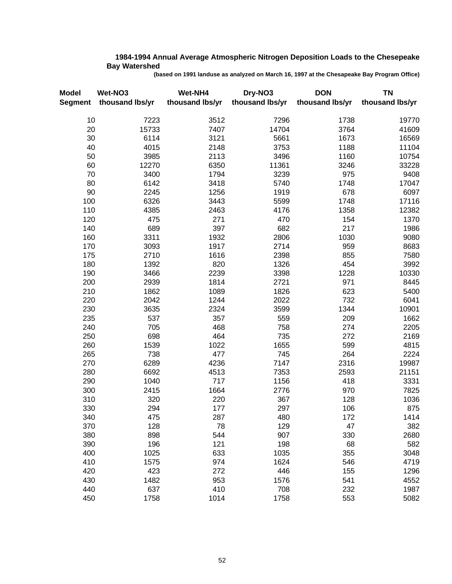### **1984-1994 Annual Average Atmospheric Nitrogen Deposition Loads to the Chesepeake Bay Watershed**

**(based on 1991 landuse as analyzed on March 16, 1997 at the Chesapeake Bay Program Office)**

| <b>Model</b><br><b>Segment</b> | Wet-NO <sub>3</sub><br>thousand lbs/yr | Wet-NH4<br>thousand lbs/yr | Dry-NO <sub>3</sub><br>thousand lbs/yr | <b>DON</b><br>thousand lbs/yr | <b>TN</b><br>thousand lbs/yr |
|--------------------------------|----------------------------------------|----------------------------|----------------------------------------|-------------------------------|------------------------------|
|                                |                                        | 3512                       |                                        |                               |                              |
| 10<br>20                       | 7223                                   | 7407                       | 7296                                   | 1738                          | 19770                        |
| 30                             | 15733<br>6114                          | 3121                       | 14704<br>5661                          | 3764<br>1673                  | 41609<br>16569               |
| 40                             | 4015                                   | 2148                       | 3753                                   | 1188                          | 11104                        |
|                                | 3985                                   |                            | 3496                                   |                               |                              |
| 50<br>60                       | 12270                                  | 2113<br>6350               | 11361                                  | 1160<br>3246                  | 10754<br>33228               |
| 70                             | 3400                                   | 1794                       | 3239                                   | 975                           | 9408                         |
| 80                             | 6142                                   | 3418                       | 5740                                   | 1748                          | 17047                        |
| 90                             | 2245                                   | 1256                       | 1919                                   | 678                           | 6097                         |
| 100                            | 6326                                   | 3443                       | 5599                                   | 1748                          | 17116                        |
| 110                            | 4385                                   | 2463                       | 4176                                   | 1358                          | 12382                        |
| 120                            | 475                                    | 271                        | 470                                    | 154                           | 1370                         |
| 140                            | 689                                    | 397                        | 682                                    | 217                           |                              |
| 160                            | 3311                                   | 1932                       | 2806                                   | 1030                          | 1986<br>9080                 |
| 170                            | 3093                                   | 1917                       | 2714                                   | 959                           | 8683                         |
| 175                            | 2710                                   | 1616                       | 2398                                   | 855                           | 7580                         |
| 180                            | 1392                                   | 820                        | 1326                                   | 454                           | 3992                         |
| 190                            | 3466                                   | 2239                       | 3398                                   | 1228                          | 10330                        |
| 200                            | 2939                                   | 1814                       | 2721                                   | 971                           | 8445                         |
| 210                            | 1862                                   | 1089                       | 1826                                   | 623                           | 5400                         |
| 220                            | 2042                                   | 1244                       | 2022                                   | 732                           | 6041                         |
| 230                            | 3635                                   | 2324                       | 3599                                   | 1344                          | 10901                        |
| 235                            | 537                                    | 357                        | 559                                    | 209                           | 1662                         |
| 240                            | 705                                    | 468                        |                                        | 274                           |                              |
|                                |                                        |                            | 758                                    | 272                           | 2205                         |
| 250                            | 698<br>1539                            | 464                        | 735<br>1655                            | 599                           | 2169                         |
| 260                            |                                        | 1022<br>477                |                                        | 264                           | 4815                         |
| 265                            | 738                                    |                            | 745                                    |                               | 2224                         |
| 270                            | 6289                                   | 4236                       | 7147                                   | 2316                          | 19987                        |
| 280                            | 6692                                   | 4513                       | 7353                                   | 2593                          | 21151                        |
| 290                            | 1040                                   | 717                        | 1156                                   | 418                           | 3331                         |
| 300                            | 2415                                   | 1664                       | 2776                                   | 970                           | 7825<br>1036                 |
| 310                            | 320<br>294                             | 220<br>177                 | 367<br>297                             | 128<br>106                    | 875                          |
| 330                            |                                        |                            |                                        |                               |                              |
| 340                            | 475                                    | 287                        | 480                                    | 172                           | 1414                         |
| 370                            | 128                                    | 78                         | 129                                    | 47                            | 382                          |
| 380                            | 898                                    | 544                        | 907                                    | 330                           | 2680                         |
| 390                            | 196                                    | 121                        | 198                                    | 68                            | 582                          |
| 400                            | 1025                                   | 633                        | 1035                                   | 355                           | 3048                         |
| 410                            | 1575                                   | 974                        | 1624                                   | 546                           | 4719                         |
| 420                            | 423                                    | 272                        | 446                                    | 155                           | 1296                         |
| 430                            | 1482                                   | 953                        | 1576                                   | 541                           | 4552                         |
| 440                            | 637                                    | 410                        | 708                                    | 232                           | 1987                         |
| 450                            | 1758                                   | 1014                       | 1758                                   | 553                           | 5082                         |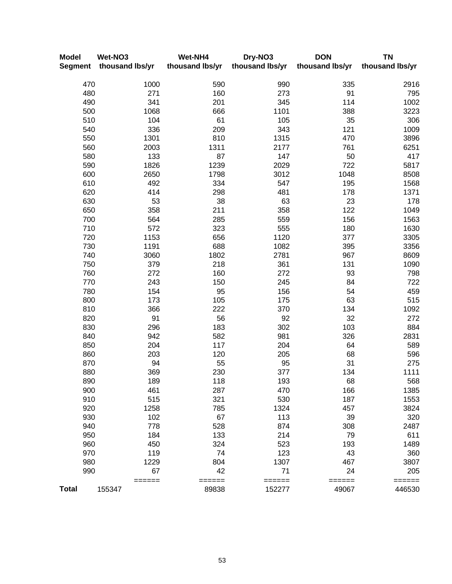| <b>Model</b>   | Wet-NO3          | Wet-NH4         | Dry-NO3                                                                                  | <b>DON</b>                                                                                                                                                                                                                                                                                                                                                                                                                                                                              | <b>TN</b>        |
|----------------|------------------|-----------------|------------------------------------------------------------------------------------------|-----------------------------------------------------------------------------------------------------------------------------------------------------------------------------------------------------------------------------------------------------------------------------------------------------------------------------------------------------------------------------------------------------------------------------------------------------------------------------------------|------------------|
| <b>Segment</b> | thousand lbs/yr  | thousand lbs/yr | thousand lbs/yr                                                                          | thousand lbs/yr                                                                                                                                                                                                                                                                                                                                                                                                                                                                         | thousand lbs/yr  |
| 470            | 1000             | 590             | 990                                                                                      | 335                                                                                                                                                                                                                                                                                                                                                                                                                                                                                     | 2916             |
| 480            | 271              | 160             | 273                                                                                      | 91                                                                                                                                                                                                                                                                                                                                                                                                                                                                                      | 795              |
| 490            | 341              | 201             | 345                                                                                      | 114                                                                                                                                                                                                                                                                                                                                                                                                                                                                                     | 1002             |
| 500            | 1068             | 666             | 1101                                                                                     | 388                                                                                                                                                                                                                                                                                                                                                                                                                                                                                     | 3223             |
| 510            | 104              | 61              | 105                                                                                      | 35                                                                                                                                                                                                                                                                                                                                                                                                                                                                                      | 306              |
| 540            | 336              | 209             | 343                                                                                      | 121                                                                                                                                                                                                                                                                                                                                                                                                                                                                                     | 1009             |
| 550            | 1301             | 810             | 1315                                                                                     | 470                                                                                                                                                                                                                                                                                                                                                                                                                                                                                     | 3896             |
| 560            | 2003             | 1311            | 2177                                                                                     | 761                                                                                                                                                                                                                                                                                                                                                                                                                                                                                     | 6251             |
| 580            | 133              | 87              | 147                                                                                      | 50                                                                                                                                                                                                                                                                                                                                                                                                                                                                                      | 417              |
| 590            | 1826             | 1239            | 2029                                                                                     | 722                                                                                                                                                                                                                                                                                                                                                                                                                                                                                     | 5817             |
| 600            | 2650             | 1798            | 3012                                                                                     | 1048                                                                                                                                                                                                                                                                                                                                                                                                                                                                                    | 8508             |
| 610            | 492              | 334             | 547                                                                                      | 195                                                                                                                                                                                                                                                                                                                                                                                                                                                                                     | 1568             |
| 620            | 414              | 298             | 481                                                                                      | 178                                                                                                                                                                                                                                                                                                                                                                                                                                                                                     | 1371             |
| 630            | 53               | 38              | 63                                                                                       | 23                                                                                                                                                                                                                                                                                                                                                                                                                                                                                      | 178              |
| 650            | 358              | 211             | 358                                                                                      | 122                                                                                                                                                                                                                                                                                                                                                                                                                                                                                     | 1049             |
| 700            | 564              | 285             | 559                                                                                      | 156                                                                                                                                                                                                                                                                                                                                                                                                                                                                                     | 1563             |
| 710            | 572              | 323             | 555                                                                                      | 180                                                                                                                                                                                                                                                                                                                                                                                                                                                                                     | 1630             |
| 720            | 1153             | 656             | 1120                                                                                     | 377                                                                                                                                                                                                                                                                                                                                                                                                                                                                                     | 3305             |
| 730            | 1191             | 688             | 1082                                                                                     | 395                                                                                                                                                                                                                                                                                                                                                                                                                                                                                     | 3356             |
| 740            | 3060             | 1802            | 2781                                                                                     | 967                                                                                                                                                                                                                                                                                                                                                                                                                                                                                     | 8609             |
| 750            | 379              | 218             | 361                                                                                      | 131                                                                                                                                                                                                                                                                                                                                                                                                                                                                                     | 1090             |
| 760            | 272              | 160             | 272                                                                                      | 93                                                                                                                                                                                                                                                                                                                                                                                                                                                                                      | 798              |
| 770            | 243              | 150             | 245                                                                                      | 84                                                                                                                                                                                                                                                                                                                                                                                                                                                                                      | 722              |
| 780            | 154<br>173       | 95              | 156                                                                                      | 54<br>63                                                                                                                                                                                                                                                                                                                                                                                                                                                                                | 459<br>515       |
| 800<br>810     | 366              | 105<br>222      | 175                                                                                      |                                                                                                                                                                                                                                                                                                                                                                                                                                                                                         |                  |
| 820            | 91               | 56              | 370<br>92                                                                                | 134<br>32                                                                                                                                                                                                                                                                                                                                                                                                                                                                               | 1092<br>272      |
| 830            | 296              | 183             | 302                                                                                      | 103                                                                                                                                                                                                                                                                                                                                                                                                                                                                                     | 884              |
| 840            | 942              | 582             | 981                                                                                      | 326                                                                                                                                                                                                                                                                                                                                                                                                                                                                                     | 2831             |
| 850            | 204              | 117             | 204                                                                                      | 64                                                                                                                                                                                                                                                                                                                                                                                                                                                                                      | 589              |
| 860            | 203              | 120             | 205                                                                                      | 68                                                                                                                                                                                                                                                                                                                                                                                                                                                                                      | 596              |
| 870            | 94               | 55              | 95                                                                                       | 31                                                                                                                                                                                                                                                                                                                                                                                                                                                                                      | 275              |
| 880            | 369              | 230             | 377                                                                                      | 134                                                                                                                                                                                                                                                                                                                                                                                                                                                                                     | 1111             |
| 890            | 189              | 118             | 193                                                                                      | 68                                                                                                                                                                                                                                                                                                                                                                                                                                                                                      | 568              |
| 900            | 461              | 287             | 470                                                                                      | 166                                                                                                                                                                                                                                                                                                                                                                                                                                                                                     | 1385             |
| 910            | 515              | 321             | 530                                                                                      | 187                                                                                                                                                                                                                                                                                                                                                                                                                                                                                     | 1553             |
| 920            | 1258             | 785             | 1324                                                                                     | 457                                                                                                                                                                                                                                                                                                                                                                                                                                                                                     | 3824             |
| 930            | 102              | 67              | 113                                                                                      | 39                                                                                                                                                                                                                                                                                                                                                                                                                                                                                      | 320              |
| 940            | 778              | 528             | 874                                                                                      | 308                                                                                                                                                                                                                                                                                                                                                                                                                                                                                     | 2487             |
| 950            | 184              | 133             | 214                                                                                      | 79                                                                                                                                                                                                                                                                                                                                                                                                                                                                                      | 611              |
| 960            | 450              | 324             | 523                                                                                      | 193                                                                                                                                                                                                                                                                                                                                                                                                                                                                                     | 1489             |
| 970            | 119              | 74              | 123                                                                                      | 43                                                                                                                                                                                                                                                                                                                                                                                                                                                                                      | 360              |
| 980            | 1229             | 804             | 1307                                                                                     | 467                                                                                                                                                                                                                                                                                                                                                                                                                                                                                     | 3807             |
| 990            | 67               | 42<br>======    | 71<br>$\qquad \qquad \doteq\qquad \qquad \doteq\qquad \qquad \doteq\qquad \qquad \qquad$ | 24<br>$\qquad \qquad \doteq \qquad \qquad \doteq \qquad \qquad \doteq \qquad \qquad \doteq \qquad \qquad \doteq \qquad \qquad \doteq \qquad \qquad \qquad \doteq \qquad \qquad \doteq \qquad \qquad \doteq \qquad \qquad \doteq \qquad \qquad \doteq \qquad \qquad \doteq \qquad \qquad \doteq \qquad \qquad \doteq \qquad \qquad \doteq \qquad \qquad \doteq \qquad \qquad \doteq \qquad \qquad \doteq \qquad \qquad \doteq \qquad \qquad \doteq \qquad \qquad \doteq \qquad \qquad \$ | 205              |
| <b>Total</b>   | ======<br>155347 | 89838           | 152277                                                                                   | 49067                                                                                                                                                                                                                                                                                                                                                                                                                                                                                   | ======<br>446530 |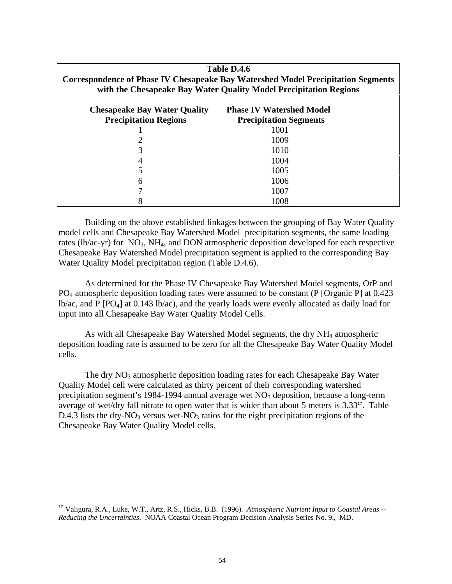| Table D.4.6                                                                                                                                                  |                               |  |  |  |  |  |
|--------------------------------------------------------------------------------------------------------------------------------------------------------------|-------------------------------|--|--|--|--|--|
| <b>Correspondence of Phase IV Chesapeake Bay Watershed Model Precipitation Segments</b><br>with the Chesapeake Bay Water Quality Model Precipitation Regions |                               |  |  |  |  |  |
|                                                                                                                                                              |                               |  |  |  |  |  |
| <b>Precipitation Regions</b>                                                                                                                                 | <b>Precipitation Segments</b> |  |  |  |  |  |
|                                                                                                                                                              | 1001                          |  |  |  |  |  |
|                                                                                                                                                              | 1009                          |  |  |  |  |  |
|                                                                                                                                                              | 1010                          |  |  |  |  |  |
| $\overline{4}$                                                                                                                                               | 1004                          |  |  |  |  |  |
|                                                                                                                                                              | 1005                          |  |  |  |  |  |
| 6                                                                                                                                                            | 1006                          |  |  |  |  |  |
|                                                                                                                                                              | 1007                          |  |  |  |  |  |
| 8                                                                                                                                                            | 1008                          |  |  |  |  |  |

Building on the above established linkages between the grouping of Bay Water Quality model cells and Chesapeake Bay Watershed Model precipitation segments, the same loading rates ( $lb/ac-yr$ ) for  $NO_3$ ,  $NH_4$ , and DON atmospheric deposition developed for each respective Chesapeake Bay Watershed Model precipitation segment is applied to the corresponding Bay Water Quality Model precipitation region (Table D.4.6).

As determined for the Phase IV Chesapeake Bay Watershed Model segments, OrP and PO4 atmospheric deposition loading rates were assumed to be constant (P [Organic P] at 0.423  $lb/ac$ , and P  $[PO_4]$  at 0.143  $lb/ac$ ), and the yearly loads were evenly allocated as daily load for input into all Chesapeake Bay Water Quality Model Cells.

As with all Chesapeake Bay Watershed Model segments, the dry NH4 atmospheric deposition loading rate is assumed to be zero for all the Chesapeake Bay Water Quality Model cells.

The dry  $NO<sub>3</sub>$  atmospheric deposition loading rates for each Chesapeake Bay Water Quality Model cell were calculated as thirty percent of their corresponding watershed precipitation segment's 1984-1994 annual average wet  $NO<sub>3</sub>$  deposition, because a long-term average of wet/dry fall nitrate to open water that is wider than about 5 meters is 3.3317. Table D.4.3 lists the dry- $NO<sub>3</sub>$  versus wet- $NO<sub>3</sub>$  ratios for the eight precipitation regions of the Chesapeake Bay Water Quality Model cells.

 $\overline{a}$ 

<sup>17</sup> Valigura, R.A., Luke, W.T., Artz, R.S., Hicks, B.B. (1996). *Atmospheric Nutrient Input to Coastal Areas -- Reducing the Uncertainties*. NOAA Coastal Ocean Program Decision Analysis Series No. 9., MD.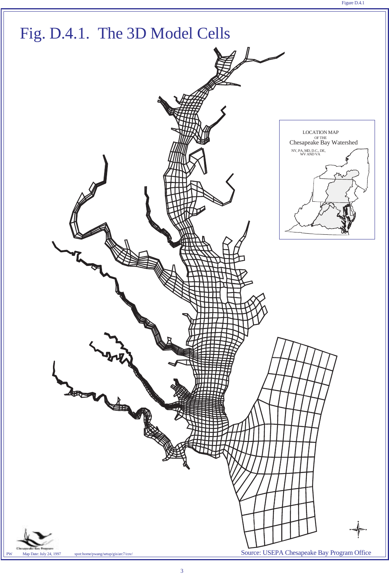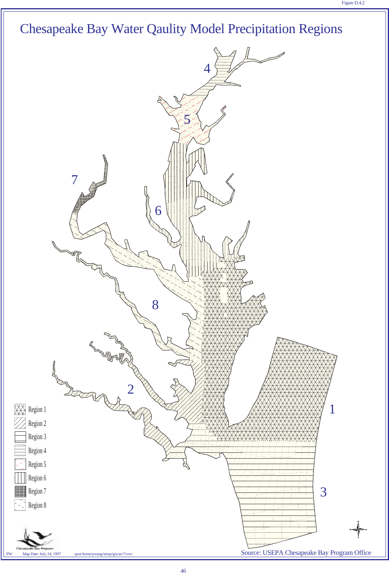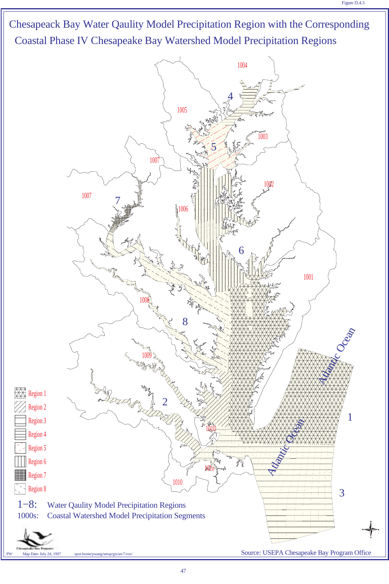

47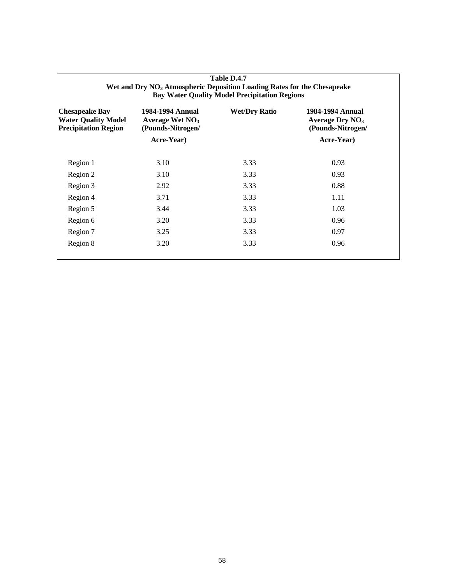| Table D.4.7<br>Wet and Dry NO <sub>3</sub> Atmospheric Deposition Loading Rates for the Chesapeake<br><b>Bay Water Quality Model Precipitation Regions</b> |                                                            |                      |                                                            |  |  |  |
|------------------------------------------------------------------------------------------------------------------------------------------------------------|------------------------------------------------------------|----------------------|------------------------------------------------------------|--|--|--|
| <b>Chesapeake Bay</b><br><b>Water Quality Model</b><br><b>Precipitation Region</b>                                                                         | 1984-1994 Annual<br>Average Wet $NO3$<br>(Pounds-Nitrogen/ | <b>Wet/Dry Ratio</b> | 1984-1994 Annual<br>Average Dry $NO3$<br>(Pounds-Nitrogen/ |  |  |  |
|                                                                                                                                                            | Acre-Year)                                                 |                      | Acre-Year)                                                 |  |  |  |
| Region 1                                                                                                                                                   | 3.10                                                       | 3.33                 | 0.93                                                       |  |  |  |
| Region 2                                                                                                                                                   | 3.10                                                       | 3.33                 | 0.93                                                       |  |  |  |
| Region 3                                                                                                                                                   | 2.92                                                       | 3.33                 | 0.88                                                       |  |  |  |
| Region 4                                                                                                                                                   | 3.71                                                       | 3.33                 | 1.11                                                       |  |  |  |
| Region 5                                                                                                                                                   | 3.44                                                       | 3.33                 | 1.03                                                       |  |  |  |
| Region 6                                                                                                                                                   | 3.20                                                       | 3.33                 | 0.96                                                       |  |  |  |
| Region 7                                                                                                                                                   | 3.25                                                       | 3.33                 | 0.97                                                       |  |  |  |
| Region 8                                                                                                                                                   | 3.20                                                       | 3.33                 | 0.96                                                       |  |  |  |

# **Table D.4.7**